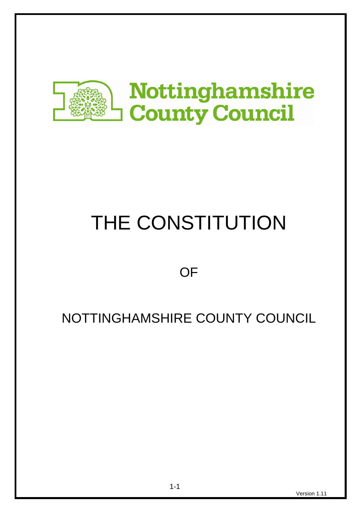

# THE CONSTITUTION

# **OF**

# NOTTINGHAMSHIRE COUNTY COUNCIL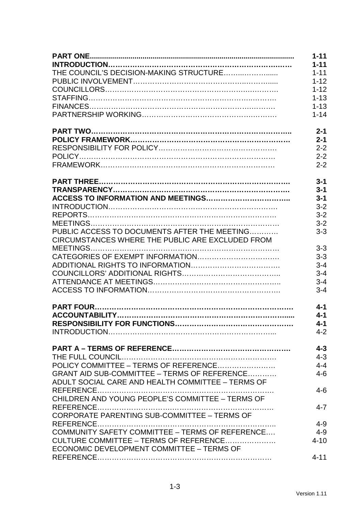|                                                   | $1 - 11$ |
|---------------------------------------------------|----------|
|                                                   | $1 - 11$ |
|                                                   | $1 - 11$ |
|                                                   | $1 - 12$ |
|                                                   | $1 - 12$ |
|                                                   | $1 - 13$ |
|                                                   | $1 - 13$ |
|                                                   | $1 - 14$ |
|                                                   | $2 - 1$  |
|                                                   | $2 - 1$  |
|                                                   | $2 - 2$  |
|                                                   | $2 - 2$  |
|                                                   | $2 - 2$  |
|                                                   | $3 - 1$  |
|                                                   | $3 - 1$  |
|                                                   | $3 - 1$  |
|                                                   | $3 - 2$  |
|                                                   | $3 - 2$  |
|                                                   | $3 - 2$  |
| PUBLIC ACCESS TO DOCUMENTS AFTER THE MEETING      | $3 - 3$  |
| CIRCUMSTANCES WHERE THE PUBLIC ARE EXCLUDED FROM  |          |
|                                                   | $3 - 3$  |
|                                                   | $3 - 3$  |
|                                                   | $3 - 4$  |
|                                                   | $3 - 4$  |
|                                                   | $3 - 4$  |
|                                                   | $3 - 4$  |
|                                                   | $4 - 1$  |
|                                                   | $4 - 1$  |
|                                                   | $4 - 1$  |
|                                                   | $4 - 2$  |
|                                                   | $4 - 3$  |
|                                                   | $4 - 3$  |
|                                                   | $4 - 4$  |
| GRANT AID SUB-COMMITTEE - TERMS OF REFERENCE      | $4 - 6$  |
| ADULT SOCIAL CARE AND HEALTH COMMITTEE - TERMS OF |          |
|                                                   | $4 - 6$  |
| CHILDREN AND YOUNG PEOPLE'S COMMITTEE - TERMS OF  |          |
| CORPORATE PARENTING SUB-COMMITTEE - TERMS OF      | $4 - 7$  |
|                                                   | $4 - 9$  |
| COMMUNITY SAFETY COMMITTEE - TERMS OF REFERENCE   | $4 - 9$  |
| CULTURE COMMITTEE – TERMS OF REFERENCE            | $4 - 10$ |
| ECONOMIC DEVELOPMENT COMMITTEE - TERMS OF         |          |
|                                                   | $4 - 11$ |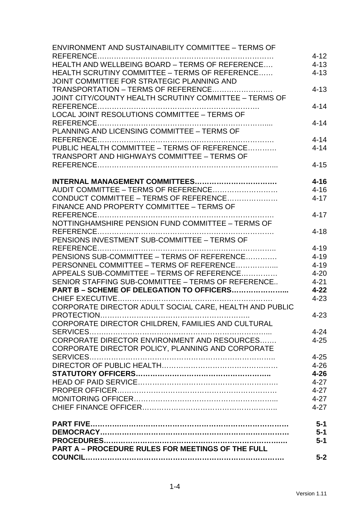| <b>ENVIRONMENT AND SUSTAINABILITY COMMITTEE - TERMS OF</b> |          |
|------------------------------------------------------------|----------|
|                                                            | $4 - 12$ |
| HEALTH AND WELLBEING BOARD - TERMS OF REFERENCE            | $4 - 13$ |
| HEALTH SCRUTINY COMMITTEE - TERMS OF REFERENCE             | $4 - 13$ |
| JOINT COMMITTEE FOR STRATEGIC PLANNING AND                 |          |
| TRANSPORTATION - TERMS OF REFERENCE                        | $4 - 13$ |
| JOINT CITY/COUNTY HEALTH SCRUTINY COMMITTEE - TERMS OF     |          |
|                                                            | $4 - 14$ |
| LOCAL JOINT RESOLUTIONS COMMITTEE - TERMS OF               |          |
|                                                            | $4 - 14$ |
| PLANNING AND LICENSING COMMITTEE - TERMS OF                |          |
|                                                            | $4 - 14$ |
| PUBLIC HEALTH COMMITTEE - TERMS OF REFERENCE               | $4 - 14$ |
| <b>TRANSPORT AND HIGHWAYS COMMITTEE - TERMS OF</b>         |          |
|                                                            | $4 - 15$ |
|                                                            |          |
|                                                            | $4 - 16$ |
| AUDIT COMMITTEE - TERMS OF REFERENCE                       | $4 - 16$ |
| CONDUCT COMMITTEE - TERMS OF REFERENCE                     | $4 - 17$ |
| FINANCE AND PROPERTY COMMITTEE - TERMS OF                  |          |
|                                                            | $4 - 17$ |
| NOTTINGHAMSHIRE PENSION FUND COMMITTEE - TERMS OF          |          |
|                                                            | $4 - 18$ |
| PENSIONS INVESTMENT SUB-COMMITTEE - TERMS OF               |          |
|                                                            | $4 - 19$ |
| PENSIONS SUB-COMMITTEE - TERMS OF REFERENCE                | $4 - 19$ |
| PERSONNEL COMMITTEE - TERMS OF REFERENCE                   | $4 - 19$ |
| APPEALS SUB-COMMITTEE – TERMS OF REFERENCE                 | $4 - 20$ |
| SENIOR STAFFING SUB-COMMITTEE - TERMS OF REFERENCE         | $4 - 21$ |
| PART B - SCHEME OF DELEGATION TO OFFICERS                  | $4 - 22$ |
|                                                            | $4 - 23$ |
| CORPORATE DIRECTOR ADULT SOCIAL CARE, HEALTH AND PUBLIC    |          |
|                                                            | $4 - 23$ |
| CORPORATE DIRECTOR CHILDREN, FAMILIES AND CULTURAL         |          |
|                                                            | $4 - 24$ |
| CORPORATE DIRECTOR ENVIRONMENT AND RESOURCES               | $4 - 25$ |
|                                                            |          |
| CORPORATE DIRECTOR POLICY, PLANNING AND CORPORATE          |          |
|                                                            | $4 - 25$ |
|                                                            | $4 - 26$ |
|                                                            | $4 - 26$ |
|                                                            | $4 - 27$ |
|                                                            | $4 - 27$ |
|                                                            | $4 - 27$ |
|                                                            | $4 - 27$ |
|                                                            | $5-1$    |
|                                                            | $5 - 1$  |
|                                                            | $5-1$    |
| <b>PART A - PROCEDURE RULES FOR MEETINGS OF THE FULL</b>   |          |
|                                                            | $5-2$    |
|                                                            |          |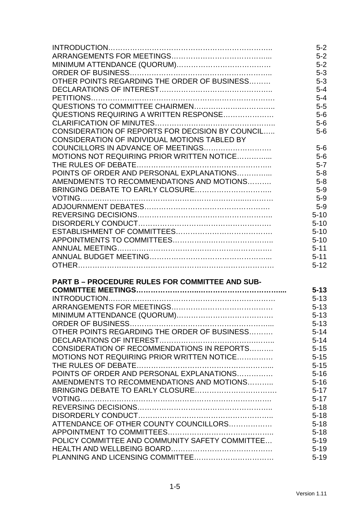|                                                        | $5-2$    |
|--------------------------------------------------------|----------|
|                                                        | $5-2$    |
|                                                        | $5-2$    |
|                                                        | $5 - 3$  |
| OTHER POINTS REGARDING THE ORDER OF BUSINESS           | $5 - 3$  |
|                                                        | $5 - 4$  |
|                                                        | $5 - 4$  |
|                                                        | $5-5$    |
| QUESTIONS REQUIRING A WRITTEN RESPONSE                 | $5-6$    |
|                                                        | $5-6$    |
| CONSIDERATION OF REPORTS FOR DECISION BY COUNCIL       | $5-6$    |
| CONSIDERATION OF INDIVIDUAL MOTIONS TABLED BY          |          |
|                                                        | $5-6$    |
| MOTIONS NOT REQUIRING PRIOR WRITTEN NOTICE             | $5-6$    |
|                                                        | $5 - 7$  |
| POINTS OF ORDER AND PERSONAL EXPLANATIONS              | $5 - 8$  |
| AMENDMENTS TO RECOMMENDATIONS AND MOTIONS              | $5 - 8$  |
|                                                        | $5-9$    |
|                                                        | $5-9$    |
|                                                        | $5-9$    |
|                                                        | $5 - 10$ |
|                                                        | $5 - 10$ |
|                                                        | $5 - 10$ |
|                                                        | $5 - 10$ |
|                                                        | $5 - 11$ |
|                                                        | $5 - 11$ |
|                                                        | $5 - 12$ |
| <b>PART B - PROCEDURE RULES FOR COMMITTEE AND SUB-</b> |          |
|                                                        | $5 - 13$ |
|                                                        | $5 - 13$ |
|                                                        | $5 - 13$ |
|                                                        | $5 - 13$ |
|                                                        | $5 - 13$ |
| OTHER POINTS REGARDING THE ORDER OF BUSINESS           | $5 - 14$ |
|                                                        | $5 - 14$ |
| CONSIDERATION OF RECOMMENDATIONS IN REPORTS            | $5 - 15$ |
| MOTIONS NOT REQUIRING PRIOR WRITTEN NOTICE             | $5 - 15$ |
|                                                        | $5 - 15$ |
| POINTS OF ORDER AND PERSONAL EXPLANATIONS              | $5 - 16$ |
| AMENDMENTS TO RECOMMENDATIONS AND MOTIONS              | $5 - 16$ |
|                                                        | $5 - 17$ |
|                                                        | $5 - 17$ |
|                                                        | $5 - 18$ |
|                                                        | $5 - 18$ |
| ATTENDANCE OF OTHER COUNTY COUNCILLORS                 | $5 - 18$ |
|                                                        | $5 - 18$ |
| POLICY COMMITTEE AND COMMUNITY SAFETY COMMITTEE        | $5 - 19$ |
|                                                        | $5 - 19$ |
|                                                        | $5 - 19$ |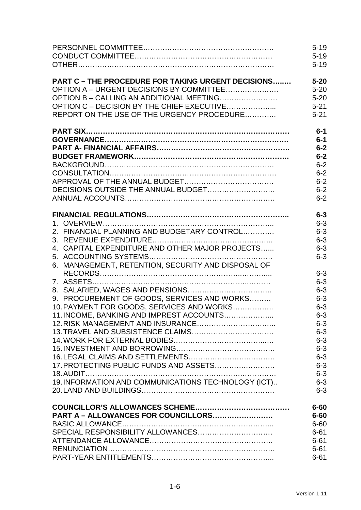|                                                           | $5 - 19$           |
|-----------------------------------------------------------|--------------------|
|                                                           | $5 - 19$           |
|                                                           | $5 - 19$           |
| <b>PART C - THE PROCEDURE FOR TAKING URGENT DECISIONS</b> | $5 - 20$           |
| OPTION A – URGENT DECISIONS BY COMMITTEE                  | $5 - 20$           |
| OPTION B - CALLING AN ADDITIONAL MEETING                  | $5 - 20$           |
| OPTION C - DECISION BY THE CHIEF EXECUTIVE                | $5 - 21$           |
| REPORT ON THE USE OF THE URGENCY PROCEDURE                | $5 - 21$           |
|                                                           | $6-1$              |
|                                                           | $6-1$              |
|                                                           | $6-2$              |
|                                                           | $6-2$              |
|                                                           | $6 - 2$            |
|                                                           | $6 - 2$            |
|                                                           | $6 - 2$            |
|                                                           | $6 - 2$            |
|                                                           | $6 - 2$            |
|                                                           | $6 - 3$            |
|                                                           | $6 - 3$            |
| 2. FINANCIAL PLANNING AND BUDGETARY CONTROL               | $6 - 3$            |
|                                                           | $6 - 3$            |
| 4. CAPITAL EXPENDITURE AND OTHER MAJOR PROJECTS           | $6 - 3$            |
|                                                           | $6 - 3$            |
| 6. MANAGEMENT, RETENTION, SECURITY AND DISPOSAL OF        | $6 - 3$<br>$6 - 3$ |
|                                                           | $6 - 3$            |
| 9. PROCUREMENT OF GOODS, SERVICES AND WORKS               | $6 - 3$            |
| 10. PAYMENT FOR GOODS, SERVICES AND WORKS                 | $6 - 3$            |
| 11. INCOME, BANKING AND IMPREST ACCOUNTS                  | $6 - 3$            |
|                                                           | $6 - 3$            |
|                                                           | $6 - 3$            |
|                                                           | $6 - 3$            |
|                                                           | $6 - 3$            |
|                                                           | $6 - 3$            |
| 17. PROTECTING PUBLIC FUNDS AND ASSETS                    | $6 - 3$            |
|                                                           | $6 - 3$            |
| 19. INFORMATION AND COMMUNICATIONS TECHNOLOGY (ICT)       | $6 - 3$            |
|                                                           | $6 - 3$            |
|                                                           | $6 - 60$           |
| PART A - ALLOWANCES FOR COUNCILLORS                       | $6 - 60$           |
|                                                           | $6 - 60$           |
|                                                           | $6 - 61$           |
|                                                           | $6 - 61$           |
|                                                           | $6 - 61$           |
|                                                           | $6 - 61$           |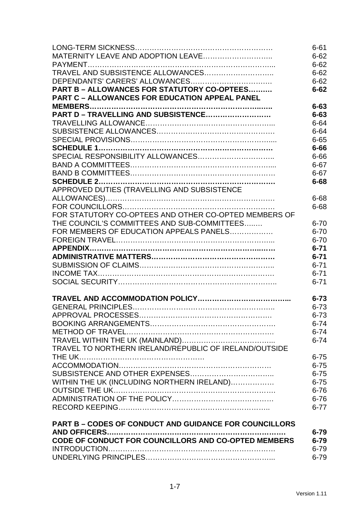|                                                               | $6 - 61$ |
|---------------------------------------------------------------|----------|
|                                                               | $6 - 62$ |
|                                                               | $6 - 62$ |
|                                                               | $6 - 62$ |
|                                                               | $6 - 62$ |
| PART B - ALLOWANCES FOR STATUTORY CO-OPTEES                   | $6 - 62$ |
| <b>PART C - ALLOWANCES FOR EDUCATION APPEAL PANEL</b>         |          |
|                                                               | $6 - 63$ |
| PART D - TRAVELLING AND SUBSISTENCE                           | $6 - 63$ |
|                                                               | $6 - 64$ |
|                                                               | $6 - 64$ |
|                                                               | $6 - 65$ |
|                                                               | $6 - 66$ |
|                                                               | $6 - 66$ |
|                                                               | $6 - 67$ |
|                                                               | $6 - 67$ |
|                                                               | $6 - 68$ |
| APPROVED DUTIES (TRAVELLING AND SUBSISTENCE                   |          |
|                                                               | 6-68     |
|                                                               | $6 - 68$ |
| FOR STATUTORY CO-OPTEES AND OTHER CO-OPTED MEMBERS OF         |          |
| THE COUNCIL'S COMMITTEES AND SUB-COMMITTEES                   | $6 - 70$ |
| FOR MEMBERS OF EDUCATION APPEALS PANELS                       | $6 - 70$ |
|                                                               | $6 - 70$ |
|                                                               | $6 - 71$ |
|                                                               | $6 - 71$ |
|                                                               | $6 - 71$ |
|                                                               | $6 - 71$ |
|                                                               | $6 - 71$ |
|                                                               |          |
|                                                               | $6 - 73$ |
|                                                               | $6 - 73$ |
|                                                               | $6 - 73$ |
|                                                               | $6 - 74$ |
|                                                               | $6 - 74$ |
|                                                               | $6 - 74$ |
| TRAVEL TO NORTHERN IRELAND/REPUBLIC OF IRELAND/OUTSIDE        |          |
|                                                               | $6 - 75$ |
|                                                               | $6 - 75$ |
|                                                               | $6 - 75$ |
| WITHIN THE UK (INCLUDING NORTHERN IRELAND)                    | $6 - 75$ |
|                                                               | $6 - 76$ |
|                                                               | $6 - 76$ |
|                                                               | $6 - 77$ |
|                                                               |          |
| <b>PART B - CODES OF CONDUCT AND GUIDANCE FOR COUNCILLORS</b> |          |
|                                                               | $6 - 79$ |
| CODE OF CONDUCT FOR COUNCILLORS AND CO-OPTED MEMBERS          | $6 - 79$ |
|                                                               | $6 - 79$ |
|                                                               | $6 - 79$ |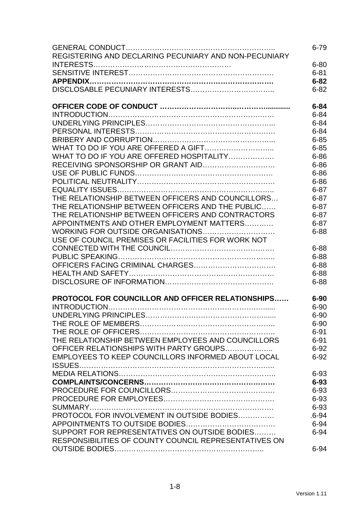|                                                       | $6 - 79$  |
|-------------------------------------------------------|-----------|
| REGISTERING AND DECLARING PECUNIARY AND NON-PECUNIARY |           |
|                                                       | $6 - 80$  |
|                                                       | $6 - 81$  |
|                                                       | $6 - 82$  |
|                                                       | $6 - 82$  |
|                                                       |           |
|                                                       | $6 - 84$  |
|                                                       | $6 - 84$  |
|                                                       | $6 - 84$  |
|                                                       | $6 - 84$  |
|                                                       | $6 - 85$  |
|                                                       | $6 - 85$  |
| WHAT TO DO IF YOU ARE OFFERED HOSPITALITY             | $6 - 86$  |
|                                                       | $6 - 86$  |
|                                                       | $6 - 86$  |
|                                                       | $6 - 86$  |
|                                                       | $6 - 87$  |
| THE RELATIONSHIP BETWEEN OFFICERS AND COUNCILLORS     | $6 - 87$  |
| THE RELATIONSHIP BETWEEN OFFICERS AND THE PUBLIC      | $6 - 87$  |
| THE RELATIONSHIP BETWEEN OFFICERS AND CONTRACTORS     | $6 - 87$  |
| APPOINTMENTS AND OTHER EMPLOYMENT MATTERS             | $6 - 87$  |
| WORKING FOR OUTSIDE ORGANISATIONS                     | $6 - 88$  |
| USE OF COUNCIL PREMISES OR FACILITIES FOR WORK NOT    |           |
|                                                       | $6 - 88$  |
|                                                       |           |
|                                                       | $6 - 88$  |
|                                                       | $6 - 88$  |
|                                                       | $6 - 88$  |
|                                                       | $6 - 88$  |
| PROTOCOL FOR COUNCILLOR AND OFFICER RELATIONSHIPS     | $6 - 90$  |
|                                                       | $6 - 90$  |
|                                                       | $6 - 90$  |
|                                                       | $6 - 90$  |
|                                                       | $6 - 91$  |
| THE RELATIONSHIP BETWEEN EMPLOYEES AND COUNCILLORS    | $6 - 91$  |
| OFFICER RELATIONSHIPS WITH PARTY GROUPS               | $6 - 92$  |
| EMPLOYEES TO KEEP COUNCILLORS INFORMED ABOUT LOCAL    | $6 - 92$  |
|                                                       |           |
|                                                       | $6 - 93$  |
|                                                       | $6 - 93$  |
|                                                       | $6 - 93$  |
|                                                       | $6 - 93$  |
|                                                       | $6 - 93$  |
| PROTOCOL FOR INVOLVEMENT IN OUTSIDE BODIES            | $.6 - 94$ |
|                                                       | $6 - 94$  |
| SUPPORT FOR REPRESENTATIVES ON OUTSIDE BODIES         | $6 - 94$  |
| RESPONSIBILITIES OF COUNTY COUNCIL REPRESENTATIVES ON |           |
|                                                       | $6 - 94$  |
|                                                       |           |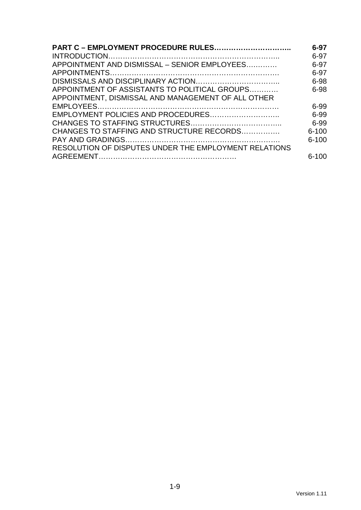| <b>PART C - EMPLOYMENT PROCEDURE RULES</b>            | $6 - 97$  |
|-------------------------------------------------------|-----------|
|                                                       | 6-97      |
| APPOINTMENT AND DISMISSAL - SENIOR EMPLOYEES          | 6-97      |
|                                                       | 6-97      |
|                                                       | 6-98      |
| APPOINTMENT OF ASSISTANTS TO POLITICAL GROUPS         | 6-98      |
| APPOINTMENT, DISMISSAL AND MANAGEMENT OF ALL OTHER    |           |
|                                                       | 6-99      |
|                                                       | 6-99      |
|                                                       | 6-99      |
| CHANGES TO STAFFING AND STRUCTURE RECORDS             | $6 - 100$ |
|                                                       | $6 - 100$ |
| RESOLUTION OF DISPUTES UNDER THE EMPLOYMENT RELATIONS |           |
|                                                       | $6 - 100$ |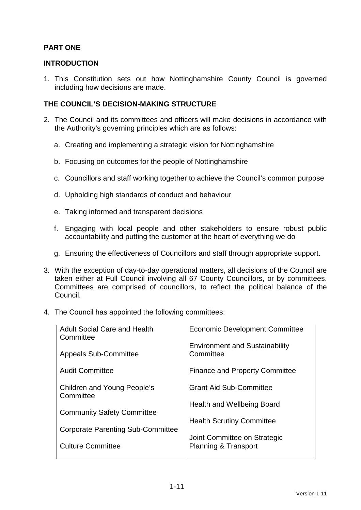### **PART ONE**

#### **INTRODUCTION**

1. This Constitution sets out how Nottinghamshire County Council is governed including how decisions are made.

#### **THE COUNCIL'S DECISION-MAKING STRUCTURE**

- 2. The Council and its committees and officers will make decisions in accordance with the Authority's governing principles which are as follows:
	- a. Creating and implementing a strategic vision for Nottinghamshire
	- b. Focusing on outcomes for the people of Nottinghamshire
	- c. Councillors and staff working together to achieve the Council's common purpose
	- d. Upholding high standards of conduct and behaviour
	- e. Taking informed and transparent decisions
	- f. Engaging with local people and other stakeholders to ensure robust public accountability and putting the customer at the heart of everything we do
	- g. Ensuring the effectiveness of Councillors and staff through appropriate support.
- 3. With the exception of day-to-day operational matters, all decisions of the Council are taken either at Full Council involving all 67 County Councillors, or by committees. Committees are comprised of councillors, to reflect the political balance of the Council.
- 4. The Council has appointed the following committees:

| <b>Adult Social Care and Health</b><br>Committee | <b>Economic Development Committee</b>              |
|--------------------------------------------------|----------------------------------------------------|
| <b>Appeals Sub-Committee</b>                     | <b>Environment and Sustainability</b><br>Committee |
| <b>Audit Committee</b>                           | <b>Finance and Property Committee</b>              |
| Children and Young People's<br>Committee         | <b>Grant Aid Sub-Committee</b>                     |
|                                                  | Health and Wellbeing Board                         |
| <b>Community Safety Committee</b>                | <b>Health Scrutiny Committee</b>                   |
| <b>Corporate Parenting Sub-Committee</b>         | Joint Committee on Strategic                       |
| <b>Culture Committee</b>                         | <b>Planning &amp; Transport</b>                    |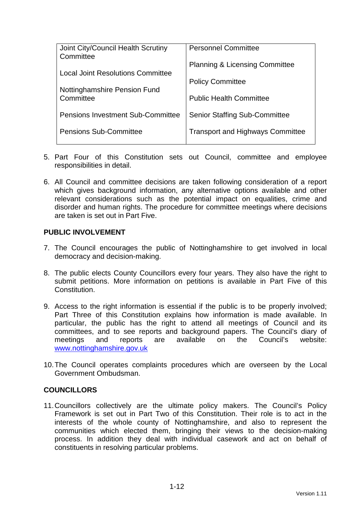| Joint City/Council Health Scrutiny<br>Committee | <b>Personnel Committee</b>                |
|-------------------------------------------------|-------------------------------------------|
| <b>Local Joint Resolutions Committee</b>        | <b>Planning &amp; Licensing Committee</b> |
|                                                 | <b>Policy Committee</b>                   |
| Nottinghamshire Pension Fund<br>Committee       | <b>Public Health Committee</b>            |
| <b>Pensions Investment Sub-Committee</b>        | <b>Senior Staffing Sub-Committee</b>      |
| <b>Pensions Sub-Committee</b>                   | <b>Transport and Highways Committee</b>   |

- 5. Part Four of this Constitution sets out Council, committee and employee responsibilities in detail.
- 6. All Council and committee decisions are taken following consideration of a report which gives background information, any alternative options available and other relevant considerations such as the potential impact on equalities, crime and disorder and human rights. The procedure for committee meetings where decisions are taken is set out in Part Five.

#### **PUBLIC INVOLVEMENT**

- 7. The Council encourages the public of Nottinghamshire to get involved in local democracy and decision-making.
- 8. The public elects County Councillors every four years. They also have the right to submit petitions. More information on petitions is available in Part Five of this **Constitution**
- 9. Access to the right information is essential if the public is to be properly involved; Part Three of this Constitution explains how information is made available. In particular, the public has the right to attend all meetings of Council and its committees, and to see reports and background papers. The Council's diary of meetings and reports are available on the Council's website: www.nottinghamshire.gov.uk
- 10. The Council operates complaints procedures which are overseen by the Local Government Ombudsman.

#### **COUNCILLORS**

11. Councillors collectively are the ultimate policy makers. The Council's Policy Framework is set out in Part Two of this Constitution. Their role is to act in the interests of the whole county of Nottinghamshire, and also to represent the communities which elected them, bringing their views to the decision-making process. In addition they deal with individual casework and act on behalf of constituents in resolving particular problems.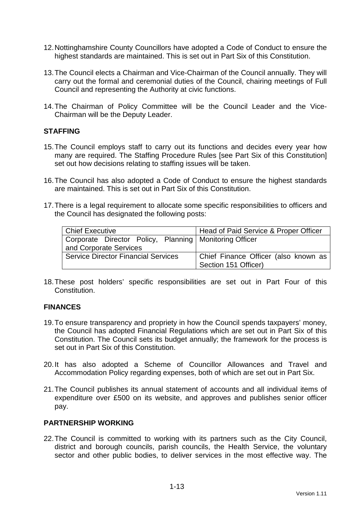- 12. Nottinghamshire County Councillors have adopted a Code of Conduct to ensure the highest standards are maintained. This is set out in Part Six of this Constitution.
- 13. The Council elects a Chairman and Vice-Chairman of the Council annually. They will carry out the formal and ceremonial duties of the Council, chairing meetings of Full Council and representing the Authority at civic functions.
- 14. The Chairman of Policy Committee will be the Council Leader and the Vice-Chairman will be the Deputy Leader.

#### **STAFFING**

- 15. The Council employs staff to carry out its functions and decides every year how many are required. The Staffing Procedure Rules [see Part Six of this Constitution] set out how decisions relating to staffing issues will be taken.
- 16. The Council has also adopted a Code of Conduct to ensure the highest standards are maintained. This is set out in Part Six of this Constitution.
- 17. There is a legal requirement to allocate some specific responsibilities to officers and the Council has designated the following posts:

| <b>Chief Executive</b>                                   | Head of Paid Service & Proper Officer |
|----------------------------------------------------------|---------------------------------------|
| Corporate Director Policy, Planning   Monitoring Officer |                                       |
| and Corporate Services                                   |                                       |
| <b>Service Director Financial Services</b>               | Chief Finance Officer (also known as  |
|                                                          | Section 151 Officer)                  |

18. These post holders' specific responsibilities are set out in Part Four of this Constitution.

#### **FINANCES**

- 19. To ensure transparency and propriety in how the Council spends taxpayers' money, the Council has adopted Financial Regulations which are set out in Part Six of this Constitution. The Council sets its budget annually; the framework for the process is set out in Part Six of this Constitution.
- 20. It has also adopted a Scheme of Councillor Allowances and Travel and Accommodation Policy regarding expenses, both of which are set out in Part Six.
- 21. The Council publishes its annual statement of accounts and all individual items of expenditure over £500 on its website, and approves and publishes senior officer pay.

#### **PARTNERSHIP WORKING**

22. The Council is committed to working with its partners such as the City Council, district and borough councils, parish councils, the Health Service, the voluntary sector and other public bodies, to deliver services in the most effective way. The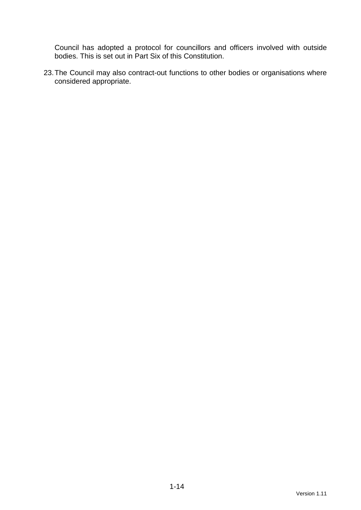Council has adopted a protocol for councillors and officers involved with outside bodies. This is set out in Part Six of this Constitution.

23. The Council may also contract-out functions to other bodies or organisations where considered appropriate.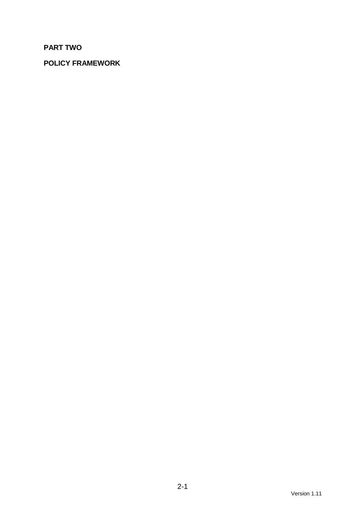# **PART TWO**

# **POLICY FRAMEWORK**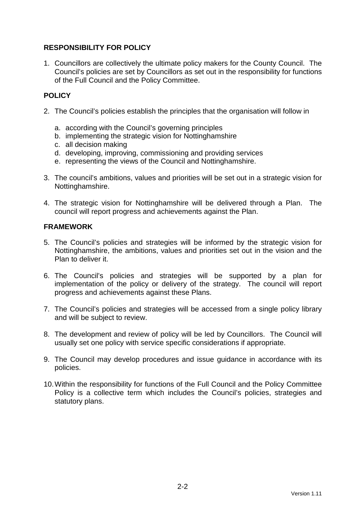### **RESPONSIBILITY FOR POLICY**

1. Councillors are collectively the ultimate policy makers for the County Council. The Council's policies are set by Councillors as set out in the responsibility for functions of the Full Council and the Policy Committee.

## **POLICY**

- 2. The Council's policies establish the principles that the organisation will follow in
	- a. according with the Council's governing principles
	- b. implementing the strategic vision for Nottinghamshire
	- c. all decision making
	- d. developing, improving, commissioning and providing services
	- e. representing the views of the Council and Nottinghamshire.
- 3. The council's ambitions, values and priorities will be set out in a strategic vision for Nottinghamshire.
- 4. The strategic vision for Nottinghamshire will be delivered through a Plan. The council will report progress and achievements against the Plan.

#### **FRAMEWORK**

- 5. The Council's policies and strategies will be informed by the strategic vision for Nottinghamshire, the ambitions, values and priorities set out in the vision and the Plan to deliver it.
- 6. The Council's policies and strategies will be supported by a plan for implementation of the policy or delivery of the strategy. The council will report progress and achievements against these Plans.
- 7. The Council's policies and strategies will be accessed from a single policy library and will be subject to review.
- 8. The development and review of policy will be led by Councillors. The Council will usually set one policy with service specific considerations if appropriate.
- 9. The Council may develop procedures and issue guidance in accordance with its policies.
- 10. Within the responsibility for functions of the Full Council and the Policy Committee Policy is a collective term which includes the Council's policies, strategies and statutory plans.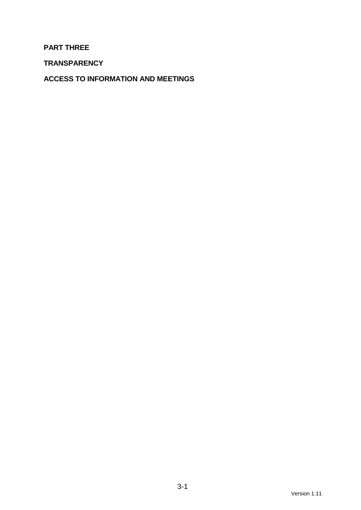#### **PART THREE**

**TRANSPARENCY** 

**ACCESS TO INFORMATION AND MEETINGS**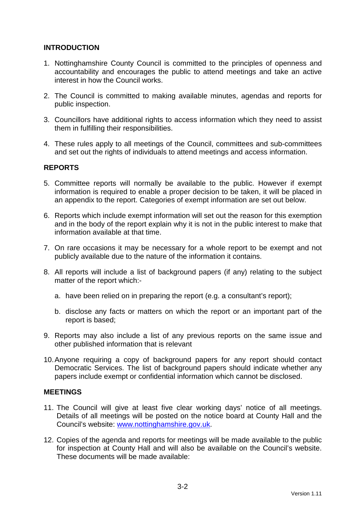#### **INTRODUCTION**

- 1. Nottinghamshire County Council is committed to the principles of openness and accountability and encourages the public to attend meetings and take an active interest in how the Council works.
- 2. The Council is committed to making available minutes, agendas and reports for public inspection.
- 3. Councillors have additional rights to access information which they need to assist them in fulfilling their responsibilities.
- 4. These rules apply to all meetings of the Council, committees and sub-committees and set out the rights of individuals to attend meetings and access information.

#### **REPORTS**

- 5. Committee reports will normally be available to the public. However if exempt information is required to enable a proper decision to be taken, it will be placed in an appendix to the report. Categories of exempt information are set out below.
- 6. Reports which include exempt information will set out the reason for this exemption and in the body of the report explain why it is not in the public interest to make that information available at that time.
- 7. On rare occasions it may be necessary for a whole report to be exempt and not publicly available due to the nature of the information it contains.
- 8. All reports will include a list of background papers (if any) relating to the subject matter of the report which:
	- a. have been relied on in preparing the report (e.g. a consultant's report);
	- b. disclose any facts or matters on which the report or an important part of the report is based;
- 9. Reports may also include a list of any previous reports on the same issue and other published information that is relevant
- 10. Anyone requiring a copy of background papers for any report should contact Democratic Services. The list of background papers should indicate whether any papers include exempt or confidential information which cannot be disclosed.

#### **MEETINGS**

- 11. The Council will give at least five clear working days' notice of all meetings. Details of all meetings will be posted on the notice board at County Hall and the Council's website: www.nottinghamshire.gov.uk.
- 12. Copies of the agenda and reports for meetings will be made available to the public for inspection at County Hall and will also be available on the Council's website. These documents will be made available: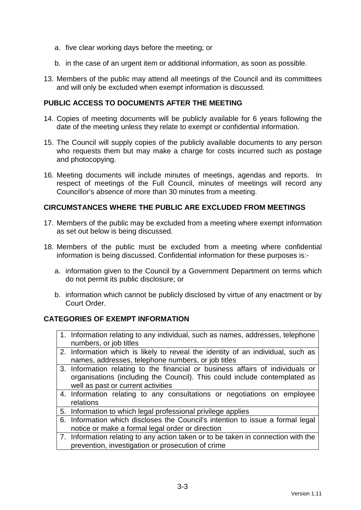- a. five clear working days before the meeting; or
- b. in the case of an urgent item or additional information, as soon as possible.
- 13. Members of the public may attend all meetings of the Council and its committees and will only be excluded when exempt information is discussed.

#### **PUBLIC ACCESS TO DOCUMENTS AFTER THE MEETING**

- 14. Copies of meeting documents will be publicly available for 6 years following the date of the meeting unless they relate to exempt or confidential information.
- 15. The Council will supply copies of the publicly available documents to any person who requests them but may make a charge for costs incurred such as postage and photocopying.
- 16. Meeting documents will include minutes of meetings, agendas and reports. In respect of meetings of the Full Council, minutes of meetings will record any Councillor's absence of more than 30 minutes from a meeting.

#### **CIRCUMSTANCES WHERE THE PUBLIC ARE EXCLUDED FROM MEETINGS**

- 17. Members of the public may be excluded from a meeting where exempt information as set out below is being discussed.
- 18. Members of the public must be excluded from a meeting where confidential information is being discussed. Confidential information for these purposes is:
	- a. information given to the Council by a Government Department on terms which do not permit its public disclosure; or
	- b. information which cannot be publicly disclosed by virtue of any enactment or by Court Order.

#### **CATEGORIES OF EXEMPT INFORMATION**

- 1. Information relating to any individual, such as names, addresses, telephone numbers, or job titles
- 2. Information which is likely to reveal the identity of an individual, such as names, addresses, telephone numbers, or job titles
- 3. Information relating to the financial or business affairs of individuals or organisations (including the Council). This could include contemplated as well as past or current activities
- 4. Information relating to any consultations or negotiations on employee relations
- 5. Information to which legal professional privilege applies
- 6. Information which discloses the Council's intention to issue a formal legal notice or make a formal legal order or direction
- 7. Information relating to any action taken or to be taken in connection with the prevention, investigation or prosecution of crime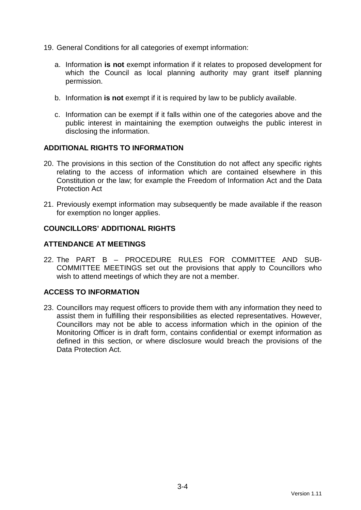- 19. General Conditions for all categories of exempt information:
	- a. Information **is not** exempt information if it relates to proposed development for which the Council as local planning authority may grant itself planning permission.
	- b. Information **is not** exempt if it is required by law to be publicly available.
	- c. Information can be exempt if it falls within one of the categories above and the public interest in maintaining the exemption outweighs the public interest in disclosing the information.

#### **ADDITIONAL RIGHTS TO INFORMATION**

- 20. The provisions in this section of the Constitution do not affect any specific rights relating to the access of information which are contained elsewhere in this Constitution or the law; for example the Freedom of Information Act and the Data Protection Act
- 21. Previously exempt information may subsequently be made available if the reason for exemption no longer applies.

#### **COUNCILLORS' ADDITIONAL RIGHTS**

#### **ATTENDANCE AT MEETINGS**

22. The PART B – PROCEDURE RULES FOR COMMITTEE AND SUB-COMMITTEE MEETINGS set out the provisions that apply to Councillors who wish to attend meetings of which they are not a member.

#### **ACCESS TO INFORMATION**

23. Councillors may request officers to provide them with any information they need to assist them in fulfilling their responsibilities as elected representatives. However, Councillors may not be able to access information which in the opinion of the Monitoring Officer is in draft form, contains confidential or exempt information as defined in this section, or where disclosure would breach the provisions of the Data Protection Act.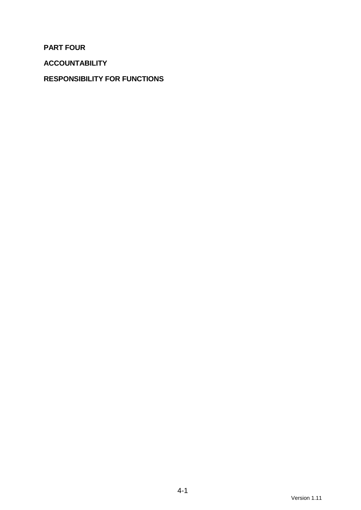**PART FOUR** 

**ACCOUNTABILITY** 

## **RESPONSIBILITY FOR FUNCTIONS**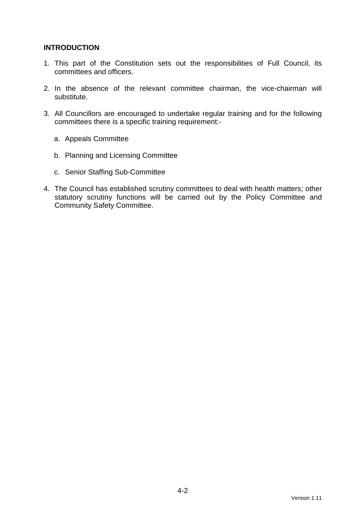#### **INTRODUCTION**

- 1. This part of the Constitution sets out the responsibilities of Full Council, its committees and officers.
- 2. In the absence of the relevant committee chairman, the vice-chairman will substitute.
- 3. All Councillors are encouraged to undertake regular training and for the following committees there is a specific training requirement:
	- a. Appeals Committee
	- b. Planning and Licensing Committee
	- c. Senior Staffing Sub-Committee
- 4. The Council has established scrutiny committees to deal with health matters; other statutory scrutiny functions will be carried out by the Policy Committee and Community Safety Committee.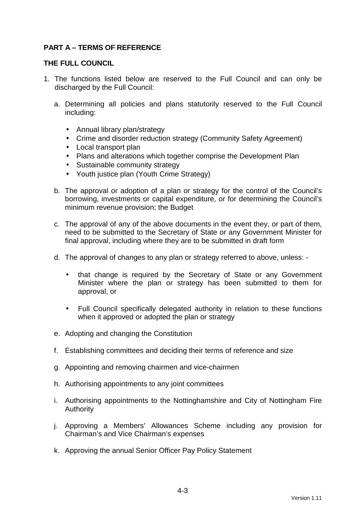### **PART A – TERMS OF REFERENCE**

#### **THE FULL COUNCIL**

- 1. The functions listed below are reserved to the Full Council and can only be discharged by the Full Council:
	- a. Determining all policies and plans statutorily reserved to the Full Council including:
		- Annual library plan/strategy
		- Crime and disorder reduction strategy (Community Safety Agreement)
		- Local transport plan
		- Plans and alterations which together comprise the Development Plan
		- Sustainable community strategy
		- Youth justice plan (Youth Crime Strategy)
	- b. The approval or adoption of a plan or strategy for the control of the Council's borrowing, investments or capital expenditure, or for determining the Council's minimum revenue provision; the Budget
	- c. The approval of any of the above documents in the event they, or part of them, need to be submitted to the Secretary of State or any Government Minister for final approval, including where they are to be submitted in draft form
	- d. The approval of changes to any plan or strategy referred to above, unless:
		- that change is required by the Secretary of State or any Government Minister where the plan or strategy has been submitted to them for approval, or
		- Full Council specifically delegated authority in relation to these functions when it approved or adopted the plan or strategy
	- e. Adopting and changing the Constitution
	- f. Establishing committees and deciding their terms of reference and size
	- g. Appointing and removing chairmen and vice-chairmen
	- h. Authorising appointments to any joint committees
	- i. Authorising appointments to the Nottinghamshire and City of Nottingham Fire Authority
	- j. Approving a Members' Allowances Scheme including any provision for Chairman's and Vice Chairman's expenses
	- k. Approving the annual Senior Officer Pay Policy Statement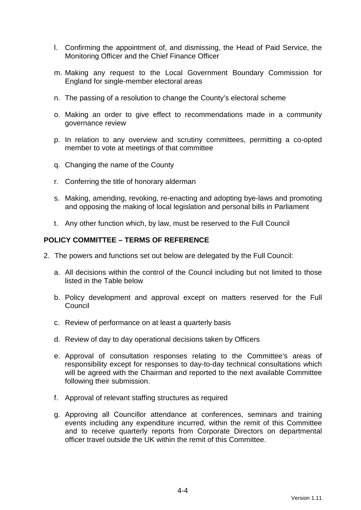- l. Confirming the appointment of, and dismissing, the Head of Paid Service, the Monitoring Officer and the Chief Finance Officer
- m. Making any request to the Local Government Boundary Commission for England for single-member electoral areas
- n. The passing of a resolution to change the County's electoral scheme
- o. Making an order to give effect to recommendations made in a community governance review
- p. In relation to any overview and scrutiny committees, permitting a co-opted member to vote at meetings of that committee
- q. Changing the name of the County
- r. Conferring the title of honorary alderman
- s. Making, amending, revoking, re-enacting and adopting bye-laws and promoting and opposing the making of local legislation and personal bills in Parliament
- t. Any other function which, by law, must be reserved to the Full Council

#### **POLICY COMMITTEE – TERMS OF REFERENCE**

- 2. The powers and functions set out below are delegated by the Full Council:
	- a. All decisions within the control of the Council including but not limited to those listed in the Table below
	- b. Policy development and approval except on matters reserved for the Full Council
	- c. Review of performance on at least a quarterly basis
	- d. Review of day to day operational decisions taken by Officers
	- e. Approval of consultation responses relating to the Committee's areas of responsibility except for responses to day-to-day technical consultations which will be agreed with the Chairman and reported to the next available Committee following their submission.
	- f. Approval of relevant staffing structures as required
	- g. Approving all Councillor attendance at conferences, seminars and training events including any expenditure incurred, within the remit of this Committee and to receive quarterly reports from Corporate Directors on departmental officer travel outside the UK within the remit of this Committee.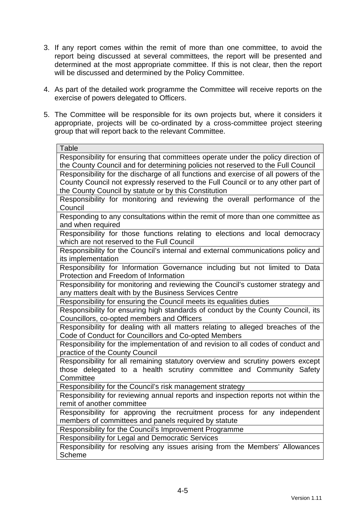- 3. If any report comes within the remit of more than one committee, to avoid the report being discussed at several committees, the report will be presented and determined at the most appropriate committee. If this is not clear, then the report will be discussed and determined by the Policy Committee.
- 4. As part of the detailed work programme the Committee will receive reports on the exercise of powers delegated to Officers.
- 5. The Committee will be responsible for its own projects but, where it considers it appropriate, projects will be co-ordinated by a cross-committee project steering group that will report back to the relevant Committee.

| <b>Table</b>                                                                        |  |
|-------------------------------------------------------------------------------------|--|
| Responsibility for ensuring that committees operate under the policy direction of   |  |
| the County Council and for determining policies not reserved to the Full Council    |  |
| Responsibility for the discharge of all functions and exercise of all powers of the |  |
| County Council not expressly reserved to the Full Council or to any other part of   |  |
| the County Council by statute or by this Constitution                               |  |
| Responsibility for monitoring and reviewing the overall performance of the          |  |
| Council                                                                             |  |
| Responding to any consultations within the remit of more than one committee as      |  |
| and when required                                                                   |  |
| Responsibility for those functions relating to elections and local democracy        |  |
| which are not reserved to the Full Council                                          |  |
| Responsibility for the Council's internal and external communications policy and    |  |
| its implementation                                                                  |  |
| Responsibility for Information Governance including but not limited to Data         |  |
| Protection and Freedom of Information                                               |  |
| Responsibility for monitoring and reviewing the Council's customer strategy and     |  |
| any matters dealt with by the Business Services Centre                              |  |
| Responsibility for ensuring the Council meets its equalities duties                 |  |
| Responsibility for ensuring high standards of conduct by the County Council, its    |  |
| Councillors, co-opted members and Officers                                          |  |
| Responsibility for dealing with all matters relating to alleged breaches of the     |  |
| Code of Conduct for Councillors and Co-opted Members                                |  |
| Responsibility for the implementation of and revision to all codes of conduct and   |  |
| practice of the County Council                                                      |  |
| Responsibility for all remaining statutory overview and scrutiny powers except      |  |
| those delegated to a health scrutiny committee and Community Safety                 |  |
| Committee                                                                           |  |
| Responsibility for the Council's risk management strategy                           |  |
| Responsibility for reviewing annual reports and inspection reports not within the   |  |
| remit of another committee                                                          |  |
| Responsibility for approving the recruitment process for any independent            |  |
| members of committees and panels required by statute                                |  |
| Responsibility for the Council's Improvement Programme                              |  |
| Responsibility for Legal and Democratic Services                                    |  |
| Responsibility for resolving any issues arising from the Members' Allowances        |  |
| <b>Scheme</b>                                                                       |  |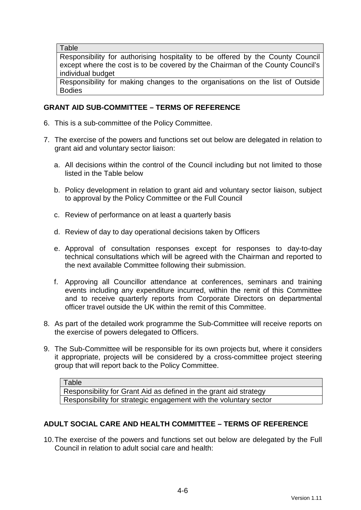**Table** 

Responsibility for authorising hospitality to be offered by the County Council except where the cost is to be covered by the Chairman of the County Council's individual budget

Responsibility for making changes to the organisations on the list of Outside Bodies

#### **GRANT AID SUB-COMMITTEE – TERMS OF REFERENCE**

- 6. This is a sub-committee of the Policy Committee.
- 7. The exercise of the powers and functions set out below are delegated in relation to grant aid and voluntary sector liaison:
	- a. All decisions within the control of the Council including but not limited to those listed in the Table below
	- b. Policy development in relation to grant aid and voluntary sector liaison, subject to approval by the Policy Committee or the Full Council
	- c. Review of performance on at least a quarterly basis
	- d. Review of day to day operational decisions taken by Officers
	- e. Approval of consultation responses except for responses to day-to-day technical consultations which will be agreed with the Chairman and reported to the next available Committee following their submission.
	- f. Approving all Councillor attendance at conferences, seminars and training events including any expenditure incurred, within the remit of this Committee and to receive quarterly reports from Corporate Directors on departmental officer travel outside the UK within the remit of this Committee.
- 8. As part of the detailed work programme the Sub-Committee will receive reports on the exercise of powers delegated to Officers.
- 9. The Sub-Committee will be responsible for its own projects but, where it considers it appropriate, projects will be considered by a cross-committee project steering group that will report back to the Policy Committee.

Table Responsibility for Grant Aid as defined in the grant aid strategy Responsibility for strategic engagement with the voluntary sector

#### **ADULT SOCIAL CARE AND HEALTH COMMITTEE – TERMS OF REFERENCE**

10. The exercise of the powers and functions set out below are delegated by the Full Council in relation to adult social care and health: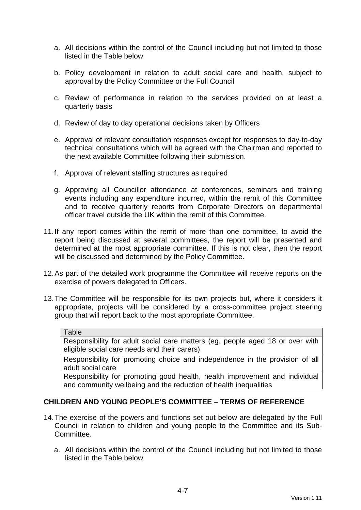- a. All decisions within the control of the Council including but not limited to those listed in the Table below
- b. Policy development in relation to adult social care and health, subject to approval by the Policy Committee or the Full Council
- c. Review of performance in relation to the services provided on at least a quarterly basis
- d. Review of day to day operational decisions taken by Officers
- e. Approval of relevant consultation responses except for responses to day-to-day technical consultations which will be agreed with the Chairman and reported to the next available Committee following their submission.
- f. Approval of relevant staffing structures as required
- g. Approving all Councillor attendance at conferences, seminars and training events including any expenditure incurred, within the remit of this Committee and to receive quarterly reports from Corporate Directors on departmental officer travel outside the UK within the remit of this Committee.
- 11. If any report comes within the remit of more than one committee, to avoid the report being discussed at several committees, the report will be presented and determined at the most appropriate committee. If this is not clear, then the report will be discussed and determined by the Policy Committee.
- 12. As part of the detailed work programme the Committee will receive reports on the exercise of powers delegated to Officers.
- 13. The Committee will be responsible for its own projects but, where it considers it appropriate, projects will be considered by a cross-committee project steering group that will report back to the most appropriate Committee.

#### **Table**

Responsibility for adult social care matters (eg. people aged 18 or over with eligible social care needs and their carers)

Responsibility for promoting choice and independence in the provision of all adult social care

Responsibility for promoting good health, health improvement and individual and community wellbeing and the reduction of health inequalities

#### **CHILDREN AND YOUNG PEOPLE'S COMMITTEE – TERMS OF REFERENCE**

- 14. The exercise of the powers and functions set out below are delegated by the Full Council in relation to children and young people to the Committee and its Sub-Committee.
	- a. All decisions within the control of the Council including but not limited to those listed in the Table below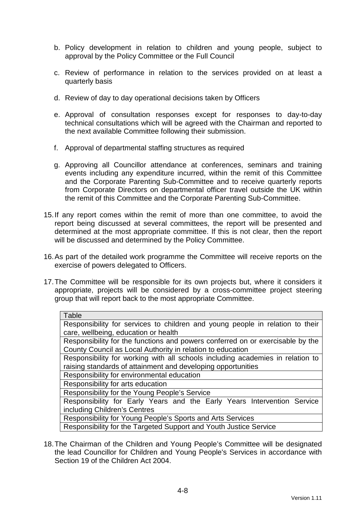- b. Policy development in relation to children and young people, subject to approval by the Policy Committee or the Full Council
- c. Review of performance in relation to the services provided on at least a quarterly basis
- d. Review of day to day operational decisions taken by Officers
- e. Approval of consultation responses except for responses to day-to-day technical consultations which will be agreed with the Chairman and reported to the next available Committee following their submission.
- f. Approval of departmental staffing structures as required
- g. Approving all Councillor attendance at conferences, seminars and training events including any expenditure incurred, within the remit of this Committee and the Corporate Parenting Sub-Committee and to receive quarterly reports from Corporate Directors on departmental officer travel outside the UK within the remit of this Committee and the Corporate Parenting Sub-Committee.
- 15. If any report comes within the remit of more than one committee, to avoid the report being discussed at several committees, the report will be presented and determined at the most appropriate committee. If this is not clear, then the report will be discussed and determined by the Policy Committee.
- 16. As part of the detailed work programme the Committee will receive reports on the exercise of powers delegated to Officers.
- 17. The Committee will be responsible for its own projects but, where it considers it appropriate, projects will be considered by a cross-committee project steering group that will report back to the most appropriate Committee.

| Table                                                                          |
|--------------------------------------------------------------------------------|
| Responsibility for services to children and young people in relation to their  |
| care, wellbeing, education or health                                           |
| Responsibility for the functions and powers conferred on or exercisable by the |
| County Council as Local Authority in relation to education                     |
| Responsibility for working with all schools including academies in relation to |
| raising standards of attainment and developing opportunities                   |
| Responsibility for environmental education                                     |
| Responsibility for arts education                                              |
| Responsibility for the Young People's Service                                  |
| Responsibility for Early Years and the Early Years Intervention Service        |
| including Children's Centres                                                   |
| Responsibility for Young People's Sports and Arts Services                     |
| Responsibility for the Targeted Support and Youth Justice Service              |

18. The Chairman of the Children and Young People's Committee will be designated the lead Councillor for Children and Young People's Services in accordance with Section 19 of the Children Act 2004.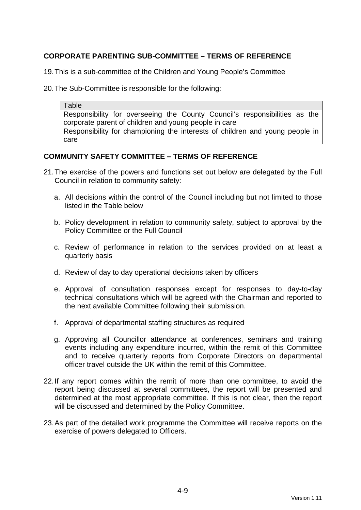### **CORPORATE PARENTING SUB-COMMITTEE – TERMS OF REFERENCE**

19. This is a sub-committee of the Children and Young People's Committee

20. The Sub-Committee is responsible for the following:

Table Responsibility for overseeing the County Council's responsibilities as the corporate parent of children and young people in care Responsibility for championing the interests of children and young people in care

#### **COMMUNITY SAFETY COMMITTEE – TERMS OF REFERENCE**

- 21. The exercise of the powers and functions set out below are delegated by the Full Council in relation to community safety:
	- a. All decisions within the control of the Council including but not limited to those listed in the Table below
	- b. Policy development in relation to community safety, subject to approval by the Policy Committee or the Full Council
	- c. Review of performance in relation to the services provided on at least a quarterly basis
	- d. Review of day to day operational decisions taken by officers
	- e. Approval of consultation responses except for responses to day-to-day technical consultations which will be agreed with the Chairman and reported to the next available Committee following their submission.
	- f. Approval of departmental staffing structures as required
	- g. Approving all Councillor attendance at conferences, seminars and training events including any expenditure incurred, within the remit of this Committee and to receive quarterly reports from Corporate Directors on departmental officer travel outside the UK within the remit of this Committee.
- 22. If any report comes within the remit of more than one committee, to avoid the report being discussed at several committees, the report will be presented and determined at the most appropriate committee. If this is not clear, then the report will be discussed and determined by the Policy Committee.
- 23. As part of the detailed work programme the Committee will receive reports on the exercise of powers delegated to Officers.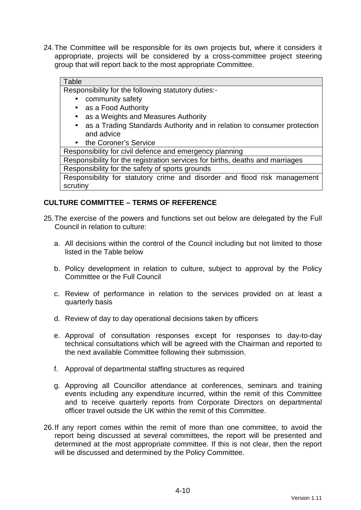24. The Committee will be responsible for its own projects but, where it considers it appropriate, projects will be considered by a cross-committee project steering group that will report back to the most appropriate Committee.

#### Table

Responsibility for the following statutory duties:-

- community safety
- as a Food Authority
- as a Weights and Measures Authority
- as a Trading Standards Authority and in relation to consumer protection and advice
- the Coroner's Service

Responsibility for civil defence and emergency planning

Responsibility for the registration services for births, deaths and marriages

Responsibility for the safety of sports grounds

Responsibility for statutory crime and disorder and flood risk management scrutiny

#### **CULTURE COMMITTEE – TERMS OF REFERENCE**

- 25. The exercise of the powers and functions set out below are delegated by the Full Council in relation to culture:
	- a. All decisions within the control of the Council including but not limited to those listed in the Table below
	- b. Policy development in relation to culture, subject to approval by the Policy Committee or the Full Council
	- c. Review of performance in relation to the services provided on at least a quarterly basis
	- d. Review of day to day operational decisions taken by officers
	- e. Approval of consultation responses except for responses to day-to-day technical consultations which will be agreed with the Chairman and reported to the next available Committee following their submission.
	- f. Approval of departmental staffing structures as required
	- g. Approving all Councillor attendance at conferences, seminars and training events including any expenditure incurred, within the remit of this Committee and to receive quarterly reports from Corporate Directors on departmental officer travel outside the UK within the remit of this Committee.
- 26. If any report comes within the remit of more than one committee, to avoid the report being discussed at several committees, the report will be presented and determined at the most appropriate committee. If this is not clear, then the report will be discussed and determined by the Policy Committee.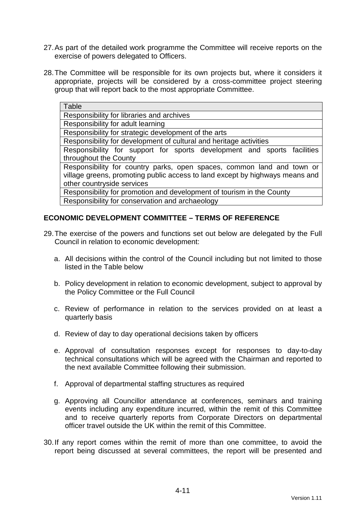- 27. As part of the detailed work programme the Committee will receive reports on the exercise of powers delegated to Officers.
- 28. The Committee will be responsible for its own projects but, where it considers it appropriate, projects will be considered by a cross-committee project steering group that will report back to the most appropriate Committee.

| Table                                                                        |
|------------------------------------------------------------------------------|
| Responsibility for libraries and archives                                    |
| Responsibility for adult learning                                            |
| Responsibility for strategic development of the arts                         |
| Responsibility for development of cultural and heritage activities           |
| Responsibility for support for sports development and sports facilities      |
| throughout the County                                                        |
| Responsibility for country parks, open spaces, common land and town or       |
| village greens, promoting public access to land except by highways means and |
| other countryside services                                                   |
| Responsibility for promotion and development of tourism in the County        |
| Responsibility for conservation and archaeology                              |

#### **ECONOMIC DEVELOPMENT COMMITTEE – TERMS OF REFERENCE**

- 29. The exercise of the powers and functions set out below are delegated by the Full Council in relation to economic development:
	- a. All decisions within the control of the Council including but not limited to those listed in the Table below
	- b. Policy development in relation to economic development, subject to approval by the Policy Committee or the Full Council
	- c. Review of performance in relation to the services provided on at least a quarterly basis
	- d. Review of day to day operational decisions taken by officers
	- e. Approval of consultation responses except for responses to day-to-day technical consultations which will be agreed with the Chairman and reported to the next available Committee following their submission.
	- f. Approval of departmental staffing structures as required
	- g. Approving all Councillor attendance at conferences, seminars and training events including any expenditure incurred, within the remit of this Committee and to receive quarterly reports from Corporate Directors on departmental officer travel outside the UK within the remit of this Committee.
- 30. If any report comes within the remit of more than one committee, to avoid the report being discussed at several committees, the report will be presented and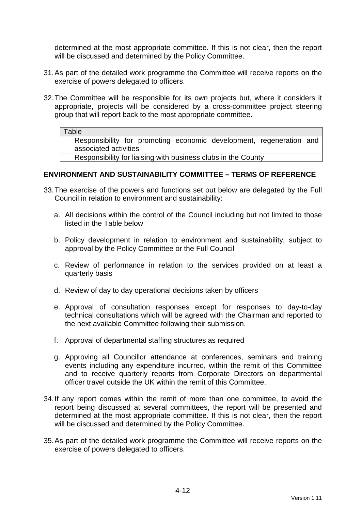determined at the most appropriate committee. If this is not clear, then the report will be discussed and determined by the Policy Committee.

- 31. As part of the detailed work programme the Committee will receive reports on the exercise of powers delegated to officers.
- 32. The Committee will be responsible for its own projects but, where it considers it appropriate, projects will be considered by a cross-committee project steering group that will report back to the most appropriate committee.

#### **Table**

Responsibility for promoting economic development, regeneration and associated activities

Responsibility for liaising with business clubs in the County

#### **ENVIRONMENT AND SUSTAINABILITY COMMITTEE – TERMS OF REFERENCE**

- 33. The exercise of the powers and functions set out below are delegated by the Full Council in relation to environment and sustainability:
	- a. All decisions within the control of the Council including but not limited to those listed in the Table below
	- b. Policy development in relation to environment and sustainability, subject to approval by the Policy Committee or the Full Council
	- c. Review of performance in relation to the services provided on at least a quarterly basis
	- d. Review of day to day operational decisions taken by officers
	- e. Approval of consultation responses except for responses to day-to-day technical consultations which will be agreed with the Chairman and reported to the next available Committee following their submission.
	- f. Approval of departmental staffing structures as required
	- g. Approving all Councillor attendance at conferences, seminars and training events including any expenditure incurred, within the remit of this Committee and to receive quarterly reports from Corporate Directors on departmental officer travel outside the UK within the remit of this Committee.
- 34. If any report comes within the remit of more than one committee, to avoid the report being discussed at several committees, the report will be presented and determined at the most appropriate committee. If this is not clear, then the report will be discussed and determined by the Policy Committee.
- 35. As part of the detailed work programme the Committee will receive reports on the exercise of powers delegated to officers.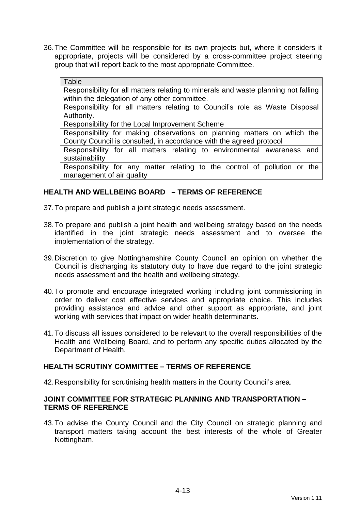36. The Committee will be responsible for its own projects but, where it considers it appropriate, projects will be considered by a cross-committee project steering group that will report back to the most appropriate Committee.

#### Table

Responsibility for all matters relating to minerals and waste planning not falling within the delegation of any other committee.

Responsibility for all matters relating to Council's role as Waste Disposal Authority.

Responsibility for the Local Improvement Scheme

Responsibility for making observations on planning matters on which the County Council is consulted, in accordance with the agreed protocol

Responsibility for all matters relating to environmental awareness and sustainability

Responsibility for any matter relating to the control of pollution or the management of air quality

#### **HEALTH AND WELLBEING BOARD – TERMS OF REFERENCE**

37. To prepare and publish a joint strategic needs assessment.

- 38. To prepare and publish a joint health and wellbeing strategy based on the needs identified in the joint strategic needs assessment and to oversee the implementation of the strategy.
- 39. Discretion to give Nottinghamshire County Council an opinion on whether the Council is discharging its statutory duty to have due regard to the joint strategic needs assessment and the health and wellbeing strategy.
- 40. To promote and encourage integrated working including joint commissioning in order to deliver cost effective services and appropriate choice. This includes providing assistance and advice and other support as appropriate, and joint working with services that impact on wider health determinants.
- 41. To discuss all issues considered to be relevant to the overall responsibilities of the Health and Wellbeing Board, and to perform any specific duties allocated by the Department of Health.

#### **HEALTH SCRUTINY COMMITTEE – TERMS OF REFERENCE**

42. Responsibility for scrutinising health matters in the County Council's area.

#### **JOINT COMMITTEE FOR STRATEGIC PLANNING AND TRANSPORTATION – TERMS OF REFERENCE**

43. To advise the County Council and the City Council on strategic planning and transport matters taking account the best interests of the whole of Greater Nottingham.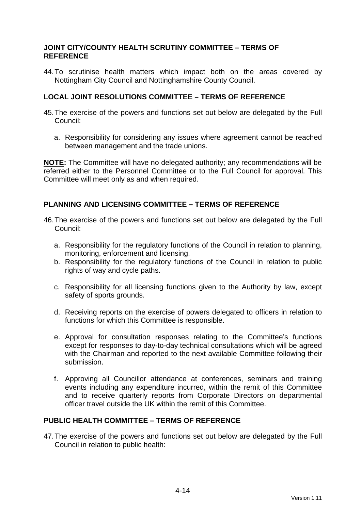#### **JOINT CITY/COUNTY HEALTH SCRUTINY COMMITTEE – TERMS OF REFERENCE**

44. To scrutinise health matters which impact both on the areas covered by Nottingham City Council and Nottinghamshire County Council.

#### **LOCAL JOINT RESOLUTIONS COMMITTEE – TERMS OF REFERENCE**

- 45. The exercise of the powers and functions set out below are delegated by the Full Council:
	- a. Responsibility for considering any issues where agreement cannot be reached between management and the trade unions.

**NOTE:** The Committee will have no delegated authority; any recommendations will be referred either to the Personnel Committee or to the Full Council for approval. This Committee will meet only as and when required.

#### **PLANNING AND LICENSING COMMITTEE – TERMS OF REFERENCE**

- 46. The exercise of the powers and functions set out below are delegated by the Full Council:
	- a. Responsibility for the regulatory functions of the Council in relation to planning, monitoring, enforcement and licensing.
	- b. Responsibility for the regulatory functions of the Council in relation to public rights of way and cycle paths.
	- c. Responsibility for all licensing functions given to the Authority by law, except safety of sports grounds.
	- d. Receiving reports on the exercise of powers delegated to officers in relation to functions for which this Committee is responsible.
	- e. Approval for consultation responses relating to the Committee's functions except for responses to day-to-day technical consultations which will be agreed with the Chairman and reported to the next available Committee following their submission.
	- f. Approving all Councillor attendance at conferences, seminars and training events including any expenditure incurred, within the remit of this Committee and to receive quarterly reports from Corporate Directors on departmental officer travel outside the UK within the remit of this Committee.

#### **PUBLIC HEALTH COMMITTEE – TERMS OF REFERENCE**

47. The exercise of the powers and functions set out below are delegated by the Full Council in relation to public health: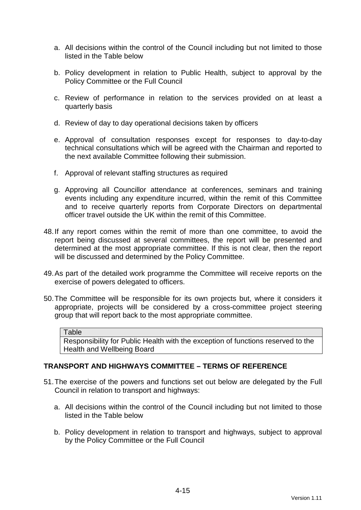- a. All decisions within the control of the Council including but not limited to those listed in the Table below
- b. Policy development in relation to Public Health, subject to approval by the Policy Committee or the Full Council
- c. Review of performance in relation to the services provided on at least a quarterly basis
- d. Review of day to day operational decisions taken by officers
- e. Approval of consultation responses except for responses to day-to-day technical consultations which will be agreed with the Chairman and reported to the next available Committee following their submission.
- f. Approval of relevant staffing structures as required
- g. Approving all Councillor attendance at conferences, seminars and training events including any expenditure incurred, within the remit of this Committee and to receive quarterly reports from Corporate Directors on departmental officer travel outside the UK within the remit of this Committee.
- 48. If any report comes within the remit of more than one committee, to avoid the report being discussed at several committees, the report will be presented and determined at the most appropriate committee. If this is not clear, then the report will be discussed and determined by the Policy Committee.
- 49. As part of the detailed work programme the Committee will receive reports on the exercise of powers delegated to officers.
- 50. The Committee will be responsible for its own projects but, where it considers it appropriate, projects will be considered by a cross-committee project steering group that will report back to the most appropriate committee.

#### **Table**

Responsibility for Public Health with the exception of functions reserved to the Health and Wellbeing Board

#### **TRANSPORT AND HIGHWAYS COMMITTEE – TERMS OF REFERENCE**

- 51. The exercise of the powers and functions set out below are delegated by the Full Council in relation to transport and highways:
	- a. All decisions within the control of the Council including but not limited to those listed in the Table below
	- b. Policy development in relation to transport and highways, subject to approval by the Policy Committee or the Full Council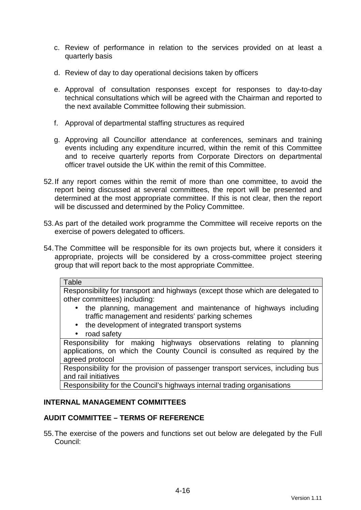- c. Review of performance in relation to the services provided on at least a quarterly basis
- d. Review of day to day operational decisions taken by officers
- e. Approval of consultation responses except for responses to day-to-day technical consultations which will be agreed with the Chairman and reported to the next available Committee following their submission.
- f. Approval of departmental staffing structures as required
- g. Approving all Councillor attendance at conferences, seminars and training events including any expenditure incurred, within the remit of this Committee and to receive quarterly reports from Corporate Directors on departmental officer travel outside the UK within the remit of this Committee.
- 52. If any report comes within the remit of more than one committee, to avoid the report being discussed at several committees, the report will be presented and determined at the most appropriate committee. If this is not clear, then the report will be discussed and determined by the Policy Committee.
- 53. As part of the detailed work programme the Committee will receive reports on the exercise of powers delegated to officers.
- 54. The Committee will be responsible for its own projects but, where it considers it appropriate, projects will be considered by a cross-committee project steering group that will report back to the most appropriate Committee.

#### **Table**

Responsibility for transport and highways (except those which are delegated to other committees) including:

- the planning, management and maintenance of highways including traffic management and residents' parking schemes
- the development of integrated transport systems
- road safety

Responsibility for making highways observations relating to planning applications, on which the County Council is consulted as required by the agreed protocol

Responsibility for the provision of passenger transport services, including bus and rail initiatives

Responsibility for the Council's highways internal trading organisations

#### **INTERNAL MANAGEMENT COMMITTEES**

#### **AUDIT COMMITTEE – TERMS OF REFERENCE**

55. The exercise of the powers and functions set out below are delegated by the Full Council: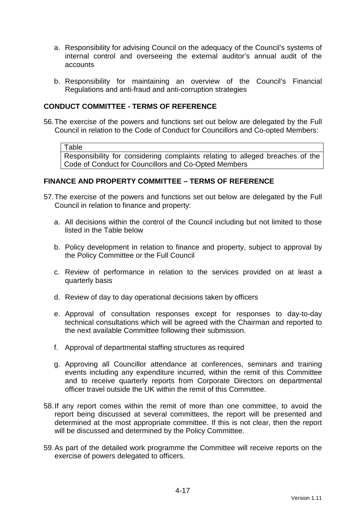- a. Responsibility for advising Council on the adequacy of the Council's systems of internal control and overseeing the external auditor's annual audit of the accounts
- b. Responsibility for maintaining an overview of the Council's Financial Regulations and anti-fraud and anti-corruption strategies

#### **CONDUCT COMMITTEE - TERMS OF REFERENCE**

56. The exercise of the powers and functions set out below are delegated by the Full Council in relation to the Code of Conduct for Councillors and Co-opted Members:

Table

Responsibility for considering complaints relating to alleged breaches of the Code of Conduct for Councillors and Co-Opted Members

### **FINANCE AND PROPERTY COMMITTEE – TERMS OF REFERENCE**

- 57. The exercise of the powers and functions set out below are delegated by the Full Council in relation to finance and property:
	- a. All decisions within the control of the Council including but not limited to those listed in the Table below
	- b. Policy development in relation to finance and property, subject to approval by the Policy Committee or the Full Council
	- c. Review of performance in relation to the services provided on at least a quarterly basis
	- d. Review of day to day operational decisions taken by officers
	- e. Approval of consultation responses except for responses to day-to-day technical consultations which will be agreed with the Chairman and reported to the next available Committee following their submission.
	- f. Approval of departmental staffing structures as required
	- g. Approving all Councillor attendance at conferences, seminars and training events including any expenditure incurred, within the remit of this Committee and to receive quarterly reports from Corporate Directors on departmental officer travel outside the UK within the remit of this Committee.
- 58. If any report comes within the remit of more than one committee, to avoid the report being discussed at several committees, the report will be presented and determined at the most appropriate committee. If this is not clear, then the report will be discussed and determined by the Policy Committee.
- 59. As part of the detailed work programme the Committee will receive reports on the exercise of powers delegated to officers.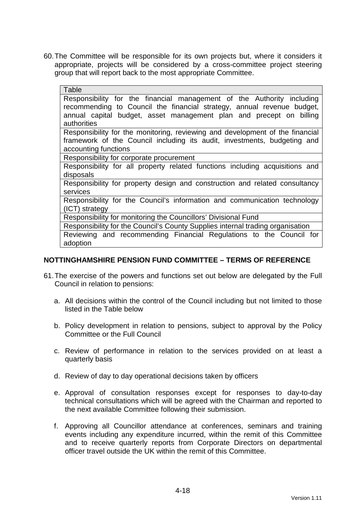60. The Committee will be responsible for its own projects but, where it considers it appropriate, projects will be considered by a cross-committee project steering group that will report back to the most appropriate Committee.

| Table                                                                                                                                                                                                                                  |
|----------------------------------------------------------------------------------------------------------------------------------------------------------------------------------------------------------------------------------------|
| Responsibility for the financial management of the Authority including<br>recommending to Council the financial strategy, annual revenue budget,<br>annual capital budget, asset management plan and precept on billing<br>authorities |
| Responsibility for the monitoring, reviewing and development of the financial<br>framework of the Council including its audit, investments, budgeting and<br>accounting functions                                                      |
| Responsibility for corporate procurement                                                                                                                                                                                               |
| Responsibility for all property related functions including acquisitions and<br>disposals                                                                                                                                              |
| Responsibility for property design and construction and related consultancy<br>services                                                                                                                                                |
| Responsibility for the Council's information and communication technology<br>(ICT) strategy                                                                                                                                            |
| Responsibility for monitoring the Councillors' Divisional Fund                                                                                                                                                                         |
| Responsibility for the Council's County Supplies internal trading organisation                                                                                                                                                         |
| Reviewing and recommending Financial Regulations to the Council for<br>adoption                                                                                                                                                        |

### **NOTTINGHAMSHIRE PENSION FUND COMMITTEE – TERMS OF REFERENCE**

- 61. The exercise of the powers and functions set out below are delegated by the Full Council in relation to pensions:
	- a. All decisions within the control of the Council including but not limited to those listed in the Table below
	- b. Policy development in relation to pensions, subject to approval by the Policy Committee or the Full Council
	- c. Review of performance in relation to the services provided on at least a quarterly basis
	- d. Review of day to day operational decisions taken by officers
	- e. Approval of consultation responses except for responses to day-to-day technical consultations which will be agreed with the Chairman and reported to the next available Committee following their submission.
	- f. Approving all Councillor attendance at conferences, seminars and training events including any expenditure incurred, within the remit of this Committee and to receive quarterly reports from Corporate Directors on departmental officer travel outside the UK within the remit of this Committee.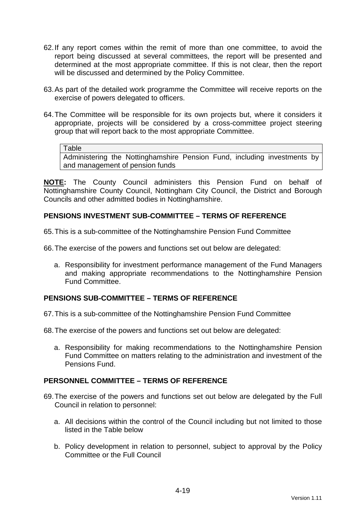- 62. If any report comes within the remit of more than one committee, to avoid the report being discussed at several committees, the report will be presented and determined at the most appropriate committee. If this is not clear, then the report will be discussed and determined by the Policy Committee.
- 63. As part of the detailed work programme the Committee will receive reports on the exercise of powers delegated to officers.
- 64. The Committee will be responsible for its own projects but, where it considers it appropriate, projects will be considered by a cross-committee project steering group that will report back to the most appropriate Committee.

#### Table

Administering the Nottinghamshire Pension Fund, including investments by and management of pension funds

**NOTE:** The County Council administers this Pension Fund on behalf of Nottinghamshire County Council, Nottingham City Council, the District and Borough Councils and other admitted bodies in Nottinghamshire.

### **PENSIONS INVESTMENT SUB-COMMITTEE – TERMS OF REFERENCE**

65. This is a sub-committee of the Nottinghamshire Pension Fund Committee

66. The exercise of the powers and functions set out below are delegated:

a. Responsibility for investment performance management of the Fund Managers and making appropriate recommendations to the Nottinghamshire Pension Fund Committee.

### **PENSIONS SUB-COMMITTEE – TERMS OF REFERENCE**

67. This is a sub-committee of the Nottinghamshire Pension Fund Committee

68. The exercise of the powers and functions set out below are delegated:

a. Responsibility for making recommendations to the Nottinghamshire Pension Fund Committee on matters relating to the administration and investment of the Pensions Fund.

#### **PERSONNEL COMMITTEE – TERMS OF REFERENCE**

- 69. The exercise of the powers and functions set out below are delegated by the Full Council in relation to personnel:
	- a. All decisions within the control of the Council including but not limited to those listed in the Table below
	- b. Policy development in relation to personnel, subject to approval by the Policy Committee or the Full Council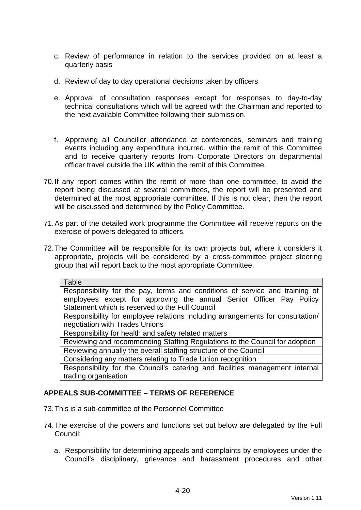- c. Review of performance in relation to the services provided on at least a quarterly basis
- d. Review of day to day operational decisions taken by officers
- e. Approval of consultation responses except for responses to day-to-day technical consultations which will be agreed with the Chairman and reported to the next available Committee following their submission.
- f. Approving all Councillor attendance at conferences, seminars and training events including any expenditure incurred, within the remit of this Committee and to receive quarterly reports from Corporate Directors on departmental officer travel outside the UK within the remit of this Committee.
- 70. If any report comes within the remit of more than one committee, to avoid the report being discussed at several committees, the report will be presented and determined at the most appropriate committee. If this is not clear, then the report will be discussed and determined by the Policy Committee.
- 71. As part of the detailed work programme the Committee will receive reports on the exercise of powers delegated to officers.
- 72. The Committee will be responsible for its own projects but, where it considers it appropriate, projects will be considered by a cross-committee project steering group that will report back to the most appropriate Committee.

| Table                                                                          |
|--------------------------------------------------------------------------------|
| Responsibility for the pay, terms and conditions of service and training of    |
| employees except for approving the annual Senior Officer Pay Policy            |
| Statement which is reserved to the Full Council                                |
| Responsibility for employee relations including arrangements for consultation/ |
| negotiation with Trades Unions                                                 |
| Responsibility for health and safety related matters                           |
| Reviewing and recommending Staffing Regulations to the Council for adoption    |
| Reviewing annually the overall staffing structure of the Council               |
| Considering any matters relating to Trade Union recognition                    |
| Responsibility for the Council's catering and facilities management internal   |
| trading organisation                                                           |

### **APPEALS SUB-COMMITTEE – TERMS OF REFERENCE**

- 73. This is a sub-committee of the Personnel Committee
- 74. The exercise of the powers and functions set out below are delegated by the Full Council:
	- a. Responsibility for determining appeals and complaints by employees under the Council's disciplinary, grievance and harassment procedures and other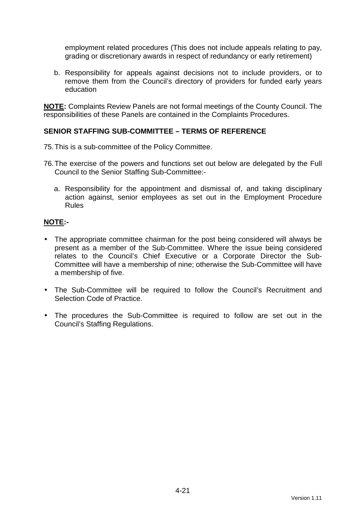employment related procedures (This does not include appeals relating to pay, grading or discretionary awards in respect of redundancy or early retirement)

b. Responsibility for appeals against decisions not to include providers, or to remove them from the Council's directory of providers for funded early years education

**NOTE:** Complaints Review Panels are not formal meetings of the County Council. The responsibilities of these Panels are contained in the Complaints Procedures.

# **SENIOR STAFFING SUB-COMMITTEE – TERMS OF REFERENCE**

- 75. This is a sub-committee of the Policy Committee.
- 76. The exercise of the powers and functions set out below are delegated by the Full Council to the Senior Staffing Sub-Committee:
	- a. Responsibility for the appointment and dismissal of, and taking disciplinary action against, senior employees as set out in the Employment Procedure Rules

# **NOTE:-**

- The appropriate committee chairman for the post being considered will always be present as a member of the Sub-Committee. Where the issue being considered relates to the Council's Chief Executive or a Corporate Director the Sub-Committee will have a membership of nine; otherwise the Sub-Committee will have a membership of five.
- The Sub-Committee will be required to follow the Council's Recruitment and Selection Code of Practice.
- The procedures the Sub-Committee is required to follow are set out in the Council's Staffing Regulations.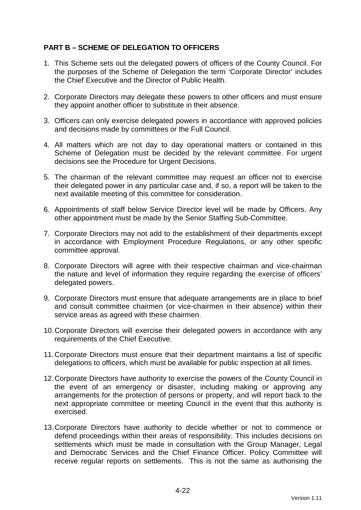# **PART B – SCHEME OF DELEGATION TO OFFICERS**

- 1. This Scheme sets out the delegated powers of officers of the County Council. For the purposes of the Scheme of Delegation the term 'Corporate Director' includes the Chief Executive and the Director of Public Health.
- 2. Corporate Directors may delegate these powers to other officers and must ensure they appoint another officer to substitute in their absence.
- 3. Officers can only exercise delegated powers in accordance with approved policies and decisions made by committees or the Full Council.
- 4. All matters which are not day to day operational matters or contained in this Scheme of Delegation must be decided by the relevant committee. For urgent decisions see the Procedure for Urgent Decisions.
- 5. The chairman of the relevant committee may request an officer not to exercise their delegated power in any particular case and, if so, a report will be taken to the next available meeting of this committee for consideration.
- 6. Appointments of staff below Service Director level will be made by Officers. Any other appointment must be made by the Senior Staffing Sub-Committee.
- 7. Corporate Directors may not add to the establishment of their departments except in accordance with Employment Procedure Regulations, or any other specific committee approval.
- 8. Corporate Directors will agree with their respective chairman and vice-chairman the nature and level of information they require regarding the exercise of officers' delegated powers.
- 9. Corporate Directors must ensure that adequate arrangements are in place to brief and consult committee chairmen (or vice-chairmen in their absence) within their service areas as agreed with these chairmen.
- 10. Corporate Directors will exercise their delegated powers in accordance with any requirements of the Chief Executive.
- 11. Corporate Directors must ensure that their department maintains a list of specific delegations to officers, which must be available for public inspection at all times.
- 12. Corporate Directors have authority to exercise the powers of the County Council in the event of an emergency or disaster, including making or approving any arrangements for the protection of persons or property, and will report back to the next appropriate committee or meeting Council in the event that this authority is exercised.
- 13. Corporate Directors have authority to decide whether or not to commence or defend proceedings within their areas of responsibility. This includes decisions on settlements which must be made in consultation with the Group Manager, Legal and Democratic Services and the Chief Finance Officer. Policy Committee will receive regular reports on settlements. This is not the same as authorising the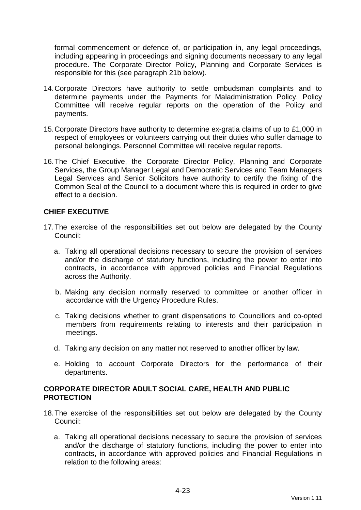formal commencement or defence of, or participation in, any legal proceedings, including appearing in proceedings and signing documents necessary to any legal procedure. The Corporate Director Policy, Planning and Corporate Services is responsible for this (see paragraph 21b below).

- 14. Corporate Directors have authority to settle ombudsman complaints and to determine payments under the Payments for Maladministration Policy. Policy Committee will receive regular reports on the operation of the Policy and payments.
- 15. Corporate Directors have authority to determine ex-gratia claims of up to £1,000 in respect of employees or volunteers carrying out their duties who suffer damage to personal belongings. Personnel Committee will receive regular reports.
- 16. The Chief Executive, the Corporate Director Policy, Planning and Corporate Services, the Group Manager Legal and Democratic Services and Team Managers Legal Services and Senior Solicitors have authority to certify the fixing of the Common Seal of the Council to a document where this is required in order to give effect to a decision.

# **CHIEF EXECUTIVE**

- 17. The exercise of the responsibilities set out below are delegated by the County Council:
	- a. Taking all operational decisions necessary to secure the provision of services and/or the discharge of statutory functions, including the power to enter into contracts, in accordance with approved policies and Financial Regulations across the Authority.
	- b. Making any decision normally reserved to committee or another officer in accordance with the Urgency Procedure Rules.
	- c. Taking decisions whether to grant dispensations to Councillors and co-opted members from requirements relating to interests and their participation in meetings.
	- d. Taking any decision on any matter not reserved to another officer by law.
	- e. Holding to account Corporate Directors for the performance of their departments.

# **CORPORATE DIRECTOR ADULT SOCIAL CARE, HEALTH AND PUBLIC PROTECTION**

- 18. The exercise of the responsibilities set out below are delegated by the County Council:
	- a. Taking all operational decisions necessary to secure the provision of services and/or the discharge of statutory functions, including the power to enter into contracts, in accordance with approved policies and Financial Regulations in relation to the following areas: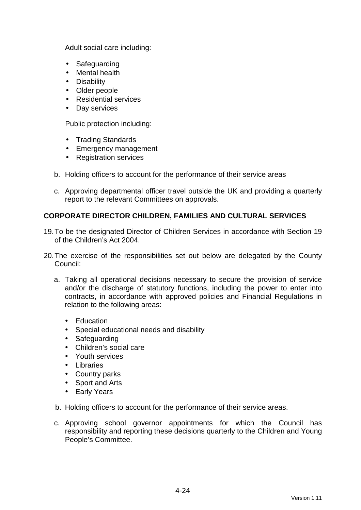Adult social care including:

- Safeguarding
- Mental health
- Disability
- Older people
- Residential services
- Day services

Public protection including:

- Trading Standards
- Emergency management
- Registration services
- b. Holding officers to account for the performance of their service areas
- c. Approving departmental officer travel outside the UK and providing a quarterly report to the relevant Committees on approvals.

# **CORPORATE DIRECTOR CHILDREN, FAMILIES AND CULTURAL SERVICES**

- 19. To be the designated Director of Children Services in accordance with Section 19 of the Children's Act 2004.
- 20. The exercise of the responsibilities set out below are delegated by the County Council:
	- a. Taking all operational decisions necessary to secure the provision of service and/or the discharge of statutory functions, including the power to enter into contracts, in accordance with approved policies and Financial Regulations in relation to the following areas:
		- Education
		- Special educational needs and disability
		- Safeguarding
		- Children's social care
		- Youth services
		- Libraries
		- Country parks
		- Sport and Arts
		- Early Years
	- b. Holding officers to account for the performance of their service areas.
	- c. Approving school governor appointments for which the Council has responsibility and reporting these decisions quarterly to the Children and Young People's Committee.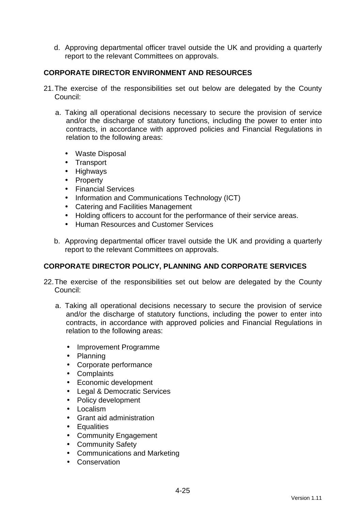d. Approving departmental officer travel outside the UK and providing a quarterly report to the relevant Committees on approvals.

# **CORPORATE DIRECTOR ENVIRONMENT AND RESOURCES**

- 21. The exercise of the responsibilities set out below are delegated by the County Council:
	- a. Taking all operational decisions necessary to secure the provision of service and/or the discharge of statutory functions, including the power to enter into contracts, in accordance with approved policies and Financial Regulations in relation to the following areas:
		- Waste Disposal
		- Transport
		- Highways
		- Property
		- Financial Services
		- Information and Communications Technology (ICT)
		- Catering and Facilities Management
		- Holding officers to account for the performance of their service areas.
		- Human Resources and Customer Services
	- b. Approving departmental officer travel outside the UK and providing a quarterly report to the relevant Committees on approvals.

### **CORPORATE DIRECTOR POLICY, PLANNING AND CORPORATE SERVICES**

- 22. The exercise of the responsibilities set out below are delegated by the County Council:
	- a. Taking all operational decisions necessary to secure the provision of service and/or the discharge of statutory functions, including the power to enter into contracts, in accordance with approved policies and Financial Regulations in relation to the following areas:
		- Improvement Programme
		- Planning
		- Corporate performance
		- Complaints
		- Economic development
		- Legal & Democratic Services
		- Policy development
		- Localism
		- Grant aid administration
		- Equalities
		- Community Engagement
		- Community Safety
		- Communications and Marketing
		- Conservation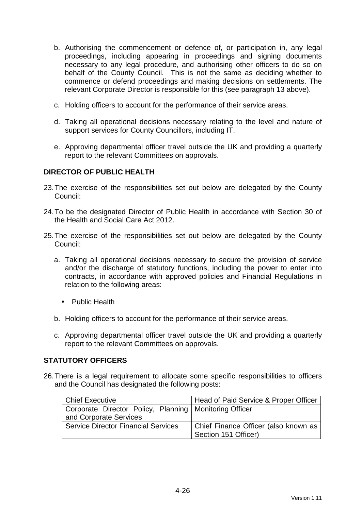- b. Authorising the commencement or defence of, or participation in, any legal proceedings, including appearing in proceedings and signing documents necessary to any legal procedure, and authorising other officers to do so on behalf of the County Council. This is not the same as deciding whether to commence or defend proceedings and making decisions on settlements. The relevant Corporate Director is responsible for this (see paragraph 13 above).
- c. Holding officers to account for the performance of their service areas.
- d. Taking all operational decisions necessary relating to the level and nature of support services for County Councillors, including IT.
- e. Approving departmental officer travel outside the UK and providing a quarterly report to the relevant Committees on approvals.

### **DIRECTOR OF PUBLIC HEALTH**

- 23. The exercise of the responsibilities set out below are delegated by the County Council:
- 24. To be the designated Director of Public Health in accordance with Section 30 of the Health and Social Care Act 2012.
- 25. The exercise of the responsibilities set out below are delegated by the County Council:
	- a. Taking all operational decisions necessary to secure the provision of service and/or the discharge of statutory functions, including the power to enter into contracts, in accordance with approved policies and Financial Regulations in relation to the following areas:
		- Public Health
	- b. Holding officers to account for the performance of their service areas.
	- c. Approving departmental officer travel outside the UK and providing a quarterly report to the relevant Committees on approvals.

### **STATUTORY OFFICERS**

26. There is a legal requirement to allocate some specific responsibilities to officers and the Council has designated the following posts:

| Chief Executive                                          | Head of Paid Service & Proper Officer |
|----------------------------------------------------------|---------------------------------------|
| Corporate Director Policy, Planning   Monitoring Officer |                                       |
| and Corporate Services                                   |                                       |
| <b>Service Director Financial Services</b>               | Chief Finance Officer (also known as  |
|                                                          | Section 151 Officer)                  |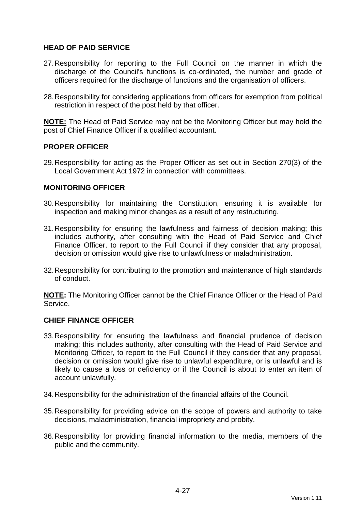# **HEAD OF PAID SERVICE**

- 27. Responsibility for reporting to the Full Council on the manner in which the discharge of the Council's functions is co-ordinated, the number and grade of officers required for the discharge of functions and the organisation of officers.
- 28. Responsibility for considering applications from officers for exemption from political restriction in respect of the post held by that officer.

**NOTE:** The Head of Paid Service may not be the Monitoring Officer but may hold the post of Chief Finance Officer if a qualified accountant.

### **PROPER OFFICER**

29. Responsibility for acting as the Proper Officer as set out in Section 270(3) of the Local Government Act 1972 in connection with committees.

### **MONITORING OFFICER**

- 30. Responsibility for maintaining the Constitution, ensuring it is available for inspection and making minor changes as a result of any restructuring.
- 31. Responsibility for ensuring the lawfulness and fairness of decision making; this includes authority, after consulting with the Head of Paid Service and Chief Finance Officer, to report to the Full Council if they consider that any proposal, decision or omission would give rise to unlawfulness or maladministration.
- 32. Responsibility for contributing to the promotion and maintenance of high standards of conduct.

**NOTE:** The Monitoring Officer cannot be the Chief Finance Officer or the Head of Paid Service.

### **CHIEF FINANCE OFFICER**

- 33. Responsibility for ensuring the lawfulness and financial prudence of decision making; this includes authority, after consulting with the Head of Paid Service and Monitoring Officer, to report to the Full Council if they consider that any proposal, decision or omission would give rise to unlawful expenditure, or is unlawful and is likely to cause a loss or deficiency or if the Council is about to enter an item of account unlawfully.
- 34. Responsibility for the administration of the financial affairs of the Council.
- 35. Responsibility for providing advice on the scope of powers and authority to take decisions, maladministration, financial impropriety and probity.
- 36. Responsibility for providing financial information to the media, members of the public and the community.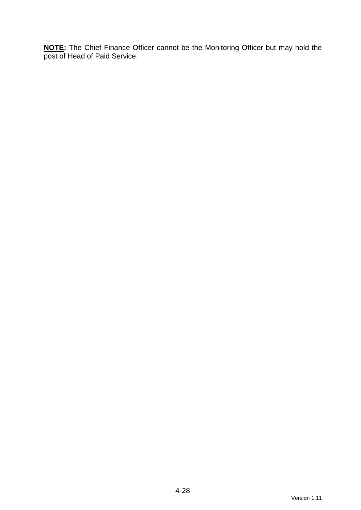**NOTE:** The Chief Finance Officer cannot be the Monitoring Officer but may hold the post of Head of Paid Service.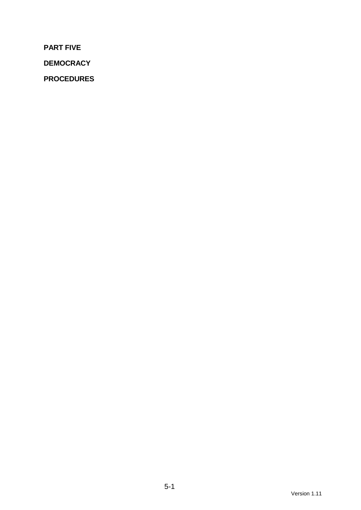**PART FIVE** 

**DEMOCRACY** 

**PROCEDURES**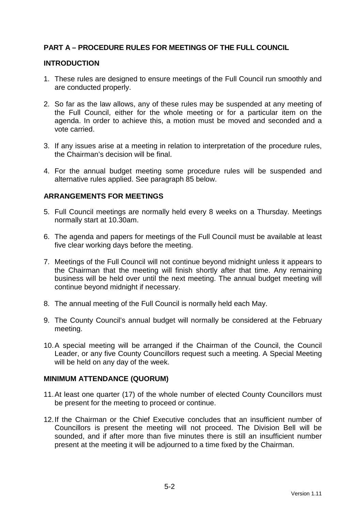# **PART A – PROCEDURE RULES FOR MEETINGS OF THE FULL COUNCIL**

#### **INTRODUCTION**

- 1. These rules are designed to ensure meetings of the Full Council run smoothly and are conducted properly.
- 2. So far as the law allows, any of these rules may be suspended at any meeting of the Full Council, either for the whole meeting or for a particular item on the agenda. In order to achieve this, a motion must be moved and seconded and a vote carried.
- 3. If any issues arise at a meeting in relation to interpretation of the procedure rules, the Chairman's decision will be final.
- 4. For the annual budget meeting some procedure rules will be suspended and alternative rules applied. See paragraph 85 below.

### **ARRANGEMENTS FOR MEETINGS**

- 5. Full Council meetings are normally held every 8 weeks on a Thursday. Meetings normally start at 10.30am.
- 6. The agenda and papers for meetings of the Full Council must be available at least five clear working days before the meeting.
- 7. Meetings of the Full Council will not continue beyond midnight unless it appears to the Chairman that the meeting will finish shortly after that time. Any remaining business will be held over until the next meeting. The annual budget meeting will continue beyond midnight if necessary.
- 8. The annual meeting of the Full Council is normally held each May.
- 9. The County Council's annual budget will normally be considered at the February meeting.
- 10. A special meeting will be arranged if the Chairman of the Council, the Council Leader, or any five County Councillors request such a meeting. A Special Meeting will be held on any day of the week.

#### **MINIMUM ATTENDANCE (QUORUM)**

- 11. At least one quarter (17) of the whole number of elected County Councillors must be present for the meeting to proceed or continue.
- 12. If the Chairman or the Chief Executive concludes that an insufficient number of Councillors is present the meeting will not proceed. The Division Bell will be sounded, and if after more than five minutes there is still an insufficient number present at the meeting it will be adjourned to a time fixed by the Chairman.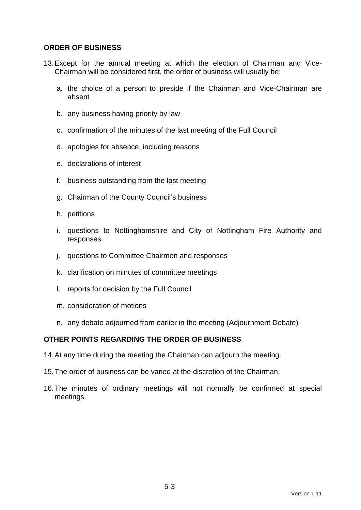### **ORDER OF BUSINESS**

- 13. Except for the annual meeting at which the election of Chairman and Vice-Chairman will be considered first, the order of business will usually be:
	- a. the choice of a person to preside if the Chairman and Vice-Chairman are absent
	- b. any business having priority by law
	- c. confirmation of the minutes of the last meeting of the Full Council
	- d. apologies for absence, including reasons
	- e. declarations of interest
	- f. business outstanding from the last meeting
	- g. Chairman of the County Council's business
	- h. petitions
	- i. questions to Nottinghamshire and City of Nottingham Fire Authority and responses
	- j. questions to Committee Chairmen and responses
	- k. clarification on minutes of committee meetings
	- l. reports for decision by the Full Council
	- m. consideration of motions
	- n. any debate adjourned from earlier in the meeting (Adjournment Debate)

## **OTHER POINTS REGARDING THE ORDER OF BUSINESS**

- 14. At any time during the meeting the Chairman can adjourn the meeting.
- 15. The order of business can be varied at the discretion of the Chairman.
- 16. The minutes of ordinary meetings will not normally be confirmed at special meetings.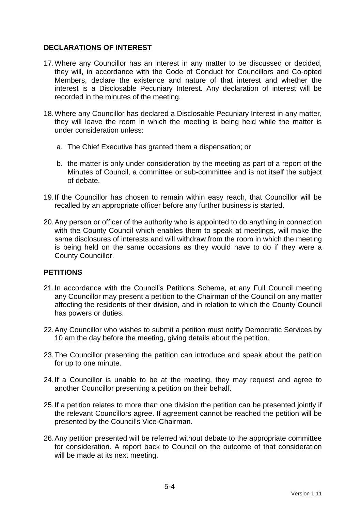# **DECLARATIONS OF INTEREST**

- 17. Where any Councillor has an interest in any matter to be discussed or decided, they will, in accordance with the Code of Conduct for Councillors and Co-opted Members, declare the existence and nature of that interest and whether the interest is a Disclosable Pecuniary Interest. Any declaration of interest will be recorded in the minutes of the meeting.
- 18. Where any Councillor has declared a Disclosable Pecuniary Interest in any matter, they will leave the room in which the meeting is being held while the matter is under consideration unless:
	- a. The Chief Executive has granted them a dispensation; or
	- b. the matter is only under consideration by the meeting as part of a report of the Minutes of Council, a committee or sub-committee and is not itself the subject of debate.
- 19. If the Councillor has chosen to remain within easy reach, that Councillor will be recalled by an appropriate officer before any further business is started.
- 20. Any person or officer of the authority who is appointed to do anything in connection with the County Council which enables them to speak at meetings, will make the same disclosures of interests and will withdraw from the room in which the meeting is being held on the same occasions as they would have to do if they were a County Councillor.

# **PETITIONS**

- 21. In accordance with the Council's Petitions Scheme, at any Full Council meeting any Councillor may present a petition to the Chairman of the Council on any matter affecting the residents of their division, and in relation to which the County Council has powers or duties.
- 22. Any Councillor who wishes to submit a petition must notify Democratic Services by 10 am the day before the meeting, giving details about the petition.
- 23. The Councillor presenting the petition can introduce and speak about the petition for up to one minute.
- 24. If a Councillor is unable to be at the meeting, they may request and agree to another Councillor presenting a petition on their behalf.
- 25. If a petition relates to more than one division the petition can be presented jointly if the relevant Councillors agree. If agreement cannot be reached the petition will be presented by the Council's Vice-Chairman.
- 26. Any petition presented will be referred without debate to the appropriate committee for consideration. A report back to Council on the outcome of that consideration will be made at its next meeting.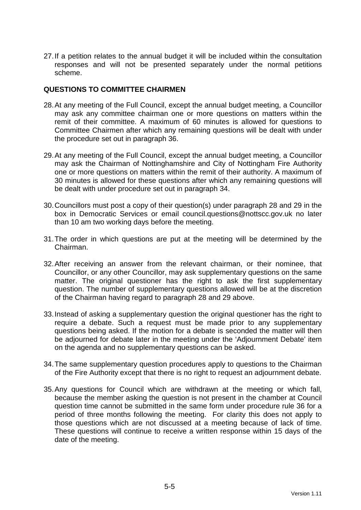27. If a petition relates to the annual budget it will be included within the consultation responses and will not be presented separately under the normal petitions scheme.

#### **QUESTIONS TO COMMITTEE CHAIRMEN**

- 28. At any meeting of the Full Council, except the annual budget meeting, a Councillor may ask any committee chairman one or more questions on matters within the remit of their committee. A maximum of 60 minutes is allowed for questions to Committee Chairmen after which any remaining questions will be dealt with under the procedure set out in paragraph 36.
- 29. At any meeting of the Full Council, except the annual budget meeting, a Councillor may ask the Chairman of Nottinghamshire and City of Nottingham Fire Authority one or more questions on matters within the remit of their authority. A maximum of 30 minutes is allowed for these questions after which any remaining questions will be dealt with under procedure set out in paragraph 34.
- 30. Councillors must post a copy of their question(s) under paragraph 28 and 29 in the box in Democratic Services or email council.questions@nottscc.gov.uk no later than 10 am two working days before the meeting.
- 31. The order in which questions are put at the meeting will be determined by the Chairman.
- 32. After receiving an answer from the relevant chairman, or their nominee, that Councillor, or any other Councillor, may ask supplementary questions on the same matter. The original questioner has the right to ask the first supplementary question. The number of supplementary questions allowed will be at the discretion of the Chairman having regard to paragraph 28 and 29 above.
- 33. Instead of asking a supplementary question the original questioner has the right to require a debate. Such a request must be made prior to any supplementary questions being asked. If the motion for a debate is seconded the matter will then be adjourned for debate later in the meeting under the 'Adjournment Debate' item on the agenda and no supplementary questions can be asked.
- 34. The same supplementary question procedures apply to questions to the Chairman of the Fire Authority except that there is no right to request an adjournment debate.
- 35. Any questions for Council which are withdrawn at the meeting or which fall, because the member asking the question is not present in the chamber at Council question time cannot be submitted in the same form under procedure rule 36 for a period of three months following the meeting. For clarity this does not apply to those questions which are not discussed at a meeting because of lack of time. These questions will continue to receive a written response within 15 days of the date of the meeting.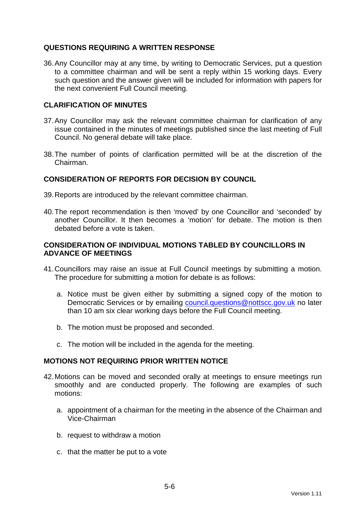# **QUESTIONS REQUIRING A WRITTEN RESPONSE**

36. Any Councillor may at any time, by writing to Democratic Services, put a question to a committee chairman and will be sent a reply within 15 working days. Every such question and the answer given will be included for information with papers for the next convenient Full Council meeting.

## **CLARIFICATION OF MINUTES**

- 37. Any Councillor may ask the relevant committee chairman for clarification of any issue contained in the minutes of meetings published since the last meeting of Full Council. No general debate will take place.
- 38. The number of points of clarification permitted will be at the discretion of the Chairman.

# **CONSIDERATION OF REPORTS FOR DECISION BY COUNCIL**

- 39. Reports are introduced by the relevant committee chairman.
- 40. The report recommendation is then 'moved' by one Councillor and 'seconded' by another Councillor. It then becomes a 'motion' for debate. The motion is then debated before a vote is taken.

## **CONSIDERATION OF INDIVIDUAL MOTIONS TABLED BY COUNCILLORS IN ADVANCE OF MEETINGS**

- 41. Councillors may raise an issue at Full Council meetings by submitting a motion. The procedure for submitting a motion for debate is as follows:
	- a. Notice must be given either by submitting a signed copy of the motion to Democratic Services or by emailing council.questions@nottscc.gov.uk no later than 10 am six clear working days before the Full Council meeting.
	- b. The motion must be proposed and seconded.
	- c. The motion will be included in the agenda for the meeting.

### **MOTIONS NOT REQUIRING PRIOR WRITTEN NOTICE**

- 42. Motions can be moved and seconded orally at meetings to ensure meetings run smoothly and are conducted properly. The following are examples of such motions:
	- a. appointment of a chairman for the meeting in the absence of the Chairman and Vice-Chairman
	- b. request to withdraw a motion
	- c. that the matter be put to a vote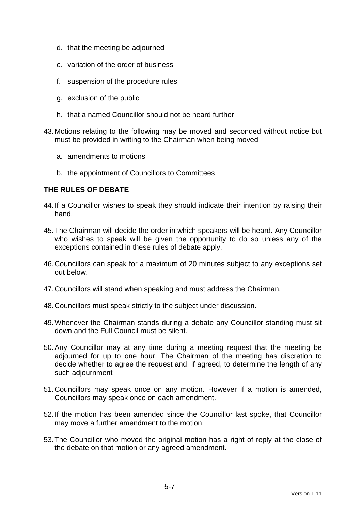- d. that the meeting be adjourned
- e. variation of the order of business
- f. suspension of the procedure rules
- g. exclusion of the public
- h. that a named Councillor should not be heard further
- 43. Motions relating to the following may be moved and seconded without notice but must be provided in writing to the Chairman when being moved
	- a. amendments to motions
	- b. the appointment of Councillors to Committees

### **THE RULES OF DEBATE**

- 44. If a Councillor wishes to speak they should indicate their intention by raising their hand.
- 45. The Chairman will decide the order in which speakers will be heard. Any Councillor who wishes to speak will be given the opportunity to do so unless any of the exceptions contained in these rules of debate apply.
- 46. Councillors can speak for a maximum of 20 minutes subject to any exceptions set out below.
- 47. Councillors will stand when speaking and must address the Chairman.
- 48. Councillors must speak strictly to the subject under discussion.
- 49. Whenever the Chairman stands during a debate any Councillor standing must sit down and the Full Council must be silent.
- 50. Any Councillor may at any time during a meeting request that the meeting be adjourned for up to one hour. The Chairman of the meeting has discretion to decide whether to agree the request and, if agreed, to determine the length of any such adjournment
- 51. Councillors may speak once on any motion. However if a motion is amended, Councillors may speak once on each amendment.
- 52. If the motion has been amended since the Councillor last spoke, that Councillor may move a further amendment to the motion.
- 53. The Councillor who moved the original motion has a right of reply at the close of the debate on that motion or any agreed amendment.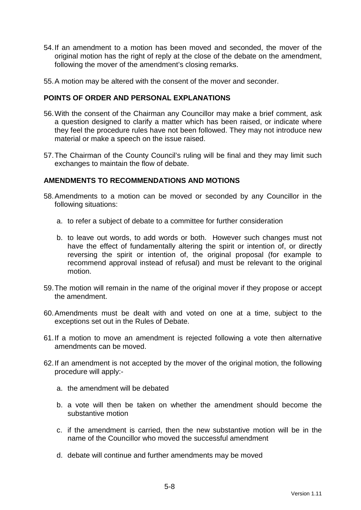- 54. If an amendment to a motion has been moved and seconded, the mover of the original motion has the right of reply at the close of the debate on the amendment, following the mover of the amendment's closing remarks.
- 55. A motion may be altered with the consent of the mover and seconder.

### **POINTS OF ORDER AND PERSONAL EXPLANATIONS**

- 56. With the consent of the Chairman any Councillor may make a brief comment, ask a question designed to clarify a matter which has been raised, or indicate where they feel the procedure rules have not been followed. They may not introduce new material or make a speech on the issue raised.
- 57. The Chairman of the County Council's ruling will be final and they may limit such exchanges to maintain the flow of debate.

# **AMENDMENTS TO RECOMMENDATIONS AND MOTIONS**

- 58. Amendments to a motion can be moved or seconded by any Councillor in the following situations:
	- a. to refer a subject of debate to a committee for further consideration
	- b. to leave out words, to add words or both. However such changes must not have the effect of fundamentally altering the spirit or intention of, or directly reversing the spirit or intention of, the original proposal (for example to recommend approval instead of refusal) and must be relevant to the original motion.
- 59. The motion will remain in the name of the original mover if they propose or accept the amendment.
- 60. Amendments must be dealt with and voted on one at a time, subject to the exceptions set out in the Rules of Debate.
- 61. If a motion to move an amendment is rejected following a vote then alternative amendments can be moved.
- 62. If an amendment is not accepted by the mover of the original motion, the following procedure will apply:
	- a. the amendment will be debated
	- b. a vote will then be taken on whether the amendment should become the substantive motion
	- c. if the amendment is carried, then the new substantive motion will be in the name of the Councillor who moved the successful amendment
	- d. debate will continue and further amendments may be moved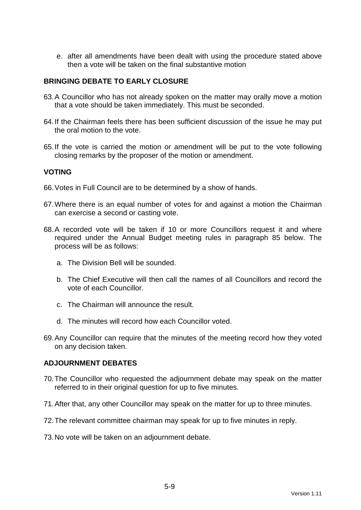e. after all amendments have been dealt with using the procedure stated above then a vote will be taken on the final substantive motion

# **BRINGING DEBATE TO EARLY CLOSURE**

- 63. A Councillor who has not already spoken on the matter may orally move a motion that a vote should be taken immediately. This must be seconded.
- 64. If the Chairman feels there has been sufficient discussion of the issue he may put the oral motion to the vote.
- 65. If the vote is carried the motion or amendment will be put to the vote following closing remarks by the proposer of the motion or amendment.

#### **VOTING**

- 66. Votes in Full Council are to be determined by a show of hands.
- 67. Where there is an equal number of votes for and against a motion the Chairman can exercise a second or casting vote.
- 68. A recorded vote will be taken if 10 or more Councillors request it and where required under the Annual Budget meeting rules in paragraph 85 below. The process will be as follows:
	- a. The Division Bell will be sounded.
	- b. The Chief Executive will then call the names of all Councillors and record the vote of each Councillor.
	- c. The Chairman will announce the result.
	- d. The minutes will record how each Councillor voted.
- 69. Any Councillor can require that the minutes of the meeting record how they voted on any decision taken.

#### **ADJOURNMENT DEBATES**

- 70. The Councillor who requested the adjournment debate may speak on the matter referred to in their original question for up to five minutes.
- 71. After that, any other Councillor may speak on the matter for up to three minutes.
- 72. The relevant committee chairman may speak for up to five minutes in reply.
- 73. No vote will be taken on an adjournment debate.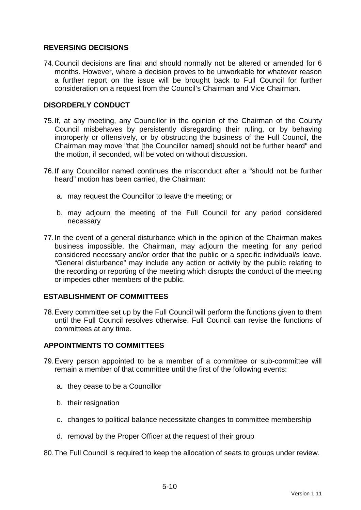# **REVERSING DECISIONS**

74. Council decisions are final and should normally not be altered or amended for 6 months. However, where a decision proves to be unworkable for whatever reason a further report on the issue will be brought back to Full Council for further consideration on a request from the Council's Chairman and Vice Chairman.

### **DISORDERLY CONDUCT**

- 75. If, at any meeting, any Councillor in the opinion of the Chairman of the County Council misbehaves by persistently disregarding their ruling, or by behaving improperly or offensively, or by obstructing the business of the Full Council, the Chairman may move "that [the Councillor named] should not be further heard" and the motion, if seconded, will be voted on without discussion.
- 76. If any Councillor named continues the misconduct after a "should not be further heard" motion has been carried, the Chairman:
	- a. may request the Councillor to leave the meeting; or
	- b. may adjourn the meeting of the Full Council for any period considered necessary
- 77. In the event of a general disturbance which in the opinion of the Chairman makes business impossible, the Chairman, may adjourn the meeting for any period considered necessary and/or order that the public or a specific individual/s leave. "General disturbance" may include any action or activity by the public relating to the recording or reporting of the meeting which disrupts the conduct of the meeting or impedes other members of the public.

## **ESTABLISHMENT OF COMMITTEES**

78. Every committee set up by the Full Council will perform the functions given to them until the Full Council resolves otherwise. Full Council can revise the functions of committees at any time.

# **APPOINTMENTS TO COMMITTEES**

- 79. Every person appointed to be a member of a committee or sub-committee will remain a member of that committee until the first of the following events:
	- a. they cease to be a Councillor
	- b. their resignation
	- c. changes to political balance necessitate changes to committee membership
	- d. removal by the Proper Officer at the request of their group
- 80. The Full Council is required to keep the allocation of seats to groups under review.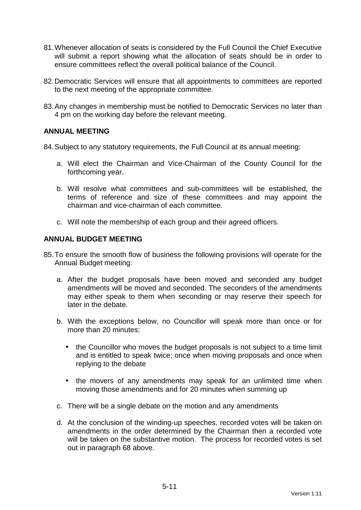- 81. Whenever allocation of seats is considered by the Full Council the Chief Executive will submit a report showing what the allocation of seats should be in order to ensure committees reflect the overall political balance of the Council.
- 82. Democratic Services will ensure that all appointments to committees are reported to the next meeting of the appropriate committee.
- 83. Any changes in membership must be notified to Democratic Services no later than 4 pm on the working day before the relevant meeting.

### **ANNUAL MEETING**

84. Subject to any statutory requirements, the Full Council at its annual meeting:

- a. Will elect the Chairman and Vice-Chairman of the County Council for the forthcoming year.
- b. Will resolve what committees and sub-committees will be established, the terms of reference and size of these committees and may appoint the chairman and vice-chairman of each committee.
- c. Will note the membership of each group and their agreed officers.

# **ANNUAL BUDGET MEETING**

- 85. To ensure the smooth flow of business the following provisions will operate for the Annual Budget meeting:
	- a. After the budget proposals have been moved and seconded any budget amendments will be moved and seconded. The seconders of the amendments may either speak to them when seconding or may reserve their speech for later in the debate.
	- b. With the exceptions below, no Councillor will speak more than once or for more than 20 minutes:
		- the Councillor who moves the budget proposals is not subject to a time limit and is entitled to speak twice; once when moving proposals and once when replying to the debate
		- the movers of any amendments may speak for an unlimited time when moving those amendments and for 20 minutes when summing up
	- c. There will be a single debate on the motion and any amendments
	- d. At the conclusion of the winding-up speeches, recorded votes will be taken on amendments in the order determined by the Chairman then a recorded vote will be taken on the substantive motion. The process for recorded votes is set out in paragraph 68 above.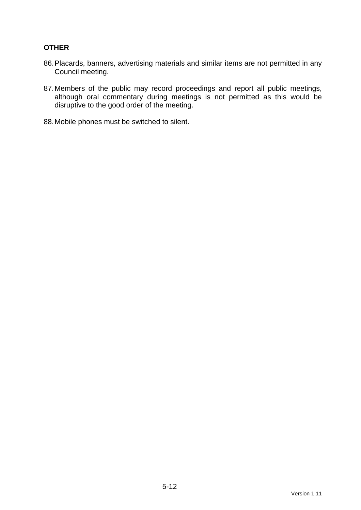# **OTHER**

- 86. Placards, banners, advertising materials and similar items are not permitted in any Council meeting.
- 87. Members of the public may record proceedings and report all public meetings, although oral commentary during meetings is not permitted as this would be disruptive to the good order of the meeting.
- 88. Mobile phones must be switched to silent.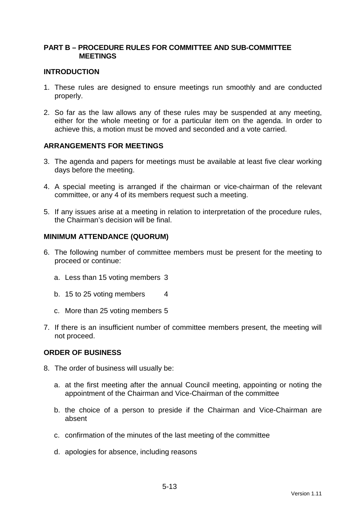## **PART B – PROCEDURE RULES FOR COMMITTEE AND SUB-COMMITTEE MEETINGS**

#### **INTRODUCTION**

- 1. These rules are designed to ensure meetings run smoothly and are conducted properly.
- 2. So far as the law allows any of these rules may be suspended at any meeting, either for the whole meeting or for a particular item on the agenda. In order to achieve this, a motion must be moved and seconded and a vote carried.

### **ARRANGEMENTS FOR MEETINGS**

- 3. The agenda and papers for meetings must be available at least five clear working days before the meeting.
- 4. A special meeting is arranged if the chairman or vice-chairman of the relevant committee, or any 4 of its members request such a meeting.
- 5. If any issues arise at a meeting in relation to interpretation of the procedure rules, the Chairman's decision will be final.

#### **MINIMUM ATTENDANCE (QUORUM)**

- 6. The following number of committee members must be present for the meeting to proceed or continue:
	- a. Less than 15 voting members 3
	- b. 15 to 25 voting members 4
	- c. More than 25 voting members 5
- 7. If there is an insufficient number of committee members present, the meeting will not proceed.

#### **ORDER OF BUSINESS**

- 8. The order of business will usually be:
	- a. at the first meeting after the annual Council meeting, appointing or noting the appointment of the Chairman and Vice-Chairman of the committee
	- b. the choice of a person to preside if the Chairman and Vice-Chairman are absent
	- c. confirmation of the minutes of the last meeting of the committee
	- d. apologies for absence, including reasons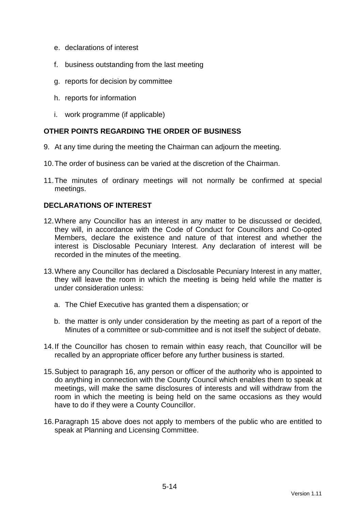- e. declarations of interest
- f. business outstanding from the last meeting
- g. reports for decision by committee
- h. reports for information
- i. work programme (if applicable)

# **OTHER POINTS REGARDING THE ORDER OF BUSINESS**

- 9. At any time during the meeting the Chairman can adjourn the meeting.
- 10. The order of business can be varied at the discretion of the Chairman.
- 11. The minutes of ordinary meetings will not normally be confirmed at special meetings.

# **DECLARATIONS OF INTEREST**

- 12. Where any Councillor has an interest in any matter to be discussed or decided, they will, in accordance with the Code of Conduct for Councillors and Co-opted Members, declare the existence and nature of that interest and whether the interest is Disclosable Pecuniary Interest. Any declaration of interest will be recorded in the minutes of the meeting.
- 13. Where any Councillor has declared a Disclosable Pecuniary Interest in any matter, they will leave the room in which the meeting is being held while the matter is under consideration unless:
	- a. The Chief Executive has granted them a dispensation; or
	- b. the matter is only under consideration by the meeting as part of a report of the Minutes of a committee or sub-committee and is not itself the subject of debate.
- 14. If the Councillor has chosen to remain within easy reach, that Councillor will be recalled by an appropriate officer before any further business is started.
- 15. Subject to paragraph 16, any person or officer of the authority who is appointed to do anything in connection with the County Council which enables them to speak at meetings, will make the same disclosures of interests and will withdraw from the room in which the meeting is being held on the same occasions as they would have to do if they were a County Councillor.
- 16. Paragraph 15 above does not apply to members of the public who are entitled to speak at Planning and Licensing Committee.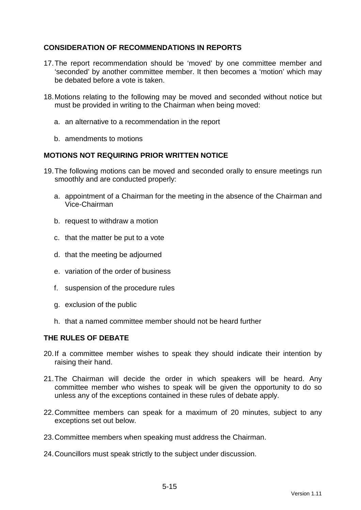# **CONSIDERATION OF RECOMMENDATIONS IN REPORTS**

- 17. The report recommendation should be 'moved' by one committee member and 'seconded' by another committee member. It then becomes a 'motion' which may be debated before a vote is taken.
- 18. Motions relating to the following may be moved and seconded without notice but must be provided in writing to the Chairman when being moved:
	- a. an alternative to a recommendation in the report
	- b. amendments to motions

### **MOTIONS NOT REQUIRING PRIOR WRITTEN NOTICE**

- 19. The following motions can be moved and seconded orally to ensure meetings run smoothly and are conducted properly:
	- a. appointment of a Chairman for the meeting in the absence of the Chairman and Vice-Chairman
	- b. request to withdraw a motion
	- c. that the matter be put to a vote
	- d. that the meeting be adjourned
	- e. variation of the order of business
	- f. suspension of the procedure rules
	- g. exclusion of the public
	- h. that a named committee member should not be heard further

### **THE RULES OF DEBATE**

- 20. If a committee member wishes to speak they should indicate their intention by raising their hand.
- 21. The Chairman will decide the order in which speakers will be heard. Any committee member who wishes to speak will be given the opportunity to do so unless any of the exceptions contained in these rules of debate apply.
- 22. Committee members can speak for a maximum of 20 minutes, subject to any exceptions set out below.
- 23. Committee members when speaking must address the Chairman.
- 24. Councillors must speak strictly to the subject under discussion.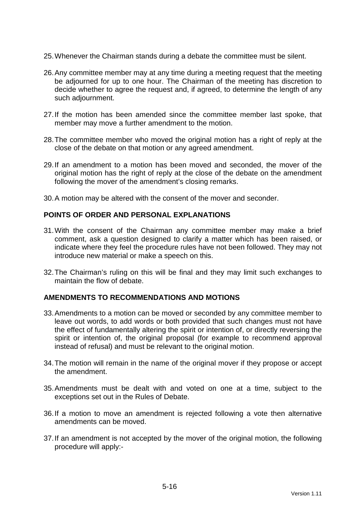- 25. Whenever the Chairman stands during a debate the committee must be silent.
- 26. Any committee member may at any time during a meeting request that the meeting be adjourned for up to one hour. The Chairman of the meeting has discretion to decide whether to agree the request and, if agreed, to determine the length of any such adjournment.
- 27. If the motion has been amended since the committee member last spoke, that member may move a further amendment to the motion.
- 28. The committee member who moved the original motion has a right of reply at the close of the debate on that motion or any agreed amendment.
- 29. If an amendment to a motion has been moved and seconded, the mover of the original motion has the right of reply at the close of the debate on the amendment following the mover of the amendment's closing remarks.
- 30. A motion may be altered with the consent of the mover and seconder.

### **POINTS OF ORDER AND PERSONAL EXPLANATIONS**

- 31. With the consent of the Chairman any committee member may make a brief comment, ask a question designed to clarify a matter which has been raised, or indicate where they feel the procedure rules have not been followed. They may not introduce new material or make a speech on this.
- 32. The Chairman's ruling on this will be final and they may limit such exchanges to maintain the flow of debate.

#### **AMENDMENTS TO RECOMMENDATIONS AND MOTIONS**

- 33. Amendments to a motion can be moved or seconded by any committee member to leave out words, to add words or both provided that such changes must not have the effect of fundamentally altering the spirit or intention of, or directly reversing the spirit or intention of, the original proposal (for example to recommend approval instead of refusal) and must be relevant to the original motion.
- 34. The motion will remain in the name of the original mover if they propose or accept the amendment.
- 35. Amendments must be dealt with and voted on one at a time, subject to the exceptions set out in the Rules of Debate.
- 36. If a motion to move an amendment is rejected following a vote then alternative amendments can be moved.
- 37. If an amendment is not accepted by the mover of the original motion, the following procedure will apply:-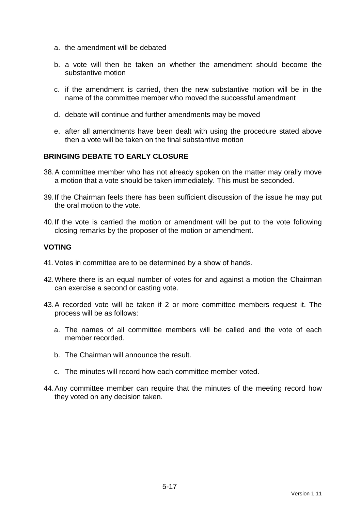- a. the amendment will be debated
- b. a vote will then be taken on whether the amendment should become the substantive motion
- c. if the amendment is carried, then the new substantive motion will be in the name of the committee member who moved the successful amendment
- d. debate will continue and further amendments may be moved
- e. after all amendments have been dealt with using the procedure stated above then a vote will be taken on the final substantive motion

# **BRINGING DEBATE TO EARLY CLOSURE**

- 38. A committee member who has not already spoken on the matter may orally move a motion that a vote should be taken immediately. This must be seconded.
- 39. If the Chairman feels there has been sufficient discussion of the issue he may put the oral motion to the vote.
- 40. If the vote is carried the motion or amendment will be put to the vote following closing remarks by the proposer of the motion or amendment.

### **VOTING**

- 41. Votes in committee are to be determined by a show of hands.
- 42. Where there is an equal number of votes for and against a motion the Chairman can exercise a second or casting vote.
- 43. A recorded vote will be taken if 2 or more committee members request it. The process will be as follows:
	- a. The names of all committee members will be called and the vote of each member recorded.
	- b. The Chairman will announce the result.
	- c. The minutes will record how each committee member voted.
- 44. Any committee member can require that the minutes of the meeting record how they voted on any decision taken.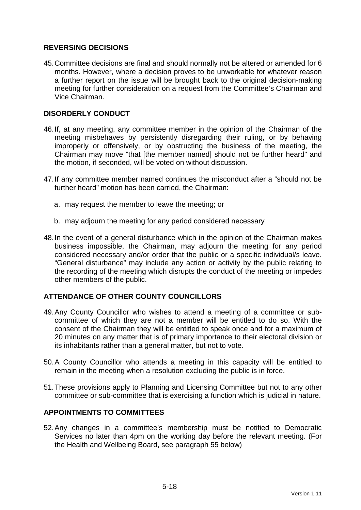# **REVERSING DECISIONS**

45. Committee decisions are final and should normally not be altered or amended for 6 months. However, where a decision proves to be unworkable for whatever reason a further report on the issue will be brought back to the original decision-making meeting for further consideration on a request from the Committee's Chairman and Vice Chairman.

# **DISORDERLY CONDUCT**

- 46. If, at any meeting, any committee member in the opinion of the Chairman of the meeting misbehaves by persistently disregarding their ruling, or by behaving improperly or offensively, or by obstructing the business of the meeting, the Chairman may move "that [the member named] should not be further heard" and the motion, if seconded, will be voted on without discussion.
- 47. If any committee member named continues the misconduct after a "should not be further heard" motion has been carried, the Chairman:
	- a. may request the member to leave the meeting; or
	- b. may adjourn the meeting for any period considered necessary
- 48. In the event of a general disturbance which in the opinion of the Chairman makes business impossible, the Chairman, may adjourn the meeting for any period considered necessary and/or order that the public or a specific individual/s leave. "General disturbance" may include any action or activity by the public relating to the recording of the meeting which disrupts the conduct of the meeting or impedes other members of the public.

### **ATTENDANCE OF OTHER COUNTY COUNCILLORS**

- 49. Any County Councillor who wishes to attend a meeting of a committee or subcommittee of which they are not a member will be entitled to do so. With the consent of the Chairman they will be entitled to speak once and for a maximum of 20 minutes on any matter that is of primary importance to their electoral division or its inhabitants rather than a general matter, but not to vote.
- 50. A County Councillor who attends a meeting in this capacity will be entitled to remain in the meeting when a resolution excluding the public is in force.
- 51. These provisions apply to Planning and Licensing Committee but not to any other committee or sub-committee that is exercising a function which is judicial in nature.

### **APPOINTMENTS TO COMMITTEES**

52. Any changes in a committee's membership must be notified to Democratic Services no later than 4pm on the working day before the relevant meeting. (For the Health and Wellbeing Board, see paragraph 55 below)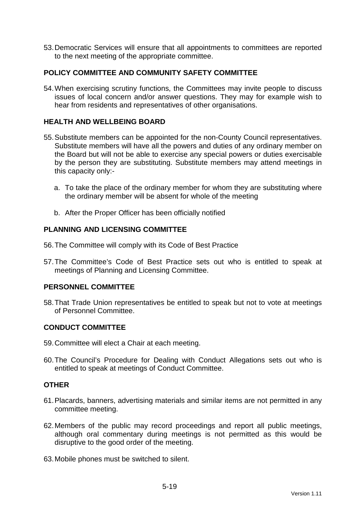53. Democratic Services will ensure that all appointments to committees are reported to the next meeting of the appropriate committee.

# **POLICY COMMITTEE AND COMMUNITY SAFETY COMMITTEE**

54. When exercising scrutiny functions, the Committees may invite people to discuss issues of local concern and/or answer questions. They may for example wish to hear from residents and representatives of other organisations.

## **HEALTH AND WELLBEING BOARD**

- 55. Substitute members can be appointed for the non-County Council representatives. Substitute members will have all the powers and duties of any ordinary member on the Board but will not be able to exercise any special powers or duties exercisable by the person they are substituting. Substitute members may attend meetings in this capacity only:
	- a. To take the place of the ordinary member for whom they are substituting where the ordinary member will be absent for whole of the meeting
	- b. After the Proper Officer has been officially notified

### **PLANNING AND LICENSING COMMITTEE**

- 56. The Committee will comply with its Code of Best Practice
- 57. The Committee's Code of Best Practice sets out who is entitled to speak at meetings of Planning and Licensing Committee.

### **PERSONNEL COMMITTEE**

58. That Trade Union representatives be entitled to speak but not to vote at meetings of Personnel Committee.

### **CONDUCT COMMITTEE**

- 59. Committee will elect a Chair at each meeting.
- 60. The Council's Procedure for Dealing with Conduct Allegations sets out who is entitled to speak at meetings of Conduct Committee.

#### **OTHER**

- 61. Placards, banners, advertising materials and similar items are not permitted in any committee meeting.
- 62. Members of the public may record proceedings and report all public meetings, although oral commentary during meetings is not permitted as this would be disruptive to the good order of the meeting.
- 63. Mobile phones must be switched to silent.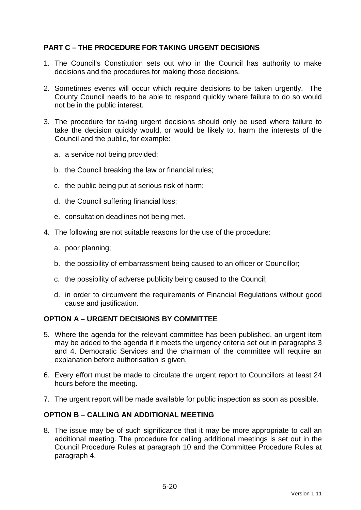# **PART C – THE PROCEDURE FOR TAKING URGENT DECISIONS**

- 1. The Council's Constitution sets out who in the Council has authority to make decisions and the procedures for making those decisions.
- 2. Sometimes events will occur which require decisions to be taken urgently. The County Council needs to be able to respond quickly where failure to do so would not be in the public interest.
- 3. The procedure for taking urgent decisions should only be used where failure to take the decision quickly would, or would be likely to, harm the interests of the Council and the public, for example:
	- a. a service not being provided;
	- b. the Council breaking the law or financial rules;
	- c. the public being put at serious risk of harm;
	- d. the Council suffering financial loss;
	- e. consultation deadlines not being met.
- 4. The following are not suitable reasons for the use of the procedure:
	- a. poor planning;
	- b. the possibility of embarrassment being caused to an officer or Councillor;
	- c. the possibility of adverse publicity being caused to the Council;
	- d. in order to circumvent the requirements of Financial Regulations without good cause and justification.

### **OPTION A – URGENT DECISIONS BY COMMITTEE**

- 5. Where the agenda for the relevant committee has been published, an urgent item may be added to the agenda if it meets the urgency criteria set out in paragraphs 3 and 4. Democratic Services and the chairman of the committee will require an explanation before authorisation is given.
- 6. Every effort must be made to circulate the urgent report to Councillors at least 24 hours before the meeting.
- 7. The urgent report will be made available for public inspection as soon as possible.

## **OPTION B – CALLING AN ADDITIONAL MEETING**

8. The issue may be of such significance that it may be more appropriate to call an additional meeting. The procedure for calling additional meetings is set out in the Council Procedure Rules at paragraph 10 and the Committee Procedure Rules at paragraph 4.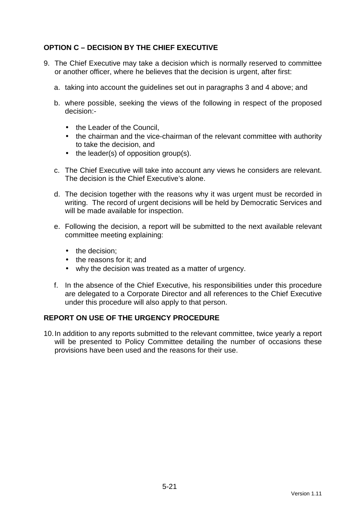# **OPTION C – DECISION BY THE CHIEF EXECUTIVE**

- 9. The Chief Executive may take a decision which is normally reserved to committee or another officer, where he believes that the decision is urgent, after first:
	- a. taking into account the guidelines set out in paragraphs 3 and 4 above; and
	- b. where possible, seeking the views of the following in respect of the proposed decision:-
		- the Leader of the Council.
		- the chairman and the vice-chairman of the relevant committee with authority to take the decision, and
		- the leader(s) of opposition group(s).
	- c. The Chief Executive will take into account any views he considers are relevant. The decision is the Chief Executive's alone.
	- d. The decision together with the reasons why it was urgent must be recorded in writing. The record of urgent decisions will be held by Democratic Services and will be made available for inspection.
	- e. Following the decision, a report will be submitted to the next available relevant committee meeting explaining:
		- the decision:
		- the reasons for it: and
		- why the decision was treated as a matter of urgency.
	- f. In the absence of the Chief Executive, his responsibilities under this procedure are delegated to a Corporate Director and all references to the Chief Executive under this procedure will also apply to that person.

### **REPORT ON USE OF THE URGENCY PROCEDURE**

10. In addition to any reports submitted to the relevant committee, twice yearly a report will be presented to Policy Committee detailing the number of occasions these provisions have been used and the reasons for their use.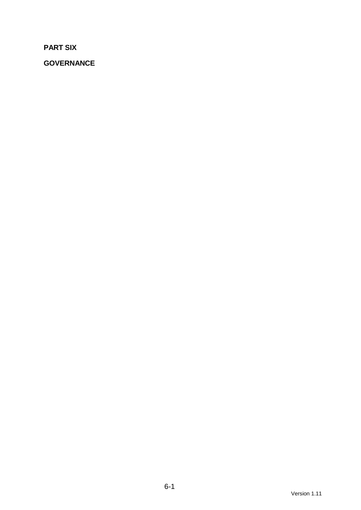**PART SIX** 

**GOVERNANCE**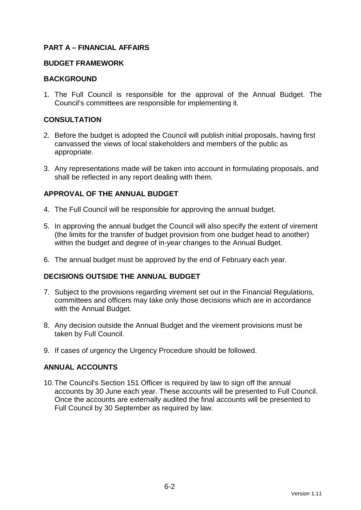# **PART A – FINANCIAL AFFAIRS**

#### **BUDGET FRAMEWORK**

#### **BACKGROUND**

1. The Full Council is responsible for the approval of the Annual Budget. The Council's committees are responsible for implementing it.

### **CONSULTATION**

- 2. Before the budget is adopted the Council will publish initial proposals, having first canvassed the views of local stakeholders and members of the public as appropriate.
- 3. Any representations made will be taken into account in formulating proposals, and shall be reflected in any report dealing with them.

# **APPROVAL OF THE ANNUAL BUDGET**

- 4. The Full Council will be responsible for approving the annual budget.
- 5. In approving the annual budget the Council will also specify the extent of virement (the limits for the transfer of budget provision from one budget head to another) within the budget and degree of in-year changes to the Annual Budget.
- 6. The annual budget must be approved by the end of February each year.

### **DECISIONS OUTSIDE THE ANNUAL BUDGET**

- 7. Subject to the provisions regarding virement set out in the Financial Regulations, committees and officers may take only those decisions which are in accordance with the Annual Budget.
- 8. Any decision outside the Annual Budget and the virement provisions must be taken by Full Council.
- 9. If cases of urgency the Urgency Procedure should be followed.

### **ANNUAL ACCOUNTS**

10. The Council's Section 151 Officer is required by law to sign off the annual accounts by 30 June each year. These accounts will be presented to Full Council. Once the accounts are externally audited the final accounts will be presented to Full Council by 30 September as required by law.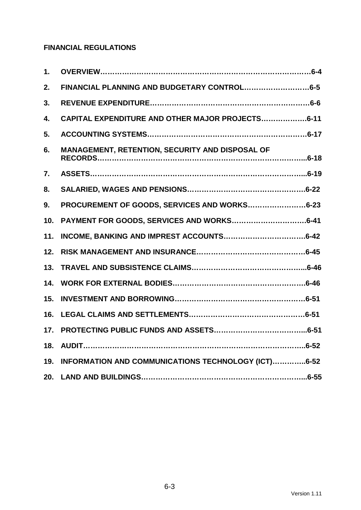# **FINANCIAL REGULATIONS**

| 1.  |                                                     |
|-----|-----------------------------------------------------|
| 2.  |                                                     |
| 3.  |                                                     |
| 4.  | CAPITAL EXPENDITURE AND OTHER MAJOR PROJECTS6-11    |
| 5.  |                                                     |
| 6.  | MANAGEMENT, RETENTION, SECURITY AND DISPOSAL OF     |
| 7.  |                                                     |
| 8.  |                                                     |
| 9.  | PROCUREMENT OF GOODS, SERVICES AND WORKS6-23        |
| 10. |                                                     |
| 11. |                                                     |
| 12. |                                                     |
| 13. |                                                     |
| 14. |                                                     |
| 15. |                                                     |
| 16. |                                                     |
| 17. |                                                     |
| 18. |                                                     |
| 19. | INFORMATION AND COMMUNICATIONS TECHNOLOGY (ICT)6-52 |
| 20. |                                                     |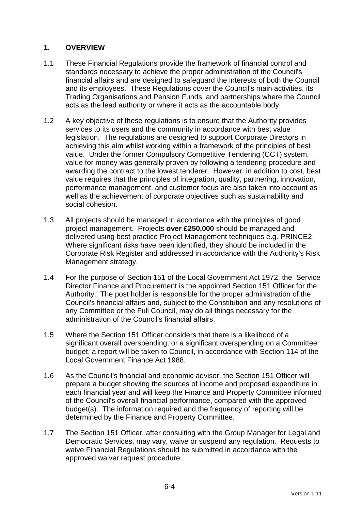# **1. OVERVIEW**

- 1.1 These Financial Regulations provide the framework of financial control and standards necessary to achieve the proper administration of the Council's financial affairs and are designed to safeguard the interests of both the Council and its employees. These Regulations cover the Council's main activities, its Trading Organisations and Pension Funds, and partnerships where the Council acts as the lead authority or where it acts as the accountable body.
- 1.2 A key objective of these regulations is to ensure that the Authority provides services to its users and the community in accordance with best value legislation. The regulations are designed to support Corporate Directors in achieving this aim whilst working within a framework of the principles of best value. Under the former Compulsory Competitive Tendering (CCT) system, value for money was generally proven by following a tendering procedure and awarding the contract to the lowest tenderer. However, in addition to cost, best value requires that the principles of integration, quality, partnering, innovation, performance management, and customer focus are also taken into account as well as the achievement of corporate objectives such as sustainability and social cohesion.
- 1.3 All projects should be managed in accordance with the principles of good project management. Projects **over £250,000** should be managed and delivered using best practice Project Management techniques e.g. PRINCE2. Where significant risks have been identified, they should be included in the Corporate Risk Register and addressed in accordance with the Authority's Risk Management strategy.
- 1.4 For the purpose of Section 151 of the Local Government Act 1972, the Service Director Finance and Procurement is the appointed Section 151 Officer for the Authority. The post holder is responsible for the proper administration of the Council's financial affairs and, subject to the Constitution and any resolutions of any Committee or the Full Council, may do all things necessary for the administration of the Council's financial affairs.
- 1.5 Where the Section 151 Officer considers that there is a likelihood of a significant overall overspending, or a significant overspending on a Committee budget, a report will be taken to Council, in accordance with Section 114 of the Local Government Finance Act 1988.
- 1.6 As the Council's financial and economic advisor, the Section 151 Officer will prepare a budget showing the sources of income and proposed expenditure in each financial year and will keep the Finance and Property Committee informed of the Council's overall financial performance, compared with the approved budget(s). The information required and the frequency of reporting will be determined by the Finance and Property Committee.
- 1.7 The Section 151 Officer, after consulting with the Group Manager for Legal and Democratic Services, may vary, waive or suspend any regulation. Requests to waive Financial Regulations should be submitted in accordance with the approved waiver request procedure.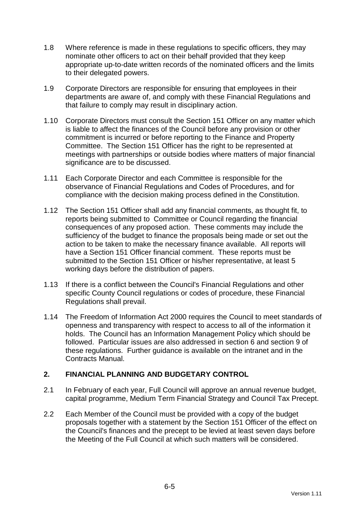- 1.8 Where reference is made in these regulations to specific officers, they may nominate other officers to act on their behalf provided that they keep appropriate up-to-date written records of the nominated officers and the limits to their delegated powers.
- 1.9 Corporate Directors are responsible for ensuring that employees in their departments are aware of, and comply with these Financial Regulations and that failure to comply may result in disciplinary action.
- 1.10 Corporate Directors must consult the Section 151 Officer on any matter which is liable to affect the finances of the Council before any provision or other commitment is incurred or before reporting to the Finance and Property Committee. The Section 151 Officer has the right to be represented at meetings with partnerships or outside bodies where matters of major financial significance are to be discussed.
- 1.11 Each Corporate Director and each Committee is responsible for the observance of Financial Regulations and Codes of Procedures, and for compliance with the decision making process defined in the Constitution.
- 1.12 The Section 151 Officer shall add any financial comments, as thought fit, to reports being submitted to Committee or Council regarding the financial consequences of any proposed action. These comments may include the sufficiency of the budget to finance the proposals being made or set out the action to be taken to make the necessary finance available. All reports will have a Section 151 Officer financial comment. These reports must be submitted to the Section 151 Officer or his/her representative, at least 5 working days before the distribution of papers.
- 1.13 If there is a conflict between the Council's Financial Regulations and other specific County Council regulations or codes of procedure, these Financial Regulations shall prevail.
- 1.14 The Freedom of Information Act 2000 requires the Council to meet standards of openness and transparency with respect to access to all of the information it holds. The Council has an Information Management Policy which should be followed. Particular issues are also addressed in section 6 and section 9 of these regulations. Further guidance is available on the intranet and in the Contracts Manual.

# **2. FINANCIAL PLANNING AND BUDGETARY CONTROL**

- 2.1 In February of each year, Full Council will approve an annual revenue budget, capital programme, Medium Term Financial Strategy and Council Tax Precept.
- 2.2 Each Member of the Council must be provided with a copy of the budget proposals together with a statement by the Section 151 Officer of the effect on the Council's finances and the precept to be levied at least seven days before the Meeting of the Full Council at which such matters will be considered.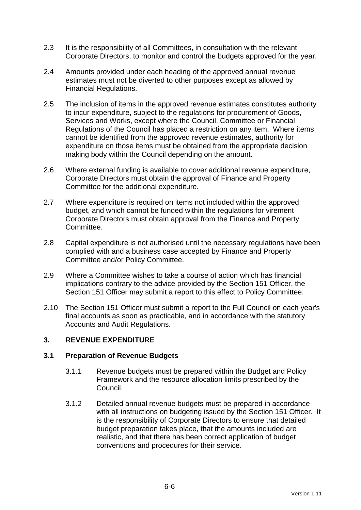- 2.3 It is the responsibility of all Committees, in consultation with the relevant Corporate Directors, to monitor and control the budgets approved for the year.
- 2.4 Amounts provided under each heading of the approved annual revenue estimates must not be diverted to other purposes except as allowed by Financial Regulations.
- 2.5 The inclusion of items in the approved revenue estimates constitutes authority to incur expenditure, subject to the regulations for procurement of Goods, Services and Works, except where the Council, Committee or Financial Regulations of the Council has placed a restriction on any item. Where items cannot be identified from the approved revenue estimates, authority for expenditure on those items must be obtained from the appropriate decision making body within the Council depending on the amount.
- 2.6 Where external funding is available to cover additional revenue expenditure, Corporate Directors must obtain the approval of Finance and Property Committee for the additional expenditure.
- 2.7 Where expenditure is required on items not included within the approved budget, and which cannot be funded within the regulations for virement Corporate Directors must obtain approval from the Finance and Property Committee.
- 2.8 Capital expenditure is not authorised until the necessary regulations have been complied with and a business case accepted by Finance and Property Committee and/or Policy Committee.
- 2.9 Where a Committee wishes to take a course of action which has financial implications contrary to the advice provided by the Section 151 Officer, the Section 151 Officer may submit a report to this effect to Policy Committee.
- 2.10 The Section 151 Officer must submit a report to the Full Council on each year's final accounts as soon as practicable, and in accordance with the statutory Accounts and Audit Regulations.

# **3. REVENUE EXPENDITURE**

### **3.1 Preparation of Revenue Budgets**

- 3.1.1 Revenue budgets must be prepared within the Budget and Policy Framework and the resource allocation limits prescribed by the Council.
- 3.1.2 Detailed annual revenue budgets must be prepared in accordance with all instructions on budgeting issued by the Section 151 Officer. It is the responsibility of Corporate Directors to ensure that detailed budget preparation takes place, that the amounts included are realistic, and that there has been correct application of budget conventions and procedures for their service.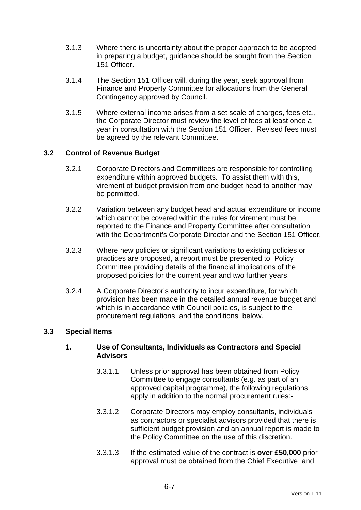- 3.1.3 Where there is uncertainty about the proper approach to be adopted in preparing a budget, guidance should be sought from the Section 151 Officer.
- 3.1.4 The Section 151 Officer will, during the year, seek approval from Finance and Property Committee for allocations from the General Contingency approved by Council.
- 3.1.5 Where external income arises from a set scale of charges, fees etc., the Corporate Director must review the level of fees at least once a year in consultation with the Section 151 Officer. Revised fees must be agreed by the relevant Committee.

### **3.2 Control of Revenue Budget**

- 3.2.1 Corporate Directors and Committees are responsible for controlling expenditure within approved budgets. To assist them with this, virement of budget provision from one budget head to another may be permitted.
- 3.2.2 Variation between any budget head and actual expenditure or income which cannot be covered within the rules for virement must be reported to the Finance and Property Committee after consultation with the Department's Corporate Director and the Section 151 Officer.
- 3.2.3 Where new policies or significant variations to existing policies or practices are proposed, a report must be presented to Policy Committee providing details of the financial implications of the proposed policies for the current year and two further years.
- 3.2.4 A Corporate Director's authority to incur expenditure, for which provision has been made in the detailed annual revenue budget and which is in accordance with Council policies, is subject to the procurement regulations and the conditions below.

### **3.3 Special Items**

### **1. Use of Consultants, Individuals as Contractors and Special Advisors**

- 3.3.1.1 Unless prior approval has been obtained from Policy Committee to engage consultants (e.g. as part of an approved capital programme), the following regulations apply in addition to the normal procurement rules:-
- 3.3.1.2 Corporate Directors may employ consultants, individuals as contractors or specialist advisors provided that there is sufficient budget provision and an annual report is made to the Policy Committee on the use of this discretion.
- 3.3.1.3 If the estimated value of the contract is **over £50,000** prior approval must be obtained from the Chief Executive and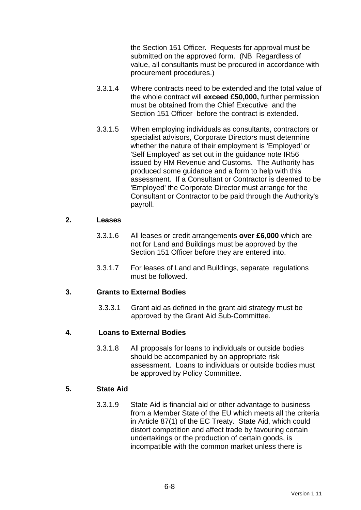the Section 151 Officer. Requests for approval must be submitted on the approved form. (NB Regardless of value, all consultants must be procured in accordance with procurement procedures.)

- 3.3.1.4 Where contracts need to be extended and the total value of the whole contract will **exceed £50,000,** further permission must be obtained from the Chief Executive and the Section 151 Officer before the contract is extended.
- 3.3.1.5 When employing individuals as consultants, contractors or specialist advisors, Corporate Directors must determine whether the nature of their employment is 'Employed' or 'Self Employed' as set out in the guidance note IR56 issued by HM Revenue and Customs. The Authority has produced some guidance and a form to help with this assessment. If a Consultant or Contractor is deemed to be 'Employed' the Corporate Director must arrange for the Consultant or Contractor to be paid through the Authority's payroll.

#### **2. Leases**

- 3.3.1.6 All leases or credit arrangements **over £6,000** which are not for Land and Buildings must be approved by the Section 151 Officer before they are entered into.
- 3.3.1.7 For leases of Land and Buildings, separate regulations must be followed.

### **3. Grants to External Bodies**

3.3.3.1 Grant aid as defined in the grant aid strategy must be approved by the Grant Aid Sub-Committee.

### **4. Loans to External Bodies**

3.3.1.8 All proposals for loans to individuals or outside bodies should be accompanied by an appropriate risk assessment. Loans to individuals or outside bodies must be approved by Policy Committee.

## **5. State Aid**

3.3.1.9 State Aid is financial aid or other advantage to business from a Member State of the EU which meets all the criteria in Article 87(1) of the EC Treaty. State Aid, which could distort competition and affect trade by favouring certain undertakings or the production of certain goods, is incompatible with the common market unless there is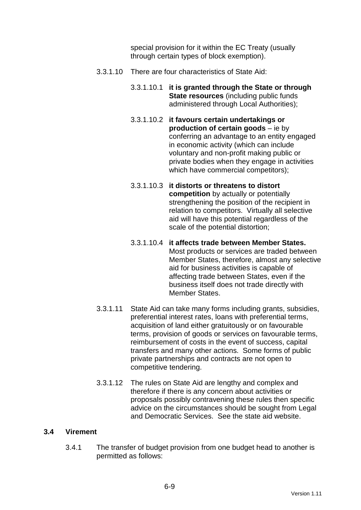special provision for it within the EC Treaty (usually through certain types of block exemption).

- 3.3.1.10 There are four characteristics of State Aid:
	- 3.3.1.10.1 **it is granted through the State or through State resources** (including public funds administered through Local Authorities);
	- 3.3.1.10.2 **it favours certain undertakings or production of certain goods** – ie by conferring an advantage to an entity engaged in economic activity (which can include voluntary and non-profit making public or private bodies when they engage in activities which have commercial competitors);
	- 3.3.1.10.3 **it distorts or threatens to distort competition** by actually or potentially strengthening the position of the recipient in relation to competitors. Virtually all selective aid will have this potential regardless of the scale of the potential distortion;
	- 3.3.1.10.4 **it affects trade between Member States.** Most products or services are traded between Member States, therefore, almost any selective aid for business activities is capable of affecting trade between States, even if the business itself does not trade directly with Member States.
- 3.3.1.11 State Aid can take many forms including grants, subsidies, preferential interest rates, loans with preferential terms, acquisition of land either gratuitously or on favourable terms, provision of goods or services on favourable terms, reimbursement of costs in the event of success, capital transfers and many other actions. Some forms of public private partnerships and contracts are not open to competitive tendering.
- 3.3.1.12 The rules on State Aid are lengthy and complex and therefore if there is any concern about activities or proposals possibly contravening these rules then specific advice on the circumstances should be sought from Legal and Democratic Services. See the state aid website.

### **3.4 Virement**

3.4.1 The transfer of budget provision from one budget head to another is permitted as follows: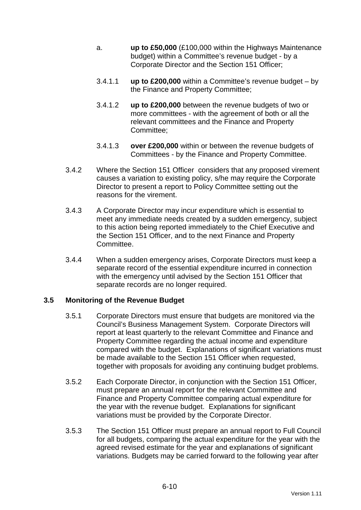- a. **up to £50,000** (£100,000 within the Highways Maintenance budget) within a Committee's revenue budget - by a Corporate Director and the Section 151 Officer;
- 3.4.1.1 **up to £200,000** within a Committee's revenue budget by the Finance and Property Committee;
- 3.4.1.2 **up to £200,000** between the revenue budgets of two or more committees - with the agreement of both or all the relevant committees and the Finance and Property Committee;
- 3.4.1.3 **over £200,000** within or between the revenue budgets of Committees - by the Finance and Property Committee.
- 3.4.2 Where the Section 151 Officer considers that any proposed virement causes a variation to existing policy, s/he may require the Corporate Director to present a report to Policy Committee setting out the reasons for the virement.
- 3.4.3 A Corporate Director may incur expenditure which is essential to meet any immediate needs created by a sudden emergency, subject to this action being reported immediately to the Chief Executive and the Section 151 Officer, and to the next Finance and Property Committee.
- 3.4.4 When a sudden emergency arises, Corporate Directors must keep a separate record of the essential expenditure incurred in connection with the emergency until advised by the Section 151 Officer that separate records are no longer required.

### **3.5 Monitoring of the Revenue Budget**

- 3.5.1 Corporate Directors must ensure that budgets are monitored via the Council's Business Management System. Corporate Directors will report at least quarterly to the relevant Committee and Finance and Property Committee regarding the actual income and expenditure compared with the budget. Explanations of significant variations must be made available to the Section 151 Officer when requested, together with proposals for avoiding any continuing budget problems.
- 3.5.2 Each Corporate Director, in conjunction with the Section 151 Officer, must prepare an annual report for the relevant Committee and Finance and Property Committee comparing actual expenditure for the year with the revenue budget. Explanations for significant variations must be provided by the Corporate Director.
- 3.5.3 The Section 151 Officer must prepare an annual report to Full Council for all budgets, comparing the actual expenditure for the year with the agreed revised estimate for the year and explanations of significant variations. Budgets may be carried forward to the following year after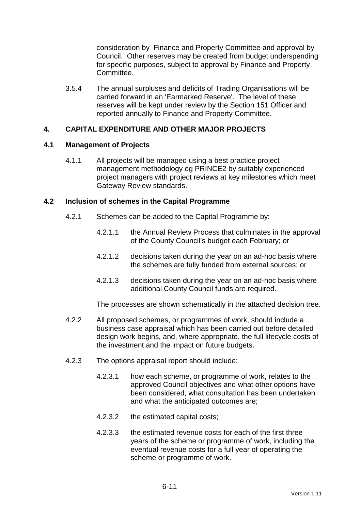consideration by Finance and Property Committee and approval by Council. Other reserves may be created from budget underspending for specific purposes, subject to approval by Finance and Property Committee.

3.5.4 The annual surpluses and deficits of Trading Organisations will be carried forward in an 'Earmarked Reserve'. The level of these reserves will be kept under review by the Section 151 Officer and reported annually to Finance and Property Committee.

### **4. CAPITAL EXPENDITURE AND OTHER MAJOR PROJECTS**

### **4.1 Management of Projects**

4.1.1 All projects will be managed using a best practice project management methodology eg PRINCE2 by suitably experienced project managers with project reviews at key milestones which meet Gateway Review standards.

### **4.2 Inclusion of schemes in the Capital Programme**

- 4.2.1 Schemes can be added to the Capital Programme by:
	- 4.2.1.1 the Annual Review Process that culminates in the approval of the County Council's budget each February; or
	- 4.2.1.2 decisions taken during the year on an ad-hoc basis where the schemes are fully funded from external sources; or
	- 4.2.1.3 decisions taken during the year on an ad-hoc basis where additional County Council funds are required.

The processes are shown schematically in the attached decision tree.

- 4.2.2 All proposed schemes, or programmes of work, should include a business case appraisal which has been carried out before detailed design work begins, and, where appropriate, the full lifecycle costs of the investment and the impact on future budgets.
- 4.2.3 The options appraisal report should include:
	- 4.2.3.1 how each scheme, or programme of work, relates to the approved Council objectives and what other options have been considered, what consultation has been undertaken and what the anticipated outcomes are;
	- 4.2.3.2 the estimated capital costs;
	- 4.2.3.3 the estimated revenue costs for each of the first three years of the scheme or programme of work, including the eventual revenue costs for a full year of operating the scheme or programme of work.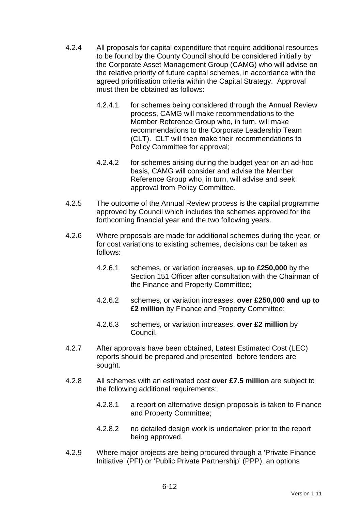- 4.2.4 All proposals for capital expenditure that require additional resources to be found by the County Council should be considered initially by the Corporate Asset Management Group (CAMG) who will advise on the relative priority of future capital schemes, in accordance with the agreed prioritisation criteria within the Capital Strategy. Approval must then be obtained as follows:
	- 4.2.4.1 for schemes being considered through the Annual Review process, CAMG will make recommendations to the Member Reference Group who, in turn, will make recommendations to the Corporate Leadership Team (CLT). CLT will then make their recommendations to Policy Committee for approval;
	- 4.2.4.2 for schemes arising during the budget year on an ad-hoc basis, CAMG will consider and advise the Member Reference Group who, in turn, will advise and seek approval from Policy Committee.
- 4.2.5 The outcome of the Annual Review process is the capital programme approved by Council which includes the schemes approved for the forthcoming financial year and the two following years.
- 4.2.6 Where proposals are made for additional schemes during the year, or for cost variations to existing schemes, decisions can be taken as follows:
	- 4.2.6.1 schemes, or variation increases, **up to £250,000** by the Section 151 Officer after consultation with the Chairman of the Finance and Property Committee;
	- 4.2.6.2 schemes, or variation increases, **over £250,000 and up to £2 million** by Finance and Property Committee;
	- 4.2.6.3 schemes, or variation increases, **over £2 million** by Council.
- 4.2.7 After approvals have been obtained, Latest Estimated Cost (LEC) reports should be prepared and presented before tenders are sought.
- 4.2.8 All schemes with an estimated cost **over £7.5 million** are subject to the following additional requirements:
	- 4.2.8.1 a report on alternative design proposals is taken to Finance and Property Committee;
	- 4.2.8.2 no detailed design work is undertaken prior to the report being approved.
- 4.2.9 Where major projects are being procured through a 'Private Finance Initiative' (PFI) or 'Public Private Partnership' (PPP), an options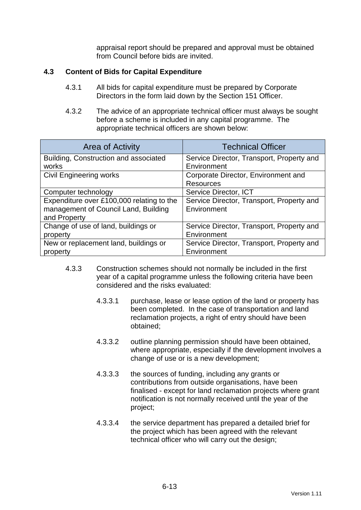appraisal report should be prepared and approval must be obtained from Council before bids are invited.

### **4.3 Content of Bids for Capital Expenditure**

- 4.3.1 All bids for capital expenditure must be prepared by Corporate Directors in the form laid down by the Section 151 Officer.
- 4.3.2 The advice of an appropriate technical officer must always be sought before a scheme is included in any capital programme. The appropriate technical officers are shown below:

| <b>Area of Activity</b>                   | <b>Technical Officer</b>                  |  |
|-------------------------------------------|-------------------------------------------|--|
| Building, Construction and associated     | Service Director, Transport, Property and |  |
| works                                     | Environment                               |  |
| <b>Civil Engineering works</b>            | Corporate Director, Environment and       |  |
|                                           | <b>Resources</b>                          |  |
| Computer technology                       | Service Director, ICT                     |  |
| Expenditure over £100,000 relating to the | Service Director, Transport, Property and |  |
| management of Council Land, Building      | Environment                               |  |
| and Property                              |                                           |  |
| Change of use of land, buildings or       | Service Director, Transport, Property and |  |
| property                                  | Environment                               |  |
| New or replacement land, buildings or     | Service Director, Transport, Property and |  |
| property                                  | Environment                               |  |

- 4.3.3 Construction schemes should not normally be included in the first year of a capital programme unless the following criteria have been considered and the risks evaluated:
	- 4.3.3.1 purchase, lease or lease option of the land or property has been completed. In the case of transportation and land reclamation projects, a right of entry should have been obtained;
	- 4.3.3.2 outline planning permission should have been obtained, where appropriate, especially if the development involves a change of use or is a new development;
	- 4.3.3.3 the sources of funding, including any grants or contributions from outside organisations, have been finalised - except for land reclamation projects where grant notification is not normally received until the year of the project;
	- 4.3.3.4 the service department has prepared a detailed brief for the project which has been agreed with the relevant technical officer who will carry out the design;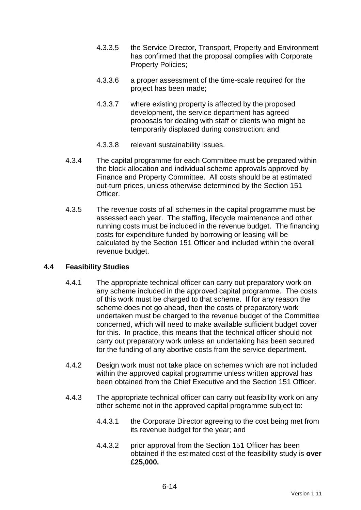- 4.3.3.5 the Service Director, Transport, Property and Environment has confirmed that the proposal complies with Corporate Property Policies;
- 4.3.3.6 a proper assessment of the time-scale required for the project has been made;
- 4.3.3.7 where existing property is affected by the proposed development, the service department has agreed proposals for dealing with staff or clients who might be temporarily displaced during construction; and
- 4.3.3.8 relevant sustainability issues.
- 4.3.4 The capital programme for each Committee must be prepared within the block allocation and individual scheme approvals approved by Finance and Property Committee. All costs should be at estimated out-turn prices, unless otherwise determined by the Section 151 Officer.
- 4.3.5 The revenue costs of all schemes in the capital programme must be assessed each year. The staffing, lifecycle maintenance and other running costs must be included in the revenue budget. The financing costs for expenditure funded by borrowing or leasing will be calculated by the Section 151 Officer and included within the overall revenue budget.

### **4.4 Feasibility Studies**

- 4.4.1 The appropriate technical officer can carry out preparatory work on any scheme included in the approved capital programme. The costs of this work must be charged to that scheme. If for any reason the scheme does not go ahead, then the costs of preparatory work undertaken must be charged to the revenue budget of the Committee concerned, which will need to make available sufficient budget cover for this. In practice, this means that the technical officer should not carry out preparatory work unless an undertaking has been secured for the funding of any abortive costs from the service department.
- 4.4.2 Design work must not take place on schemes which are not included within the approved capital programme unless written approval has been obtained from the Chief Executive and the Section 151 Officer.
- 4.4.3 The appropriate technical officer can carry out feasibility work on any other scheme not in the approved capital programme subject to:
	- 4.4.3.1 the Corporate Director agreeing to the cost being met from its revenue budget for the year; and
	- 4.4.3.2 prior approval from the Section 151 Officer has been obtained if the estimated cost of the feasibility study is **over £25,000.**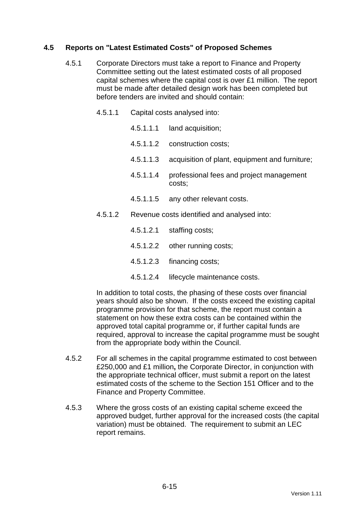## **4.5 Reports on "Latest Estimated Costs" of Proposed Schemes**

- 4.5.1 Corporate Directors must take a report to Finance and Property Committee setting out the latest estimated costs of all proposed capital schemes where the capital cost is over £1 million. The report must be made after detailed design work has been completed but before tenders are invited and should contain:
	- 4.5.1.1 Capital costs analysed into:
		- 4.5.1.1.1 land acquisition;
		- 4.5.1.1.2 construction costs;
		- 4.5.1.1.3 acquisition of plant, equipment and furniture;
		- 4.5.1.1.4 professional fees and project management costs;
		- 4.5.1.1.5 any other relevant costs.
	- 4.5.1.2 Revenue costs identified and analysed into:
		- 4.5.1.2.1 staffing costs;
		- 4.5.1.2.2 other running costs;
		- 4.5.1.2.3 financing costs;
		- 4.5.1.2.4 lifecycle maintenance costs.

In addition to total costs, the phasing of these costs over financial years should also be shown. If the costs exceed the existing capital programme provision for that scheme, the report must contain a statement on how these extra costs can be contained within the approved total capital programme or, if further capital funds are required, approval to increase the capital programme must be sought from the appropriate body within the Council.

- 4.5.2 For all schemes in the capital programme estimated to cost between £250,000 and £1 million**,** the Corporate Director, in conjunction with the appropriate technical officer, must submit a report on the latest estimated costs of the scheme to the Section 151 Officer and to the Finance and Property Committee.
- 4.5.3 Where the gross costs of an existing capital scheme exceed the approved budget, further approval for the increased costs (the capital variation) must be obtained. The requirement to submit an LEC report remains.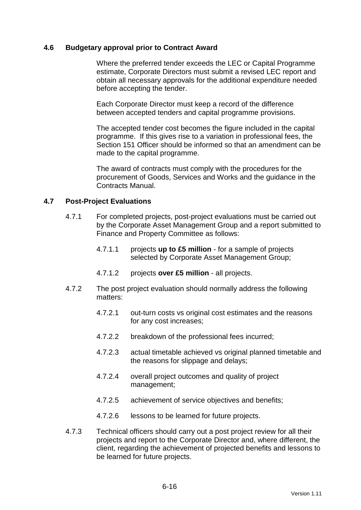#### **4.6 Budgetary approval prior to Contract Award**

 Where the preferred tender exceeds the LEC or Capital Programme estimate, Corporate Directors must submit a revised LEC report and obtain all necessary approvals for the additional expenditure needed before accepting the tender.

 Each Corporate Director must keep a record of the difference between accepted tenders and capital programme provisions.

 The accepted tender cost becomes the figure included in the capital programme. If this gives rise to a variation in professional fees, the Section 151 Officer should be informed so that an amendment can be made to the capital programme.

 The award of contracts must comply with the procedures for the procurement of Goods, Services and Works and the guidance in the Contracts Manual.

#### **4.7 Post-Project Evaluations**

- 4.7.1 For completed projects, post-project evaluations must be carried out by the Corporate Asset Management Group and a report submitted to Finance and Property Committee as follows:
	- 4.7.1.1 projects **up to £5 million** for a sample of projects selected by Corporate Asset Management Group;
	- 4.7.1.2 projects **over £5 million** all projects.
- 4.7.2 The post project evaluation should normally address the following matters:
	- 4.7.2.1 out-turn costs vs original cost estimates and the reasons for any cost increases;
	- 4.7.2.2 breakdown of the professional fees incurred;
	- 4.7.2.3 actual timetable achieved vs original planned timetable and the reasons for slippage and delays;
	- 4.7.2.4 overall project outcomes and quality of project management;
	- 4.7.2.5 achievement of service objectives and benefits;
	- 4.7.2.6 lessons to be learned for future projects.
- 4.7.3 Technical officers should carry out a post project review for all their projects and report to the Corporate Director and, where different, the client, regarding the achievement of projected benefits and lessons to be learned for future projects.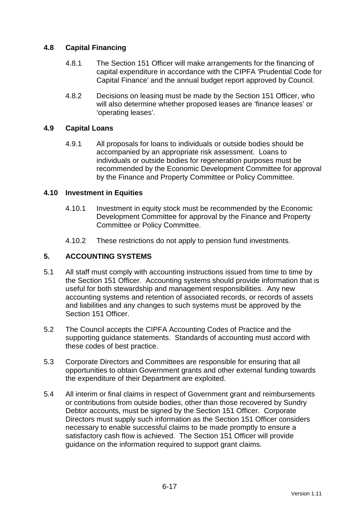## **4.8 Capital Financing**

- 4.8.1 The Section 151 Officer will make arrangements for the financing of capital expenditure in accordance with the CIPFA 'Prudential Code for Capital Finance' and the annual budget report approved by Council.
- 4.8.2 Decisions on leasing must be made by the Section 151 Officer, who will also determine whether proposed leases are 'finance leases' or 'operating leases'.

### **4.9 Capital Loans**

4.9.1 All proposals for loans to individuals or outside bodies should be accompanied by an appropriate risk assessment. Loans to individuals or outside bodies for regeneration purposes must be recommended by the Economic Development Committee for approval by the Finance and Property Committee or Policy Committee.

### **4.10 Investment in Equities**

- 4.10.1 Investment in equity stock must be recommended by the Economic Development Committee for approval by the Finance and Property Committee or Policy Committee.
- 4.10.2 These restrictions do not apply to pension fund investments.

# **5. ACCOUNTING SYSTEMS**

- 5.1 All staff must comply with accounting instructions issued from time to time by the Section 151 Officer. Accounting systems should provide information that is useful for both stewardship and management responsibilities. Any new accounting systems and retention of associated records, or records of assets and liabilities and any changes to such systems must be approved by the Section 151 Officer.
- 5.2 The Council accepts the CIPFA Accounting Codes of Practice and the supporting guidance statements. Standards of accounting must accord with these codes of best practice.
- 5.3 Corporate Directors and Committees are responsible for ensuring that all opportunities to obtain Government grants and other external funding towards the expenditure of their Department are exploited.
- 5.4 All interim or final claims in respect of Government grant and reimbursements or contributions from outside bodies, other than those recovered by Sundry Debtor accounts, must be signed by the Section 151 Officer. Corporate Directors must supply such information as the Section 151 Officer considers necessary to enable successful claims to be made promptly to ensure a satisfactory cash flow is achieved. The Section 151 Officer will provide guidance on the information required to support grant claims.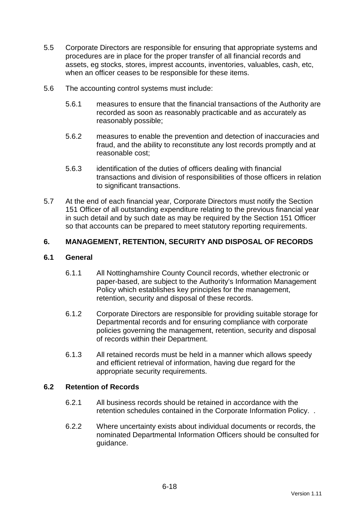- 5.5 Corporate Directors are responsible for ensuring that appropriate systems and procedures are in place for the proper transfer of all financial records and assets, eg stocks, stores, imprest accounts, inventories, valuables, cash, etc, when an officer ceases to be responsible for these items.
- 5.6 The accounting control systems must include:
	- 5.6.1 measures to ensure that the financial transactions of the Authority are recorded as soon as reasonably practicable and as accurately as reasonably possible;
	- 5.6.2 measures to enable the prevention and detection of inaccuracies and fraud, and the ability to reconstitute any lost records promptly and at reasonable cost;
	- 5.6.3 identification of the duties of officers dealing with financial transactions and division of responsibilities of those officers in relation to significant transactions.
- 5.7 At the end of each financial year, Corporate Directors must notify the Section 151 Officer of all outstanding expenditure relating to the previous financial year in such detail and by such date as may be required by the Section 151 Officer so that accounts can be prepared to meet statutory reporting requirements.

# **6. MANAGEMENT, RETENTION, SECURITY AND DISPOSAL OF RECORDS**

### **6.1 General**

- 6.1.1 All Nottinghamshire County Council records, whether electronic or paper-based, are subject to the Authority's Information Management Policy which establishes key principles for the management, retention, security and disposal of these records.
- 6.1.2 Corporate Directors are responsible for providing suitable storage for Departmental records and for ensuring compliance with corporate policies governing the management, retention, security and disposal of records within their Department.
- 6.1.3 All retained records must be held in a manner which allows speedy and efficient retrieval of information, having due regard for the appropriate security requirements.

### **6.2 Retention of Records**

- 6.2.1 All business records should be retained in accordance with the retention schedules contained in the Corporate Information Policy. .
- 6.2.2 Where uncertainty exists about individual documents or records, the nominated Departmental Information Officers should be consulted for guidance.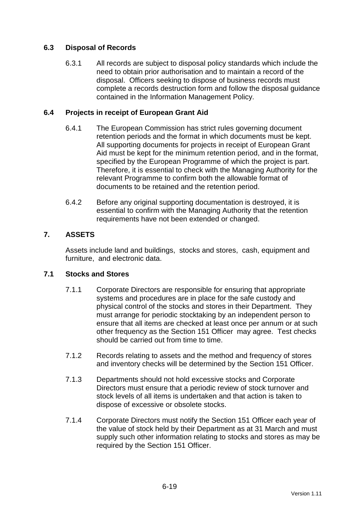# **6.3 Disposal of Records**

6.3.1 All records are subject to disposal policy standards which include the need to obtain prior authorisation and to maintain a record of the disposal. Officers seeking to dispose of business records must complete a records destruction form and follow the disposal guidance contained in the Information Management Policy.

### **6.4 Projects in receipt of European Grant Aid**

- 6.4.1 The European Commission has strict rules governing document retention periods and the format in which documents must be kept. All supporting documents for projects in receipt of European Grant Aid must be kept for the minimum retention period, and in the format, specified by the European Programme of which the project is part. Therefore, it is essential to check with the Managing Authority for the relevant Programme to confirm both the allowable format of documents to be retained and the retention period.
- 6.4.2 Before any original supporting documentation is destroyed, it is essential to confirm with the Managing Authority that the retention requirements have not been extended or changed.

### **7. ASSETS**

Assets include land and buildings, stocks and stores, cash, equipment and furniture, and electronic data.

### **7.1 Stocks and Stores**

- 7.1.1 Corporate Directors are responsible for ensuring that appropriate systems and procedures are in place for the safe custody and physical control of the stocks and stores in their Department. They must arrange for periodic stocktaking by an independent person to ensure that all items are checked at least once per annum or at such other frequency as the Section 151 Officer may agree. Test checks should be carried out from time to time.
- 7.1.2 Records relating to assets and the method and frequency of stores and inventory checks will be determined by the Section 151 Officer.
- 7.1.3 Departments should not hold excessive stocks and Corporate Directors must ensure that a periodic review of stock turnover and stock levels of all items is undertaken and that action is taken to dispose of excessive or obsolete stocks.
- 7.1.4 Corporate Directors must notify the Section 151 Officer each year of the value of stock held by their Department as at 31 March and must supply such other information relating to stocks and stores as may be required by the Section 151 Officer.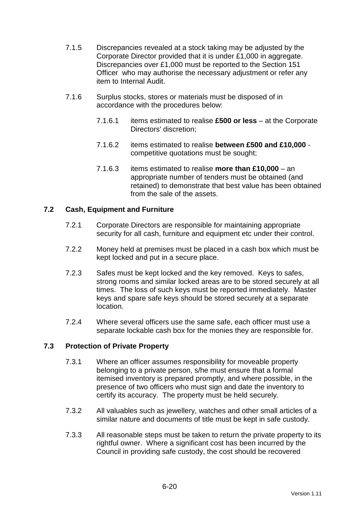- 7.1.5 Discrepancies revealed at a stock taking may be adjusted by the Corporate Director provided that it is under £1,000 in aggregate. Discrepancies over £1,000 must be reported to the Section 151 Officer who may authorise the necessary adjustment or refer any item to Internal Audit.
- 7.1.6 Surplus stocks, stores or materials must be disposed of in accordance with the procedures below:
	- 7.1.6.1 items estimated to realise **£500 or less** at the Corporate Directors' discretion;
	- 7.1.6.2 items estimated to realise **between £500 and £10,000** competitive quotations must be sought;
	- 7.1.6.3 items estimated to realise **more than £10,000** an appropriate number of tenders must be obtained (and retained) to demonstrate that best value has been obtained from the sale of the assets.

### **7.2 Cash, Equipment and Furniture**

- 7.2.1 Corporate Directors are responsible for maintaining appropriate security for all cash, furniture and equipment etc under their control.
- 7.2.2 Money held at premises must be placed in a cash box which must be kept locked and put in a secure place.
- 7.2.3 Safes must be kept locked and the key removed. Keys to safes, strong rooms and similar locked areas are to be stored securely at all times. The loss of such keys must be reported immediately. Master keys and spare safe keys should be stored securely at a separate location.
- 7.2.4 Where several officers use the same safe, each officer must use a separate lockable cash box for the monies they are responsible for.

### **7.3 Protection of Private Property**

- 7.3.1 Where an officer assumes responsibility for moveable property belonging to a private person, s/he must ensure that a formal itemised inventory is prepared promptly, and where possible, in the presence of two officers who must sign and date the inventory to certify its accuracy. The property must be held securely.
- 7.3.2 All valuables such as jewellery, watches and other small articles of a similar nature and documents of title must be kept in safe custody.
- 7.3.3 All reasonable steps must be taken to return the private property to its rightful owner. Where a significant cost has been incurred by the Council in providing safe custody, the cost should be recovered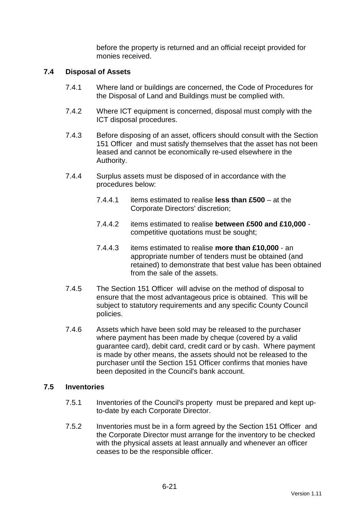before the property is returned and an official receipt provided for monies received.

#### **7.4 Disposal of Assets**

- 7.4.1 Where land or buildings are concerned, the Code of Procedures for the Disposal of Land and Buildings must be complied with.
- 7.4.2 Where ICT equipment is concerned, disposal must comply with the ICT disposal procedures.
- 7.4.3 Before disposing of an asset, officers should consult with the Section 151 Officer and must satisfy themselves that the asset has not been leased and cannot be economically re-used elsewhere in the Authority.
- 7.4.4 Surplus assets must be disposed of in accordance with the procedures below:
	- 7.4.4.1 items estimated to realise **less than £500** at the Corporate Directors' discretion;
	- 7.4.4.2 items estimated to realise **between £500 and £10,000** competitive quotations must be sought;
	- 7.4.4.3 items estimated to realise **more than £10,000** an appropriate number of tenders must be obtained (and retained) to demonstrate that best value has been obtained from the sale of the assets.
- 7.4.5 The Section 151 Officer will advise on the method of disposal to ensure that the most advantageous price is obtained. This will be subject to statutory requirements and any specific County Council policies.
- 7.4.6 Assets which have been sold may be released to the purchaser where payment has been made by cheque (covered by a valid guarantee card), debit card, credit card or by cash. Where payment is made by other means, the assets should not be released to the purchaser until the Section 151 Officer confirms that monies have been deposited in the Council's bank account.

#### **7.5 Inventories**

- 7.5.1 Inventories of the Council's property must be prepared and kept upto-date by each Corporate Director.
- 7.5.2 Inventories must be in a form agreed by the Section 151 Officer and the Corporate Director must arrange for the inventory to be checked with the physical assets at least annually and whenever an officer ceases to be the responsible officer.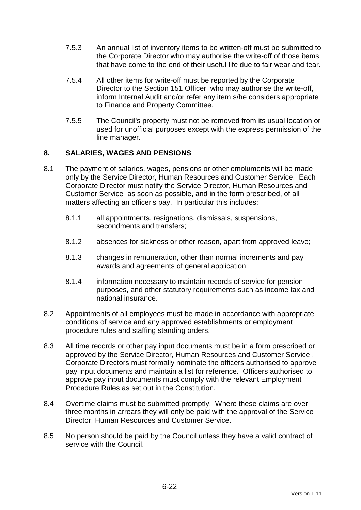- 7.5.3 An annual list of inventory items to be written-off must be submitted to the Corporate Director who may authorise the write-off of those items that have come to the end of their useful life due to fair wear and tear.
- 7.5.4 All other items for write-off must be reported by the Corporate Director to the Section 151 Officer who may authorise the write-off, inform Internal Audit and/or refer any item s/he considers appropriate to Finance and Property Committee.
- 7.5.5 The Council's property must not be removed from its usual location or used for unofficial purposes except with the express permission of the line manager.

### **8. SALARIES, WAGES AND PENSIONS**

- 8.1 The payment of salaries, wages, pensions or other emoluments will be made only by the Service Director, Human Resources and Customer Service. Each Corporate Director must notify the Service Director, Human Resources and Customer Service as soon as possible, and in the form prescribed, of all matters affecting an officer's pay. In particular this includes:
	- 8.1.1 all appointments, resignations, dismissals, suspensions, secondments and transfers;
	- 8.1.2 absences for sickness or other reason, apart from approved leave;
	- 8.1.3 changes in remuneration, other than normal increments and pay awards and agreements of general application;
	- 8.1.4 information necessary to maintain records of service for pension purposes, and other statutory requirements such as income tax and national insurance.
- 8.2 Appointments of all employees must be made in accordance with appropriate conditions of service and any approved establishments or employment procedure rules and staffing standing orders.
- 8.3 All time records or other pay input documents must be in a form prescribed or approved by the Service Director, Human Resources and Customer Service . Corporate Directors must formally nominate the officers authorised to approve pay input documents and maintain a list for reference. Officers authorised to approve pay input documents must comply with the relevant Employment Procedure Rules as set out in the Constitution.
- 8.4 Overtime claims must be submitted promptly. Where these claims are over three months in arrears they will only be paid with the approval of the Service Director, Human Resources and Customer Service.
- 8.5 No person should be paid by the Council unless they have a valid contract of service with the Council.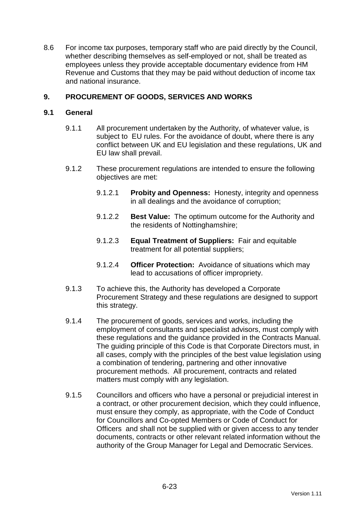8.6 For income tax purposes, temporary staff who are paid directly by the Council, whether describing themselves as self-employed or not, shall be treated as employees unless they provide acceptable documentary evidence from HM Revenue and Customs that they may be paid without deduction of income tax and national insurance.

### **9. PROCUREMENT OF GOODS, SERVICES AND WORKS**

#### **9.1 General**

- 9.1.1 All procurement undertaken by the Authority, of whatever value, is subject to EU rules. For the avoidance of doubt, where there is any conflict between UK and EU legislation and these regulations, UK and EU law shall prevail.
- 9.1.2 These procurement regulations are intended to ensure the following objectives are met:
	- 9.1.2.1 **Probity and Openness:** Honesty, integrity and openness in all dealings and the avoidance of corruption;
	- 9.1.2.2 **Best Value:** The optimum outcome for the Authority and the residents of Nottinghamshire;
	- 9.1.2.3 **Equal Treatment of Suppliers:** Fair and equitable treatment for all potential suppliers;
	- 9.1.2.4 **Officer Protection:** Avoidance of situations which may lead to accusations of officer impropriety.
- 9.1.3 To achieve this, the Authority has developed a Corporate Procurement Strategy and these regulations are designed to support this strategy.
- 9.1.4 The procurement of goods, services and works, including the employment of consultants and specialist advisors, must comply with these regulations and the guidance provided in the Contracts Manual. The guiding principle of this Code is that Corporate Directors must, in all cases, comply with the principles of the best value legislation using a combination of tendering, partnering and other innovative procurement methods. All procurement, contracts and related matters must comply with any legislation.
- 9.1.5 Councillors and officers who have a personal or prejudicial interest in a contract, or other procurement decision, which they could influence, must ensure they comply, as appropriate, with the Code of Conduct for Councillors and Co-opted Members or Code of Conduct for Officers and shall not be supplied with or given access to any tender documents, contracts or other relevant related information without the authority of the Group Manager for Legal and Democratic Services.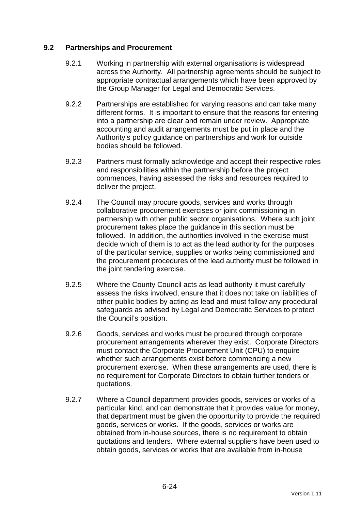### **9.2 Partnerships and Procurement**

- 9.2.1 Working in partnership with external organisations is widespread across the Authority. All partnership agreements should be subject to appropriate contractual arrangements which have been approved by the Group Manager for Legal and Democratic Services.
- 9.2.2 Partnerships are established for varying reasons and can take many different forms. It is important to ensure that the reasons for entering into a partnership are clear and remain under review. Appropriate accounting and audit arrangements must be put in place and the Authority's policy guidance on partnerships and work for outside bodies should be followed.
- 9.2.3 Partners must formally acknowledge and accept their respective roles and responsibilities within the partnership before the project commences, having assessed the risks and resources required to deliver the project.
- 9.2.4 The Council may procure goods, services and works through collaborative procurement exercises or joint commissioning in partnership with other public sector organisations. Where such joint procurement takes place the guidance in this section must be followed. In addition, the authorities involved in the exercise must decide which of them is to act as the lead authority for the purposes of the particular service, supplies or works being commissioned and the procurement procedures of the lead authority must be followed in the joint tendering exercise.
- 9.2.5 Where the County Council acts as lead authority it must carefully assess the risks involved, ensure that it does not take on liabilities of other public bodies by acting as lead and must follow any procedural safeguards as advised by Legal and Democratic Services to protect the Council's position.
- 9.2.6 Goods, services and works must be procured through corporate procurement arrangements wherever they exist. Corporate Directors must contact the Corporate Procurement Unit (CPU) to enquire whether such arrangements exist before commencing a new procurement exercise. When these arrangements are used, there is no requirement for Corporate Directors to obtain further tenders or quotations.
- 9.2.7 Where a Council department provides goods, services or works of a particular kind, and can demonstrate that it provides value for money, that department must be given the opportunity to provide the required goods, services or works. If the goods, services or works are obtained from in-house sources, there is no requirement to obtain quotations and tenders. Where external suppliers have been used to obtain goods, services or works that are available from in-house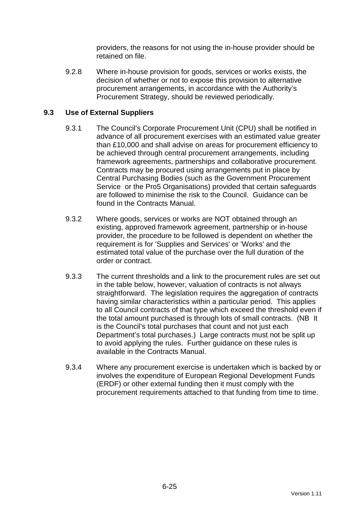providers, the reasons for not using the in-house provider should be retained on file.

9.2.8 Where in-house provision for goods, services or works exists, the decision of whether or not to expose this provision to alternative procurement arrangements, in accordance with the Authority's Procurement Strategy, should be reviewed periodically.

### **9.3 Use of External Suppliers**

- 9.3.1 The Council's Corporate Procurement Unit (CPU) shall be notified in advance of all procurement exercises with an estimated value greater than £10,000 and shall advise on areas for procurement efficiency to be achieved through central procurement arrangements, including framework agreements, partnerships and collaborative procurement. Contracts may be procured using arrangements put in place by Central Purchasing Bodies (such as the Government Procurement Service or the Pro5 Organisations) provided that certain safeguards are followed to minimise the risk to the Council. Guidance can be found in the Contracts Manual.
- 9.3.2 Where goods, services or works are NOT obtained through an existing, approved framework agreement, partnership or in-house provider, the procedure to be followed is dependent on whether the requirement is for 'Supplies and Services' or 'Works' and the estimated total value of the purchase over the full duration of the order or contract.
- 9.3.3 The current thresholds and a link to the procurement rules are set out in the table below, however, valuation of contracts is not always straightforward. The legislation requires the aggregation of contracts having similar characteristics within a particular period. This applies to all Council contracts of that type which exceed the threshold even if the total amount purchased is through lots of small contracts. (NB It is the Council's total purchases that count and not just each Department's total purchases.) Large contracts must not be split up to avoid applying the rules. Further guidance on these rules is available in the Contracts Manual.
- 9.3.4 Where any procurement exercise is undertaken which is backed by or involves the expenditure of European Regional Development Funds (ERDF) or other external funding then it must comply with the procurement requirements attached to that funding from time to time.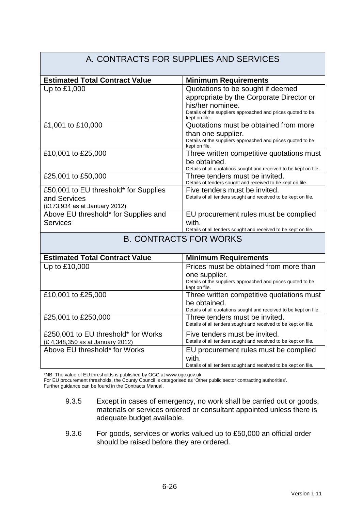#### A. CONTRACTS FOR SUPPLIES AND SERVICES **Estimated Total Contract Value Minimum Requirements** Up to £1,000  $\vert$  Quotations to be sought if deemed appropriate by the Corporate Director or his/her nominee. Details of the suppliers approached and prices quoted to be kept on file. £1,001 to £10,000 Quotations must be obtained from more than one supplier. Details of the suppliers approached and prices quoted to be kept on file. £10,001 to £25,000 Three written competitive quotations must be obtained. Details of all quotations sought and received to be kept on file. £25,001 to £50,000 Three tenders must be invited. Details of tenders sought and received to be kept on file. £50,001 to EU threshold\* for Supplies and Services (£173,934 as at January 2012) Five tenders must be invited. Details of all tenders sought and received to be kept on file. Above EU threshold\* for Supplies and **Services** EU procurement rules must be complied with. Details of all tenders sought and received to be kept on file. B. CONTRACTS FOR WORKS **Estimated Total Contract Value | Minimum Requirements** Up to £10,000 Prices must be obtained from more than one supplier. Details of the suppliers approached and prices quoted to be kept on file. £10,001 to £25,000 Three written competitive quotations must be obtained. Details of all quotations sought and received to be kept on file. £25,001 to £250,000 Three tenders must be invited. Details of all tenders sought and received to be kept on file. £250,001 to EU threshold\* for Works (£ 4,348,350 as at January 2012) Five tenders must be invited. Details of all tenders sought and received to be kept on file. Above EU threshold\* for Works **EU** procurement rules must be complied with. Details of all tenders sought and received to be kept on file.

\*NB The value of EU thresholds is published by OGC at www.ogc.gov.uk

For EU procurement thresholds, the County Council is categorised as 'Other public sector contracting authorities'.

Further guidance can be found in the Contracts Manual.

- 9.3.5 Except in cases of emergency, no work shall be carried out or goods, materials or services ordered or consultant appointed unless there is adequate budget available.
- 9.3.6 For goods, services or works valued up to £50,000 an official order should be raised before they are ordered.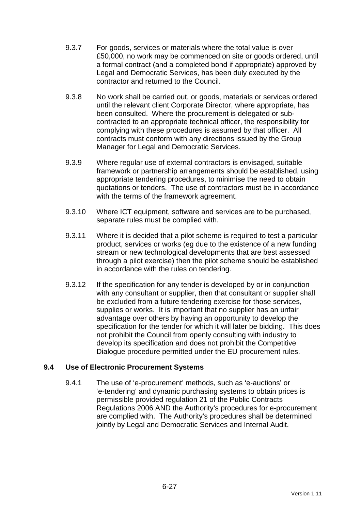- 9.3.7 For goods, services or materials where the total value is over £50,000, no work may be commenced on site or goods ordered, until a formal contract (and a completed bond if appropriate) approved by Legal and Democratic Services, has been duly executed by the contractor and returned to the Council.
- 9.3.8 No work shall be carried out, or goods, materials or services ordered until the relevant client Corporate Director, where appropriate, has been consulted. Where the procurement is delegated or subcontracted to an appropriate technical officer, the responsibility for complying with these procedures is assumed by that officer. All contracts must conform with any directions issued by the Group Manager for Legal and Democratic Services.
- 9.3.9 Where regular use of external contractors is envisaged, suitable framework or partnership arrangements should be established, using appropriate tendering procedures, to minimise the need to obtain quotations or tenders. The use of contractors must be in accordance with the terms of the framework agreement.
- 9.3.10 Where ICT equipment, software and services are to be purchased, separate rules must be complied with.
- 9.3.11 Where it is decided that a pilot scheme is required to test a particular product, services or works (eg due to the existence of a new funding stream or new technological developments that are best assessed through a pilot exercise) then the pilot scheme should be established in accordance with the rules on tendering.
- 9.3.12 If the specification for any tender is developed by or in conjunction with any consultant or supplier, then that consultant or supplier shall be excluded from a future tendering exercise for those services, supplies or works. It is important that no supplier has an unfair advantage over others by having an opportunity to develop the specification for the tender for which it will later be bidding. This does not prohibit the Council from openly consulting with industry to develop its specification and does not prohibit the Competitive Dialogue procedure permitted under the EU procurement rules.

### **9.4 Use of Electronic Procurement Systems**

9.4.1 The use of 'e-procurement' methods, such as 'e-auctions' or 'e-tendering' and dynamic purchasing systems to obtain prices is permissible provided regulation 21 of the Public Contracts Regulations 2006 AND the Authority's procedures for e-procurement are complied with. The Authority's procedures shall be determined jointly by Legal and Democratic Services and Internal Audit.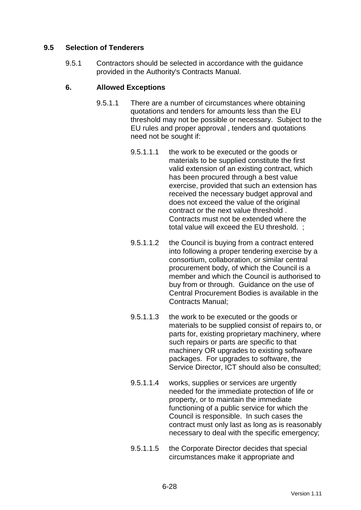## **9.5 Selection of Tenderers**

9.5.1 Contractors should be selected in accordance with the guidance provided in the Authority's Contracts Manual.

### **6. Allowed Exceptions**

- 9.5.1.1 There are a number of circumstances where obtaining quotations and tenders for amounts less than the EU threshold may not be possible or necessary. Subject to the EU rules and proper approval , tenders and quotations need not be sought if:
	- 9.5.1.1.1 the work to be executed or the goods or materials to be supplied constitute the first valid extension of an existing contract, which has been procured through a best value exercise, provided that such an extension has received the necessary budget approval and does not exceed the value of the original contract or the next value threshold . Contracts must not be extended where the total value will exceed the EU threshold. ;
	- 9.5.1.1.2 the Council is buying from a contract entered into following a proper tendering exercise by a consortium, collaboration, or similar central procurement body, of which the Council is a member and which the Council is authorised to buy from or through. Guidance on the use of Central Procurement Bodies is available in the Contracts Manual;
	- 9.5.1.1.3 the work to be executed or the goods or materials to be supplied consist of repairs to, or parts for, existing proprietary machinery, where such repairs or parts are specific to that machinery OR upgrades to existing software packages. For upgrades to software, the Service Director, ICT should also be consulted;
	- 9.5.1.1.4 works, supplies or services are urgently needed for the immediate protection of life or property, or to maintain the immediate functioning of a public service for which the Council is responsible. In such cases the contract must only last as long as is reasonably necessary to deal with the specific emergency;
	- 9.5.1.1.5 the Corporate Director decides that special circumstances make it appropriate and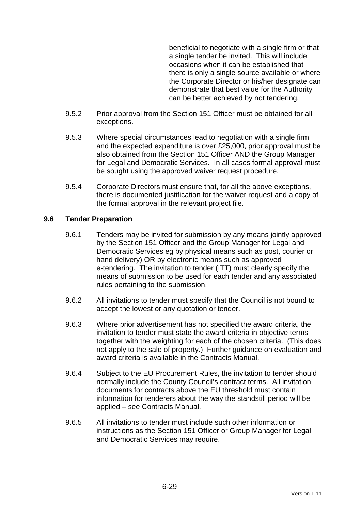beneficial to negotiate with a single firm or that a single tender be invited. This will include occasions when it can be established that there is only a single source available or where the Corporate Director or his/her designate can demonstrate that best value for the Authority can be better achieved by not tendering.

- 9.5.2 Prior approval from the Section 151 Officer must be obtained for all exceptions.
- 9.5.3 Where special circumstances lead to negotiation with a single firm and the expected expenditure is over £25,000, prior approval must be also obtained from the Section 151 Officer AND the Group Manager for Legal and Democratic Services. In all cases formal approval must be sought using the approved waiver request procedure.
- 9.5.4 Corporate Directors must ensure that, for all the above exceptions, there is documented justification for the waiver request and a copy of the formal approval in the relevant project file.

### **9.6 Tender Preparation**

- 9.6.1 Tenders may be invited for submission by any means jointly approved by the Section 151 Officer and the Group Manager for Legal and Democratic Services eg by physical means such as post, courier or hand delivery) OR by electronic means such as approved e-tendering. The invitation to tender (ITT) must clearly specify the means of submission to be used for each tender and any associated rules pertaining to the submission.
- 9.6.2 All invitations to tender must specify that the Council is not bound to accept the lowest or any quotation or tender.
- 9.6.3 Where prior advertisement has not specified the award criteria, the invitation to tender must state the award criteria in objective terms together with the weighting for each of the chosen criteria. (This does not apply to the sale of property.) Further guidance on evaluation and award criteria is available in the Contracts Manual.
- 9.6.4 Subject to the EU Procurement Rules, the invitation to tender should normally include the County Council's contract terms. All invitation documents for contracts above the EU threshold must contain information for tenderers about the way the standstill period will be applied – see Contracts Manual.
- 9.6.5 All invitations to tender must include such other information or instructions as the Section 151 Officer or Group Manager for Legal and Democratic Services may require.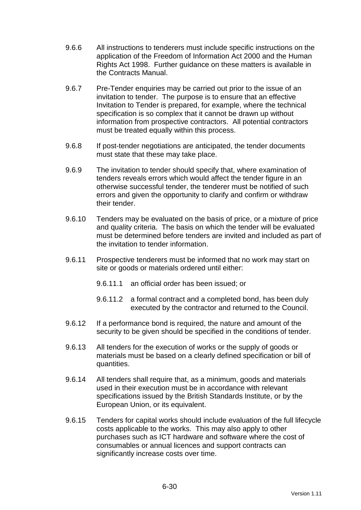- 9.6.6 All instructions to tenderers must include specific instructions on the application of the Freedom of Information Act 2000 and the Human Rights Act 1998. Further guidance on these matters is available in the Contracts Manual.
- 9.6.7 Pre-Tender enquiries may be carried out prior to the issue of an invitation to tender. The purpose is to ensure that an effective Invitation to Tender is prepared, for example, where the technical specification is so complex that it cannot be drawn up without information from prospective contractors. All potential contractors must be treated equally within this process.
- 9.6.8 If post-tender negotiations are anticipated, the tender documents must state that these may take place.
- 9.6.9 The invitation to tender should specify that, where examination of tenders reveals errors which would affect the tender figure in an otherwise successful tender, the tenderer must be notified of such errors and given the opportunity to clarify and confirm or withdraw their tender.
- 9.6.10 Tenders may be evaluated on the basis of price, or a mixture of price and quality criteria. The basis on which the tender will be evaluated must be determined before tenders are invited and included as part of the invitation to tender information.
- 9.6.11 Prospective tenderers must be informed that no work may start on site or goods or materials ordered until either:
	- 9.6.11.1 an official order has been issued; or
	- 9.6.11.2 a formal contract and a completed bond, has been duly executed by the contractor and returned to the Council.
- 9.6.12 If a performance bond is required, the nature and amount of the security to be given should be specified in the conditions of tender.
- 9.6.13 All tenders for the execution of works or the supply of goods or materials must be based on a clearly defined specification or bill of quantities.
- 9.6.14 All tenders shall require that, as a minimum, goods and materials used in their execution must be in accordance with relevant specifications issued by the British Standards Institute, or by the European Union, or its equivalent.
- 9.6.15 Tenders for capital works should include evaluation of the full lifecycle costs applicable to the works. This may also apply to other purchases such as ICT hardware and software where the cost of consumables or annual licences and support contracts can significantly increase costs over time.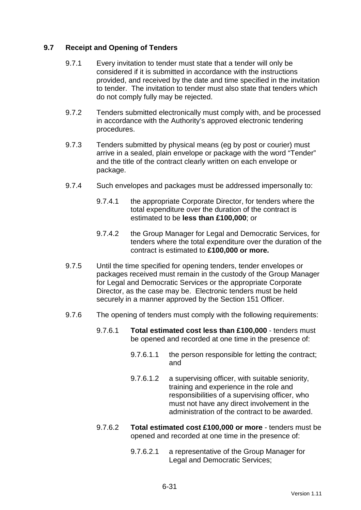### **9.7 Receipt and Opening of Tenders**

- 9.7.1 Every invitation to tender must state that a tender will only be considered if it is submitted in accordance with the instructions provided, and received by the date and time specified in the invitation to tender. The invitation to tender must also state that tenders which do not comply fully may be rejected.
- 9.7.2 Tenders submitted electronically must comply with, and be processed in accordance with the Authority's approved electronic tendering procedures.
- 9.7.3 Tenders submitted by physical means (eg by post or courier) must arrive in a sealed, plain envelope or package with the word "Tender" and the title of the contract clearly written on each envelope or package.
- 9.7.4 Such envelopes and packages must be addressed impersonally to:
	- 9.7.4.1 the appropriate Corporate Director, for tenders where the total expenditure over the duration of the contract is estimated to be **less than £100,000**; or
	- 9.7.4.2 the Group Manager for Legal and Democratic Services, for tenders where the total expenditure over the duration of the contract is estimated to **£100,000 or more.**
- 9.7.5 Until the time specified for opening tenders, tender envelopes or packages received must remain in the custody of the Group Manager for Legal and Democratic Services or the appropriate Corporate Director, as the case may be. Electronic tenders must be held securely in a manner approved by the Section 151 Officer.
- 9.7.6 The opening of tenders must comply with the following requirements:
	- 9.7.6.1 **Total estimated cost less than £100,000** tenders must be opened and recorded at one time in the presence of:
		- 9.7.6.1.1 the person responsible for letting the contract; and
		- 9.7.6.1.2 a supervising officer, with suitable seniority, training and experience in the role and responsibilities of a supervising officer, who must not have any direct involvement in the administration of the contract to be awarded.
	- 9.7.6.2 **Total estimated cost £100,000 or more** tenders must be opened and recorded at one time in the presence of:
		- 9.7.6.2.1 a representative of the Group Manager for Legal and Democratic Services;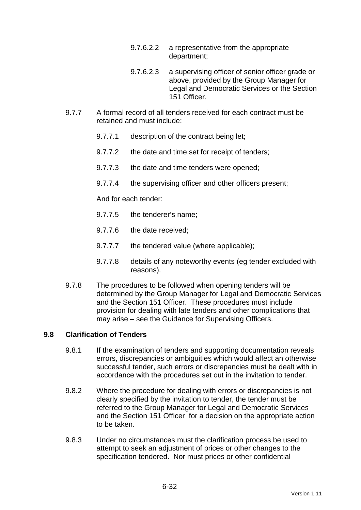- 9.7.6.2.2 a representative from the appropriate department;
- 9.7.6.2.3 a supervising officer of senior officer grade or above, provided by the Group Manager for Legal and Democratic Services or the Section 151 Officer.
- 9.7.7 A formal record of all tenders received for each contract must be retained and must include:
	- 9.7.7.1 description of the contract being let;
	- 9.7.7.2 the date and time set for receipt of tenders;
	- 9.7.7.3 the date and time tenders were opened;
	- 9.7.7.4 the supervising officer and other officers present;

And for each tender:

- 9.7.7.5 the tenderer's name;
- 9.7.7.6 the date received;
- 9.7.7.7 the tendered value (where applicable);
- 9.7.7.8 details of any noteworthy events (eg tender excluded with reasons).
- 9.7.8 The procedures to be followed when opening tenders will be determined by the Group Manager for Legal and Democratic Services and the Section 151 Officer. These procedures must include provision for dealing with late tenders and other complications that may arise – see the Guidance for Supervising Officers.

### **9.8 Clarification of Tenders**

- 9.8.1 If the examination of tenders and supporting documentation reveals errors, discrepancies or ambiguities which would affect an otherwise successful tender, such errors or discrepancies must be dealt with in accordance with the procedures set out in the invitation to tender.
- 9.8.2 Where the procedure for dealing with errors or discrepancies is not clearly specified by the invitation to tender, the tender must be referred to the Group Manager for Legal and Democratic Services and the Section 151 Officer for a decision on the appropriate action to be taken.
- 9.8.3 Under no circumstances must the clarification process be used to attempt to seek an adjustment of prices or other changes to the specification tendered. Nor must prices or other confidential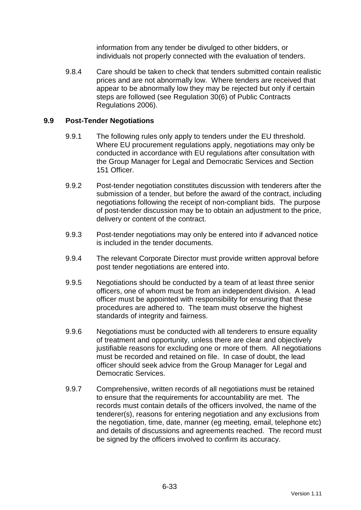information from any tender be divulged to other bidders, or individuals not properly connected with the evaluation of tenders.

9.8.4 Care should be taken to check that tenders submitted contain realistic prices and are not abnormally low. Where tenders are received that appear to be abnormally low they may be rejected but only if certain steps are followed (see Regulation 30(6) of Public Contracts Regulations 2006).

### **9.9 Post-Tender Negotiations**

- 9.9.1 The following rules only apply to tenders under the EU threshold. Where EU procurement regulations apply, negotiations may only be conducted in accordance with EU regulations after consultation with the Group Manager for Legal and Democratic Services and Section 151 Officer.
- 9.9.2 Post-tender negotiation constitutes discussion with tenderers after the submission of a tender, but before the award of the contract, including negotiations following the receipt of non-compliant bids. The purpose of post-tender discussion may be to obtain an adjustment to the price, delivery or content of the contract.
- 9.9.3 Post-tender negotiations may only be entered into if advanced notice is included in the tender documents.
- 9.9.4 The relevant Corporate Director must provide written approval before post tender negotiations are entered into.
- 9.9.5 Negotiations should be conducted by a team of at least three senior officers, one of whom must be from an independent division. A lead officer must be appointed with responsibility for ensuring that these procedures are adhered to. The team must observe the highest standards of integrity and fairness.
- 9.9.6 Negotiations must be conducted with all tenderers to ensure equality of treatment and opportunity, unless there are clear and objectively justifiable reasons for excluding one or more of them. All negotiations must be recorded and retained on file. In case of doubt, the lead officer should seek advice from the Group Manager for Legal and Democratic Services.
- 9.9.7 Comprehensive, written records of all negotiations must be retained to ensure that the requirements for accountability are met. The records must contain details of the officers involved, the name of the tenderer(s), reasons for entering negotiation and any exclusions from the negotiation, time, date, manner (eg meeting, email, telephone etc) and details of discussions and agreements reached. The record must be signed by the officers involved to confirm its accuracy.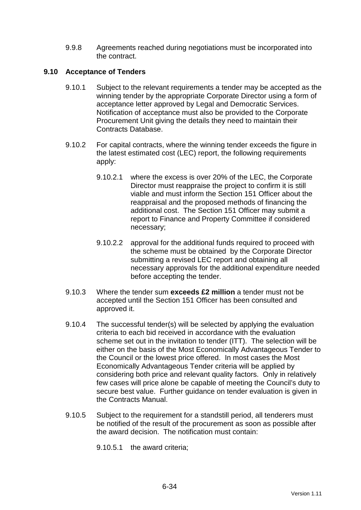9.9.8 Agreements reached during negotiations must be incorporated into the contract.

### **9.10 Acceptance of Tenders**

- 9.10.1 Subject to the relevant requirements a tender may be accepted as the winning tender by the appropriate Corporate Director using a form of acceptance letter approved by Legal and Democratic Services. Notification of acceptance must also be provided to the Corporate Procurement Unit giving the details they need to maintain their Contracts Database.
- 9.10.2 For capital contracts, where the winning tender exceeds the figure in the latest estimated cost (LEC) report, the following requirements apply:
	- 9.10.2.1 where the excess is over 20% of the LEC, the Corporate Director must reappraise the project to confirm it is still viable and must inform the Section 151 Officer about the reappraisal and the proposed methods of financing the additional cost. The Section 151 Officer may submit a report to Finance and Property Committee if considered necessary;
	- 9.10.2.2 approval for the additional funds required to proceed with the scheme must be obtained by the Corporate Director submitting a revised LEC report and obtaining all necessary approvals for the additional expenditure needed before accepting the tender.
- 9.10.3 Where the tender sum **exceeds £2 million** a tender must not be accepted until the Section 151 Officer has been consulted and approved it.
- 9.10.4 The successful tender(s) will be selected by applying the evaluation criteria to each bid received in accordance with the evaluation scheme set out in the invitation to tender (ITT). The selection will be either on the basis of the Most Economically Advantageous Tender to the Council or the lowest price offered. In most cases the Most Economically Advantageous Tender criteria will be applied by considering both price and relevant quality factors. Only in relatively few cases will price alone be capable of meeting the Council's duty to secure best value. Further guidance on tender evaluation is given in the Contracts Manual.
- 9.10.5 Subject to the requirement for a standstill period, all tenderers must be notified of the result of the procurement as soon as possible after the award decision. The notification must contain:

9.10.5.1 the award criteria;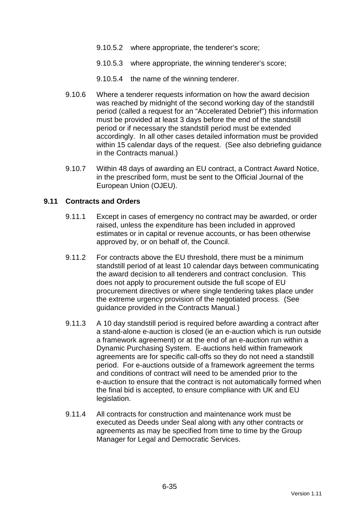- 9.10.5.2 where appropriate, the tenderer's score;
- 9.10.5.3 where appropriate, the winning tenderer's score;
- 9.10.5.4 the name of the winning tenderer.
- 9.10.6 Where a tenderer requests information on how the award decision was reached by midnight of the second working day of the standstill period (called a request for an "Accelerated Debrief") this information must be provided at least 3 days before the end of the standstill period or if necessary the standstill period must be extended accordingly. In all other cases detailed information must be provided within 15 calendar days of the request. (See also debriefing guidance in the Contracts manual.)
- 9.10.7 Within 48 days of awarding an EU contract, a Contract Award Notice, in the prescribed form, must be sent to the Official Journal of the European Union (OJEU).

#### **9.11 Contracts and Orders**

- 9.11.1 Except in cases of emergency no contract may be awarded, or order raised, unless the expenditure has been included in approved estimates or in capital or revenue accounts, or has been otherwise approved by, or on behalf of, the Council.
- 9.11.2 For contracts above the EU threshold, there must be a minimum standstill period of at least 10 calendar days between communicating the award decision to all tenderers and contract conclusion. This does not apply to procurement outside the full scope of EU procurement directives or where single tendering takes place under the extreme urgency provision of the negotiated process. (See guidance provided in the Contracts Manual.)
- 9.11.3 A 10 day standstill period is required before awarding a contract after a stand-alone e-auction is closed (ie an e-auction which is run outside a framework agreement) or at the end of an e-auction run within a Dynamic Purchasing System. E-auctions held within framework agreements are for specific call-offs so they do not need a standstill period. For e-auctions outside of a framework agreement the terms and conditions of contract will need to be amended prior to the e-auction to ensure that the contract is not automatically formed when the final bid is accepted, to ensure compliance with UK and EU legislation.
- 9.11.4 All contracts for construction and maintenance work must be executed as Deeds under Seal along with any other contracts or agreements as may be specified from time to time by the Group Manager for Legal and Democratic Services.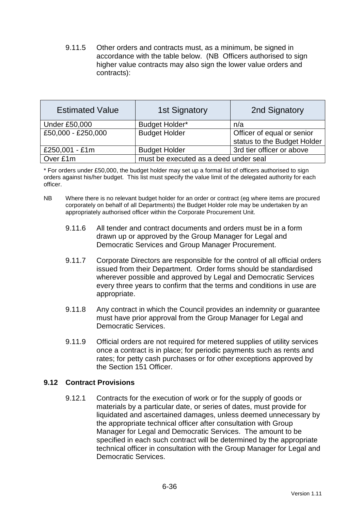9.11.5 Other orders and contracts must, as a minimum, be signed in accordance with the table below. (NB Officers authorised to sign higher value contracts may also sign the lower value orders and contracts):

| <b>Estimated Value</b> | <b>1st Signatory</b>                  | 2nd Signatory               |  |
|------------------------|---------------------------------------|-----------------------------|--|
| <b>Under £50,000</b>   | <b>Budget Holder*</b>                 | n/a                         |  |
| £50,000 - £250,000     | <b>Budget Holder</b>                  | Officer of equal or senior  |  |
|                        |                                       | status to the Budget Holder |  |
| £250,001 - £1m         | <b>Budget Holder</b>                  | 3rd tier officer or above   |  |
| Over £1m               | must be executed as a deed under seal |                             |  |

\* For orders under £50,000, the budget holder may set up a formal list of officers authorised to sign orders against his/her budget. This list must specify the value limit of the delegated authority for each officer.

- NB Where there is no relevant budget holder for an order or contract (eg where items are procured corporately on behalf of all Departments) the Budget Holder role may be undertaken by an appropriately authorised officer within the Corporate Procurement Unit.
	- 9.11.6 All tender and contract documents and orders must be in a form drawn up or approved by the Group Manager for Legal and Democratic Services and Group Manager Procurement.
	- 9.11.7 Corporate Directors are responsible for the control of all official orders issued from their Department. Order forms should be standardised wherever possible and approved by Legal and Democratic Services every three years to confirm that the terms and conditions in use are appropriate.
	- 9.11.8 Any contract in which the Council provides an indemnity or guarantee must have prior approval from the Group Manager for Legal and Democratic Services.
	- 9.11.9 Official orders are not required for metered supplies of utility services once a contract is in place; for periodic payments such as rents and rates; for petty cash purchases or for other exceptions approved by the Section 151 Officer.

### **9.12 Contract Provisions**

9.12.1 Contracts for the execution of work or for the supply of goods or materials by a particular date, or series of dates, must provide for liquidated and ascertained damages, unless deemed unnecessary by the appropriate technical officer after consultation with Group Manager for Legal and Democratic Services. The amount to be specified in each such contract will be determined by the appropriate technical officer in consultation with the Group Manager for Legal and Democratic Services.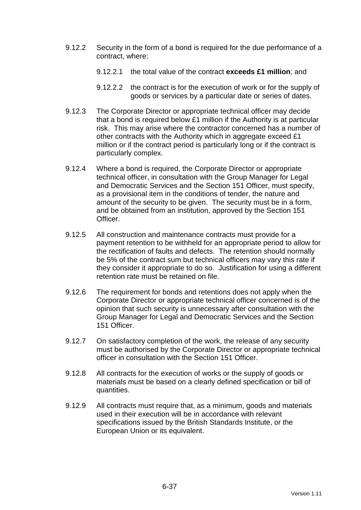- 9.12.2 Security in the form of a bond is required for the due performance of a contract, where:
	- 9.12.2.1 the total value of the contract **exceeds £1 million**; and
	- 9.12.2.2 the contract is for the execution of work or for the supply of goods or services by a particular date or series of dates.
- 9.12.3 The Corporate Director or appropriate technical officer may decide that a bond is required below £1 million if the Authority is at particular risk. This may arise where the contractor concerned has a number of other contracts with the Authority which in aggregate exceed £1 million or if the contract period is particularly long or if the contract is particularly complex.
- 9.12.4 Where a bond is required, the Corporate Director or appropriate technical officer, in consultation with the Group Manager for Legal and Democratic Services and the Section 151 Officer, must specify, as a provisional item in the conditions of tender, the nature and amount of the security to be given. The security must be in a form, and be obtained from an institution, approved by the Section 151 Officer.
- 9.12.5 All construction and maintenance contracts must provide for a payment retention to be withheld for an appropriate period to allow for the rectification of faults and defects. The retention should normally be 5% of the contract sum but technical officers may vary this rate if they consider it appropriate to do so. Justification for using a different retention rate must be retained on file.
- 9.12.6 The requirement for bonds and retentions does not apply when the Corporate Director or appropriate technical officer concerned is of the opinion that such security is unnecessary after consultation with the Group Manager for Legal and Democratic Services and the Section 151 Officer.
- 9.12.7 On satisfactory completion of the work, the release of any security must be authorised by the Corporate Director or appropriate technical officer in consultation with the Section 151 Officer.
- 9.12.8 All contracts for the execution of works or the supply of goods or materials must be based on a clearly defined specification or bill of quantities.
- 9.12.9 All contracts must require that, as a minimum, goods and materials used in their execution will be in accordance with relevant specifications issued by the British Standards Institute, or the European Union or its equivalent.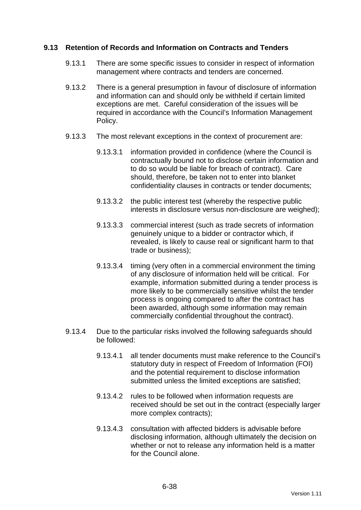### **9.13 Retention of Records and Information on Contracts and Tenders**

- 9.13.1 There are some specific issues to consider in respect of information management where contracts and tenders are concerned.
- 9.13.2 There is a general presumption in favour of disclosure of information and information can and should only be withheld if certain limited exceptions are met. Careful consideration of the issues will be required in accordance with the Council's Information Management Policy.
- 9.13.3 The most relevant exceptions in the context of procurement are:
	- 9.13.3.1 information provided in confidence (where the Council is contractually bound not to disclose certain information and to do so would be liable for breach of contract). Care should, therefore, be taken not to enter into blanket confidentiality clauses in contracts or tender documents;
	- 9.13.3.2 the public interest test (whereby the respective public interests in disclosure versus non-disclosure are weighed);
	- 9.13.3.3 commercial interest (such as trade secrets of information genuinely unique to a bidder or contractor which, if revealed, is likely to cause real or significant harm to that trade or business);
	- 9.13.3.4 timing (very often in a commercial environment the timing of any disclosure of information held will be critical. For example, information submitted during a tender process is more likely to be commercially sensitive whilst the tender process is ongoing compared to after the contract has been awarded, although some information may remain commercially confidential throughout the contract).
- 9.13.4 Due to the particular risks involved the following safeguards should be followed:
	- 9.13.4.1 all tender documents must make reference to the Council's statutory duty in respect of Freedom of Information (FOI) and the potential requirement to disclose information submitted unless the limited exceptions are satisfied;
	- 9.13.4.2 rules to be followed when information requests are received should be set out in the contract (especially larger more complex contracts);
	- 9.13.4.3 consultation with affected bidders is advisable before disclosing information, although ultimately the decision on whether or not to release any information held is a matter for the Council alone.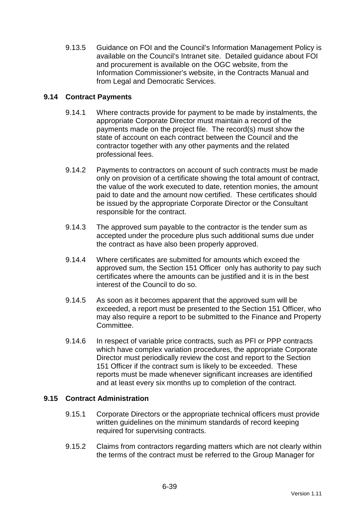9.13.5 Guidance on FOI and the Council's Information Management Policy is available on the Council's Intranet site. Detailed guidance about FOI and procurement is available on the OGC website, from the Information Commissioner's website, in the Contracts Manual and from Legal and Democratic Services.

### **9.14 Contract Payments**

- 9.14.1 Where contracts provide for payment to be made by instalments, the appropriate Corporate Director must maintain a record of the payments made on the project file. The record(s) must show the state of account on each contract between the Council and the contractor together with any other payments and the related professional fees.
- 9.14.2 Payments to contractors on account of such contracts must be made only on provision of a certificate showing the total amount of contract, the value of the work executed to date, retention monies, the amount paid to date and the amount now certified. These certificates should be issued by the appropriate Corporate Director or the Consultant responsible for the contract.
- 9.14.3 The approved sum payable to the contractor is the tender sum as accepted under the procedure plus such additional sums due under the contract as have also been properly approved.
- 9.14.4 Where certificates are submitted for amounts which exceed the approved sum, the Section 151 Officer only has authority to pay such certificates where the amounts can be justified and it is in the best interest of the Council to do so.
- 9.14.5 As soon as it becomes apparent that the approved sum will be exceeded, a report must be presented to the Section 151 Officer, who may also require a report to be submitted to the Finance and Property Committee.
- 9.14.6 In respect of variable price contracts, such as PFI or PPP contracts which have complex variation procedures, the appropriate Corporate Director must periodically review the cost and report to the Section 151 Officer if the contract sum is likely to be exceeded. These reports must be made whenever significant increases are identified and at least every six months up to completion of the contract.

#### **9.15 Contract Administration**

- 9.15.1 Corporate Directors or the appropriate technical officers must provide written guidelines on the minimum standards of record keeping required for supervising contracts.
- 9.15.2 Claims from contractors regarding matters which are not clearly within the terms of the contract must be referred to the Group Manager for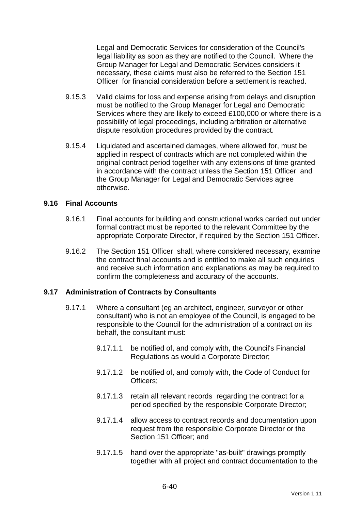Legal and Democratic Services for consideration of the Council's legal liability as soon as they are notified to the Council. Where the Group Manager for Legal and Democratic Services considers it necessary, these claims must also be referred to the Section 151 Officer for financial consideration before a settlement is reached.

- 9.15.3 Valid claims for loss and expense arising from delays and disruption must be notified to the Group Manager for Legal and Democratic Services where they are likely to exceed £100,000 or where there is a possibility of legal proceedings, including arbitration or alternative dispute resolution procedures provided by the contract.
- 9.15.4 Liquidated and ascertained damages, where allowed for, must be applied in respect of contracts which are not completed within the original contract period together with any extensions of time granted in accordance with the contract unless the Section 151 Officer and the Group Manager for Legal and Democratic Services agree otherwise.

#### **9.16 Final Accounts**

- 9.16.1 Final accounts for building and constructional works carried out under formal contract must be reported to the relevant Committee by the appropriate Corporate Director, if required by the Section 151 Officer.
- 9.16.2 The Section 151 Officer shall, where considered necessary, examine the contract final accounts and is entitled to make all such enquiries and receive such information and explanations as may be required to confirm the completeness and accuracy of the accounts.

#### **9.17 Administration of Contracts by Consultants**

- 9.17.1 Where a consultant (eg an architect, engineer, surveyor or other consultant) who is not an employee of the Council, is engaged to be responsible to the Council for the administration of a contract on its behalf, the consultant must:
	- 9.17.1.1 be notified of, and comply with, the Council's Financial Regulations as would a Corporate Director;
	- 9.17.1.2 be notified of, and comply with, the Code of Conduct for Officers;
	- 9.17.1.3 retain all relevant records regarding the contract for a period specified by the responsible Corporate Director;
	- 9.17.1.4 allow access to contract records and documentation upon request from the responsible Corporate Director or the Section 151 Officer: and
	- 9.17.1.5 hand over the appropriate "as-built" drawings promptly together with all project and contract documentation to the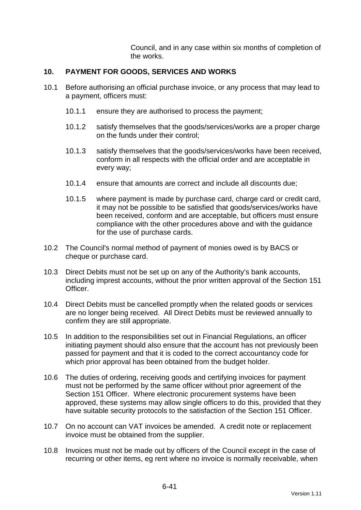Council, and in any case within six months of completion of the works.

#### **10. PAYMENT FOR GOODS, SERVICES AND WORKS**

- 10.1 Before authorising an official purchase invoice, or any process that may lead to a payment, officers must:
	- 10.1.1 ensure they are authorised to process the payment;
	- 10.1.2 satisfy themselves that the goods/services/works are a proper charge on the funds under their control;
	- 10.1.3 satisfy themselves that the goods/services/works have been received, conform in all respects with the official order and are acceptable in every way;
	- 10.1.4 ensure that amounts are correct and include all discounts due;
	- 10.1.5 where payment is made by purchase card, charge card or credit card, it may not be possible to be satisfied that goods/services/works have been received, conform and are acceptable, but officers must ensure compliance with the other procedures above and with the guidance for the use of purchase cards.
- 10.2 The Council's normal method of payment of monies owed is by BACS or cheque or purchase card.
- 10.3 Direct Debits must not be set up on any of the Authority's bank accounts, including imprest accounts, without the prior written approval of the Section 151 Officer.
- 10.4 Direct Debits must be cancelled promptly when the related goods or services are no longer being received. All Direct Debits must be reviewed annually to confirm they are still appropriate.
- 10.5 In addition to the responsibilities set out in Financial Regulations, an officer initiating payment should also ensure that the account has not previously been passed for payment and that it is coded to the correct accountancy code for which prior approval has been obtained from the budget holder.
- 10.6 The duties of ordering, receiving goods and certifying invoices for payment must not be performed by the same officer without prior agreement of the Section 151 Officer. Where electronic procurement systems have been approved, these systems may allow single officers to do this, provided that they have suitable security protocols to the satisfaction of the Section 151 Officer.
- 10.7 On no account can VAT invoices be amended. A credit note or replacement invoice must be obtained from the supplier.
- 10.8 Invoices must not be made out by officers of the Council except in the case of recurring or other items, eg rent where no invoice is normally receivable, when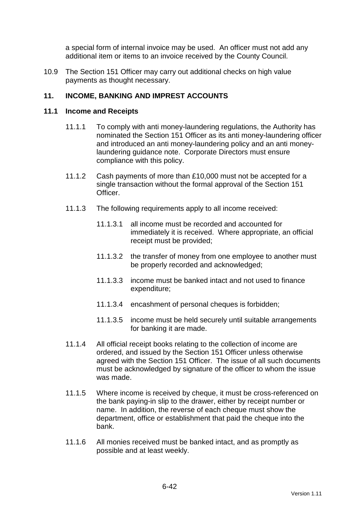a special form of internal invoice may be used. An officer must not add any additional item or items to an invoice received by the County Council.

10.9 The Section 151 Officer may carry out additional checks on high value payments as thought necessary.

### **11. INCOME, BANKING AND IMPREST ACCOUNTS**

#### **11.1 Income and Receipts**

- 11.1.1 To comply with anti money-laundering regulations, the Authority has nominated the Section 151 Officer as its anti money-laundering officer and introduced an anti money-laundering policy and an anti moneylaundering guidance note. Corporate Directors must ensure compliance with this policy.
- 11.1.2 Cash payments of more than £10,000 must not be accepted for a single transaction without the formal approval of the Section 151 Officer.
- 11.1.3 The following requirements apply to all income received:
	- 11.1.3.1 all income must be recorded and accounted for immediately it is received. Where appropriate, an official receipt must be provided;
	- 11.1.3.2 the transfer of money from one employee to another must be properly recorded and acknowledged;
	- 11.1.3.3 income must be banked intact and not used to finance expenditure;
	- 11.1.3.4 encashment of personal cheques is forbidden;
	- 11.1.3.5 income must be held securely until suitable arrangements for banking it are made.
- 11.1.4 All official receipt books relating to the collection of income are ordered, and issued by the Section 151 Officer unless otherwise agreed with the Section 151 Officer. The issue of all such documents must be acknowledged by signature of the officer to whom the issue was made.
- 11.1.5 Where income is received by cheque, it must be cross-referenced on the bank paying-in slip to the drawer, either by receipt number or name. In addition, the reverse of each cheque must show the department, office or establishment that paid the cheque into the bank.
- 11.1.6 All monies received must be banked intact, and as promptly as possible and at least weekly.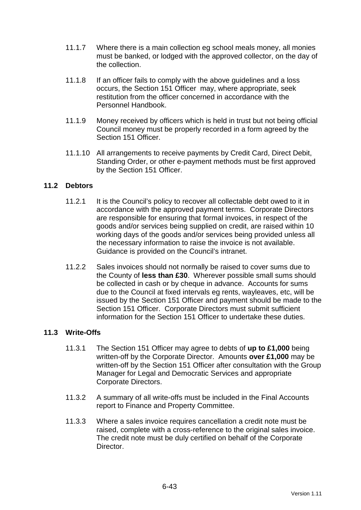- 11.1.7 Where there is a main collection eg school meals money, all monies must be banked, or lodged with the approved collector, on the day of the collection.
- 11.1.8 If an officer fails to comply with the above guidelines and a loss occurs, the Section 151 Officer may, where appropriate, seek restitution from the officer concerned in accordance with the Personnel Handbook.
- 11.1.9 Money received by officers which is held in trust but not being official Council money must be properly recorded in a form agreed by the Section 151 Officer
- 11.1.10 All arrangements to receive payments by Credit Card, Direct Debit, Standing Order, or other e-payment methods must be first approved by the Section 151 Officer.

### **11.2 Debtors**

- 11.2.1 It is the Council's policy to recover all collectable debt owed to it in accordance with the approved payment terms. Corporate Directors are responsible for ensuring that formal invoices, in respect of the goods and/or services being supplied on credit, are raised within 10 working days of the goods and/or services being provided unless all the necessary information to raise the invoice is not available. Guidance is provided on the Council's intranet.
- 11.2.2 Sales invoices should not normally be raised to cover sums due to the County of **less than £30**. Wherever possible small sums should be collected in cash or by cheque in advance. Accounts for sums due to the Council at fixed intervals eg rents, wayleaves, etc, will be issued by the Section 151 Officer and payment should be made to the Section 151 Officer. Corporate Directors must submit sufficient information for the Section 151 Officer to undertake these duties.

#### **11.3 Write-Offs**

- 11.3.1 The Section 151 Officer may agree to debts of **up to £1,000** being written-off by the Corporate Director. Amounts **over £1,000** may be written-off by the Section 151 Officer after consultation with the Group Manager for Legal and Democratic Services and appropriate Corporate Directors.
- 11.3.2 A summary of all write-offs must be included in the Final Accounts report to Finance and Property Committee.
- 11.3.3 Where a sales invoice requires cancellation a credit note must be raised, complete with a cross-reference to the original sales invoice. The credit note must be duly certified on behalf of the Corporate Director.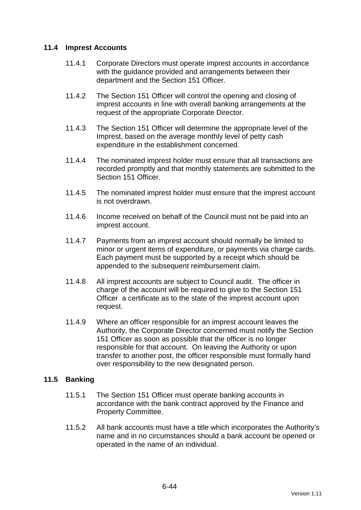### **11.4 Imprest Accounts**

- 11.4.1 Corporate Directors must operate imprest accounts in accordance with the guidance provided and arrangements between their department and the Section 151 Officer.
- 11.4.2 The Section 151 Officer will control the opening and closing of imprest accounts in line with overall banking arrangements at the request of the appropriate Corporate Director.
- 11.4.3 The Section 151 Officer will determine the appropriate level of the Imprest, based on the average monthly level of petty cash expenditure in the establishment concerned.
- 11.4.4 The nominated imprest holder must ensure that all transactions are recorded promptly and that monthly statements are submitted to the Section 151 Officer.
- 11.4.5 The nominated imprest holder must ensure that the imprest account is not overdrawn.
- 11.4.6 Income received on behalf of the Council must not be paid into an imprest account.
- 11.4.7 Payments from an imprest account should normally be limited to minor or urgent items of expenditure, or payments via charge cards. Each payment must be supported by a receipt which should be appended to the subsequent reimbursement claim.
- 11.4.8 All imprest accounts are subject to Council audit. The officer in charge of the account will be required to give to the Section 151 Officer a certificate as to the state of the imprest account upon request.
- 11.4.9 Where an officer responsible for an imprest account leaves the Authority, the Corporate Director concerned must notify the Section 151 Officer as soon as possible that the officer is no longer responsible for that account. On leaving the Authority or upon transfer to another post, the officer responsible must formally hand over responsibility to the new designated person.

#### **11.5 Banking**

- 11.5.1 The Section 151 Officer must operate banking accounts in accordance with the bank contract approved by the Finance and Property Committee.
- 11.5.2 All bank accounts must have a title which incorporates the Authority's name and in no circumstances should a bank account be opened or operated in the name of an individual.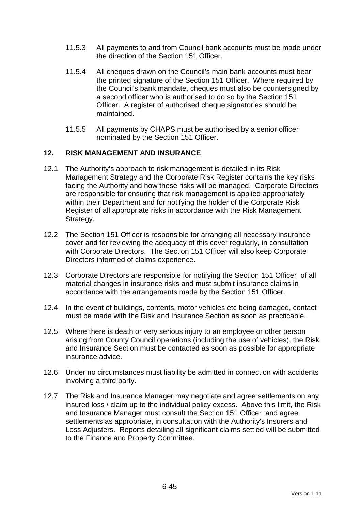- 11.5.3 All payments to and from Council bank accounts must be made under the direction of the Section 151 Officer.
- 11.5.4 All cheques drawn on the Council's main bank accounts must bear the printed signature of the Section 151 Officer. Where required by the Council's bank mandate, cheques must also be countersigned by a second officer who is authorised to do so by the Section 151 Officer. A register of authorised cheque signatories should be maintained.
- 11.5.5 All payments by CHAPS must be authorised by a senior officer nominated by the Section 151 Officer.

### **12. RISK MANAGEMENT AND INSURANCE**

- 12.1 The Authority's approach to risk management is detailed in its Risk Management Strategy and the Corporate Risk Register contains the key risks facing the Authority and how these risks will be managed. Corporate Directors are responsible for ensuring that risk management is applied appropriately within their Department and for notifying the holder of the Corporate Risk Register of all appropriate risks in accordance with the Risk Management Strategy.
- 12.2 The Section 151 Officer is responsible for arranging all necessary insurance cover and for reviewing the adequacy of this cover regularly, in consultation with Corporate Directors. The Section 151 Officer will also keep Corporate Directors informed of claims experience.
- 12.3 Corporate Directors are responsible for notifying the Section 151 Officer of all material changes in insurance risks and must submit insurance claims in accordance with the arrangements made by the Section 151 Officer.
- 12.4 In the event of buildings, contents, motor vehicles etc being damaged, contact must be made with the Risk and Insurance Section as soon as practicable.
- 12.5 Where there is death or very serious injury to an employee or other person arising from County Council operations (including the use of vehicles), the Risk and Insurance Section must be contacted as soon as possible for appropriate insurance advice.
- 12.6 Under no circumstances must liability be admitted in connection with accidents involving a third party.
- 12.7 The Risk and Insurance Manager may negotiate and agree settlements on any insured loss / claim up to the individual policy excess. Above this limit, the Risk and Insurance Manager must consult the Section 151 Officer and agree settlements as appropriate, in consultation with the Authority's Insurers and Loss Adjusters. Reports detailing all significant claims settled will be submitted to the Finance and Property Committee.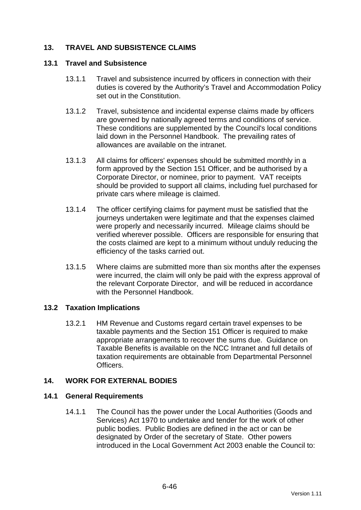# **13. TRAVEL AND SUBSISTENCE CLAIMS**

#### **13.1 Travel and Subsistence**

- 13.1.1 Travel and subsistence incurred by officers in connection with their duties is covered by the Authority's Travel and Accommodation Policy set out in the Constitution.
- 13.1.2 Travel, subsistence and incidental expense claims made by officers are governed by nationally agreed terms and conditions of service. These conditions are supplemented by the Council's local conditions laid down in the Personnel Handbook. The prevailing rates of allowances are available on the intranet.
- 13.1.3 All claims for officers' expenses should be submitted monthly in a form approved by the Section 151 Officer, and be authorised by a Corporate Director, or nominee, prior to payment. VAT receipts should be provided to support all claims, including fuel purchased for private cars where mileage is claimed.
- 13.1.4 The officer certifying claims for payment must be satisfied that the journeys undertaken were legitimate and that the expenses claimed were properly and necessarily incurred. Mileage claims should be verified wherever possible. Officers are responsible for ensuring that the costs claimed are kept to a minimum without unduly reducing the efficiency of the tasks carried out.
- 13.1.5 Where claims are submitted more than six months after the expenses were incurred, the claim will only be paid with the express approval of the relevant Corporate Director, and will be reduced in accordance with the Personnel Handbook.

#### **13.2 Taxation Implications**

13.2.1 HM Revenue and Customs regard certain travel expenses to be taxable payments and the Section 151 Officer is required to make appropriate arrangements to recover the sums due. Guidance on Taxable Benefits is available on the NCC Intranet and full details of taxation requirements are obtainable from Departmental Personnel **Officers** 

#### **14. WORK FOR EXTERNAL BODIES**

#### **14.1 General Requirements**

14.1.1 The Council has the power under the Local Authorities (Goods and Services) Act 1970 to undertake and tender for the work of other public bodies. Public Bodies are defined in the act or can be designated by Order of the secretary of State. Other powers introduced in the Local Government Act 2003 enable the Council to: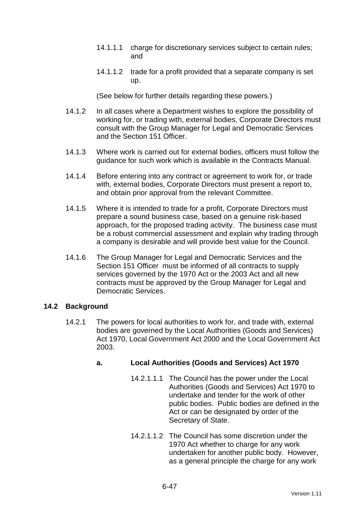- 14.1.1.1 charge for discretionary services subject to certain rules; and
- 14.1.1.2 trade for a profit provided that a separate company is set up.

(See below for further details regarding these powers.)

- 14.1.2 In all cases where a Department wishes to explore the possibility of working for, or trading with, external bodies, Corporate Directors must consult with the Group Manager for Legal and Democratic Services and the Section 151 Officer.
- 14.1.3 Where work is carried out for external bodies, officers must follow the guidance for such work which is available in the Contracts Manual.
- 14.1.4 Before entering into any contract or agreement to work for, or trade with, external bodies, Corporate Directors must present a report to, and obtain prior approval from the relevant Committee.
- 14.1.5 Where it is intended to trade for a profit, Corporate Directors must prepare a sound business case, based on a genuine risk-based approach, for the proposed trading activity. The business case must be a robust commercial assessment and explain why trading through a company is desirable and will provide best value for the Council.
- 14.1.6 The Group Manager for Legal and Democratic Services and the Section 151 Officer must be informed of all contracts to supply services governed by the 1970 Act or the 2003 Act and all new contracts must be approved by the Group Manager for Legal and Democratic Services.

#### **14.2 Background**

14.2.1 The powers for local authorities to work for, and trade with, external bodies are governed by the Local Authorities (Goods and Services) Act 1970, Local Government Act 2000 and the Local Government Act 2003.

# **a. Local Authorities (Goods and Services) Act 1970**

- 14.2.1.1.1 The Council has the power under the Local Authorities (Goods and Services) Act 1970 to undertake and tender for the work of other public bodies. Public bodies are defined in the Act or can be designated by order of the Secretary of State.
- 14.2.1.1.2 The Council has some discretion under the 1970 Act whether to charge for any work undertaken for another public body. However, as a general principle the charge for any work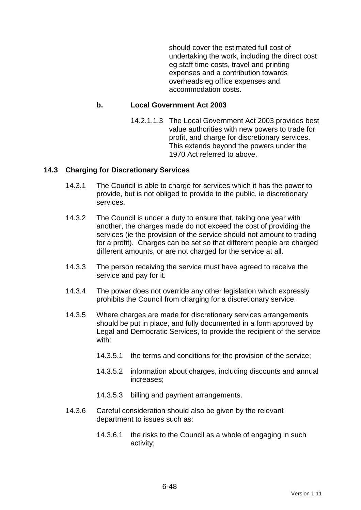should cover the estimated full cost of undertaking the work, including the direct cost eg staff time costs, travel and printing expenses and a contribution towards overheads eg office expenses and accommodation costs.

#### **b. Local Government Act 2003**

14.2.1.1.3 The Local Government Act 2003 provides best value authorities with new powers to trade for profit, and charge for discretionary services. This extends beyond the powers under the 1970 Act referred to above.

### **14.3 Charging for Discretionary Services**

- 14.3.1 The Council is able to charge for services which it has the power to provide, but is not obliged to provide to the public, ie discretionary services.
- 14.3.2 The Council is under a duty to ensure that, taking one year with another, the charges made do not exceed the cost of providing the services (ie the provision of the service should not amount to trading for a profit). Charges can be set so that different people are charged different amounts, or are not charged for the service at all.
- 14.3.3 The person receiving the service must have agreed to receive the service and pay for it.
- 14.3.4 The power does not override any other legislation which expressly prohibits the Council from charging for a discretionary service.
- 14.3.5 Where charges are made for discretionary services arrangements should be put in place, and fully documented in a form approved by Legal and Democratic Services, to provide the recipient of the service with:
	- 14.3.5.1 the terms and conditions for the provision of the service;
	- 14.3.5.2 information about charges, including discounts and annual increases;
	- 14.3.5.3 billing and payment arrangements.
- 14.3.6 Careful consideration should also be given by the relevant department to issues such as:
	- 14.3.6.1 the risks to the Council as a whole of engaging in such activity;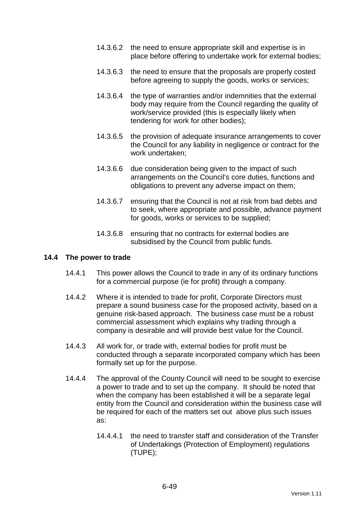- 14.3.6.2 the need to ensure appropriate skill and expertise is in place before offering to undertake work for external bodies;
- 14.3.6.3 the need to ensure that the proposals are properly costed before agreeing to supply the goods, works or services;
- 14.3.6.4 the type of warranties and/or indemnities that the external body may require from the Council regarding the quality of work/service provided (this is especially likely when tendering for work for other bodies);
- 14.3.6.5 the provision of adequate insurance arrangements to cover the Council for any liability in negligence or contract for the work undertaken;
- 14.3.6.6 due consideration being given to the impact of such arrangements on the Council's core duties, functions and obligations to prevent any adverse impact on them;
- 14.3.6.7 ensuring that the Council is not at risk from bad debts and to seek, where appropriate and possible, advance payment for goods, works or services to be supplied;
- 14.3.6.8 ensuring that no contracts for external bodies are subsidised by the Council from public funds.

#### **14.4 The power to trade**

- 14.4.1 This power allows the Council to trade in any of its ordinary functions for a commercial purpose (ie for profit) through a company.
- 14.4.2 Where it is intended to trade for profit, Corporate Directors must prepare a sound business case for the proposed activity, based on a genuine risk-based approach. The business case must be a robust commercial assessment which explains why trading through a company is desirable and will provide best value for the Council.
- 14.4.3 All work for, or trade with, external bodies for profit must be conducted through a separate incorporated company which has been formally set up for the purpose.
- 14.4.4 The approval of the County Council will need to be sought to exercise a power to trade and to set up the company. It should be noted that when the company has been established it will be a separate legal entity from the Council and consideration within the business case will be required for each of the matters set out above plus such issues as:
	- 14.4.4.1 the need to transfer staff and consideration of the Transfer of Undertakings (Protection of Employment) regulations (TUPE);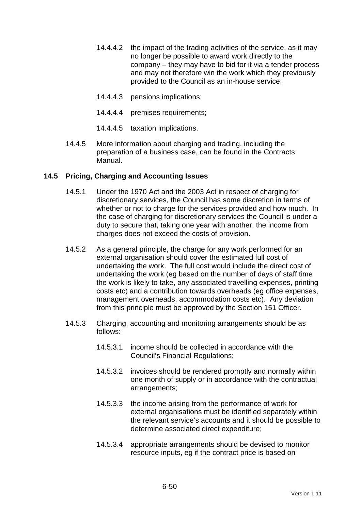- 14.4.4.2 the impact of the trading activities of the service, as it may no longer be possible to award work directly to the company – they may have to bid for it via a tender process and may not therefore win the work which they previously provided to the Council as an in-house service;
- 14.4.4.3 pensions implications;
- 14.4.4.4 premises requirements;
- 14.4.4.5 taxation implications.
- 14.4.5 More information about charging and trading, including the preparation of a business case, can be found in the Contracts Manual.

### **14.5 Pricing, Charging and Accounting Issues**

- 14.5.1 Under the 1970 Act and the 2003 Act in respect of charging for discretionary services, the Council has some discretion in terms of whether or not to charge for the services provided and how much. In the case of charging for discretionary services the Council is under a duty to secure that, taking one year with another, the income from charges does not exceed the costs of provision.
- 14.5.2 As a general principle, the charge for any work performed for an external organisation should cover the estimated full cost of undertaking the work. The full cost would include the direct cost of undertaking the work (eg based on the number of days of staff time the work is likely to take, any associated travelling expenses, printing costs etc) and a contribution towards overheads (eg office expenses, management overheads, accommodation costs etc). Any deviation from this principle must be approved by the Section 151 Officer.
- 14.5.3 Charging, accounting and monitoring arrangements should be as follows:
	- 14.5.3.1 income should be collected in accordance with the Council's Financial Regulations;
	- 14.5.3.2 invoices should be rendered promptly and normally within one month of supply or in accordance with the contractual arrangements;
	- 14.5.3.3 the income arising from the performance of work for external organisations must be identified separately within the relevant service's accounts and it should be possible to determine associated direct expenditure;
	- 14.5.3.4 appropriate arrangements should be devised to monitor resource inputs, eg if the contract price is based on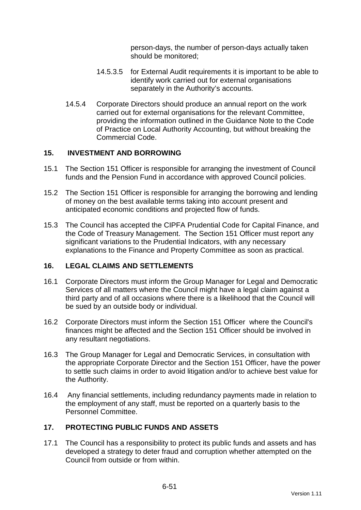person-days, the number of person-days actually taken should be monitored;

- 14.5.3.5 for External Audit requirements it is important to be able to identify work carried out for external organisations separately in the Authority's accounts.
- 14.5.4 Corporate Directors should produce an annual report on the work carried out for external organisations for the relevant Committee, providing the information outlined in the Guidance Note to the Code of Practice on Local Authority Accounting, but without breaking the Commercial Code.

### **15. INVESTMENT AND BORROWING**

- 15.1 The Section 151 Officer is responsible for arranging the investment of Council funds and the Pension Fund in accordance with approved Council policies.
- 15.2 The Section 151 Officer is responsible for arranging the borrowing and lending of money on the best available terms taking into account present and anticipated economic conditions and projected flow of funds.
- 15.3 The Council has accepted the CIPFA Prudential Code for Capital Finance, and the Code of Treasury Management. The Section 151 Officer must report any significant variations to the Prudential Indicators, with any necessary explanations to the Finance and Property Committee as soon as practical.

#### **16. LEGAL CLAIMS AND SETTLEMENTS**

- 16.1 Corporate Directors must inform the Group Manager for Legal and Democratic Services of all matters where the Council might have a legal claim against a third party and of all occasions where there is a likelihood that the Council will be sued by an outside body or individual.
- 16.2 Corporate Directors must inform the Section 151 Officer where the Council's finances might be affected and the Section 151 Officer should be involved in any resultant negotiations.
- 16.3 The Group Manager for Legal and Democratic Services, in consultation with the appropriate Corporate Director and the Section 151 Officer, have the power to settle such claims in order to avoid litigation and/or to achieve best value for the Authority.
- 16.4 Any financial settlements, including redundancy payments made in relation to the employment of any staff, must be reported on a quarterly basis to the Personnel Committee.

# **17. PROTECTING PUBLIC FUNDS AND ASSETS**

17.1 The Council has a responsibility to protect its public funds and assets and has developed a strategy to deter fraud and corruption whether attempted on the Council from outside or from within.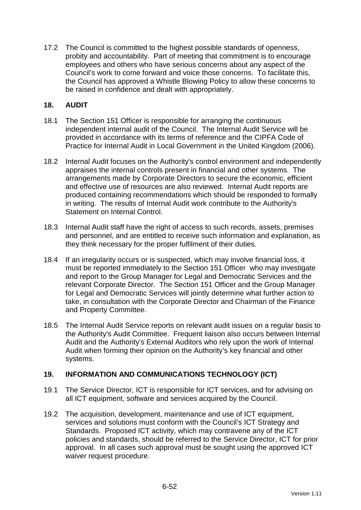17.2 The Council is committed to the highest possible standards of openness, probity and accountability. Part of meeting that commitment is to encourage employees and others who have serious concerns about any aspect of the Council's work to come forward and voice those concerns. To facilitate this, the Council has approved a Whistle Blowing Policy to allow these concerns to be raised in confidence and dealt with appropriately.

### **18. AUDIT**

- 18.1 The Section 151 Officer is responsible for arranging the continuous independent internal audit of the Council. The Internal Audit Service will be provided in accordance with its terms of reference and the CIPFA Code of Practice for Internal Audit in Local Government in the United Kingdom (2006).
- 18.2 Internal Audit focuses on the Authority's control environment and independently appraises the internal controls present in financial and other systems. The arrangements made by Corporate Directors to secure the economic, efficient and effective use of resources are also reviewed. Internal Audit reports are produced containing recommendations which should be responded to formally in writing. The results of Internal Audit work contribute to the Authority's Statement on Internal Control.
- 18.3 Internal Audit staff have the right of access to such records, assets, premises and personnel, and are entitled to receive such information and explanation, as they think necessary for the proper fulfilment of their duties.
- 18.4 If an irregularity occurs or is suspected, which may involve financial loss, it must be reported immediately to the Section 151 Officer who may investigate and report to the Group Manager for Legal and Democratic Services and the relevant Corporate Director. The Section 151 Officer and the Group Manager for Legal and Democratic Services will jointly determine what further action to take, in consultation with the Corporate Director and Chairman of the Finance and Property Committee.
- 18.5 The Internal Audit Service reports on relevant audit issues on a regular basis to the Authority's Audit Committee. Frequent liaison also occurs between Internal Audit and the Authority's External Auditors who rely upon the work of Internal Audit when forming their opinion on the Authority's key financial and other systems.

# **19. INFORMATION AND COMMUNICATIONS TECHNOLOGY (ICT)**

- 19.1 The Service Director, ICT is responsible for ICT services, and for advising on all ICT equipment, software and services acquired by the Council.
- 19.2 The acquisition, development, maintenance and use of ICT equipment, services and solutions must conform with the Council's ICT Strategy and Standards. Proposed ICT activity, which may contravene any of the ICT policies and standards, should be referred to the Service Director, ICT for prior approval. In all cases such approval must be sought using the approved ICT waiver request procedure.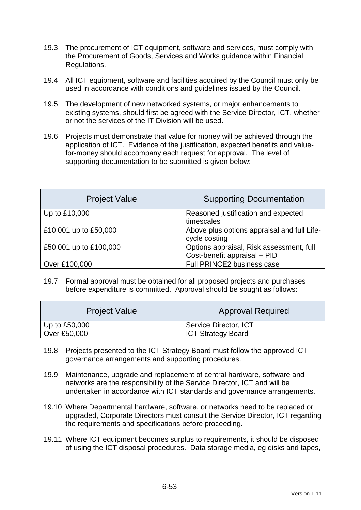- 19.3 The procurement of ICT equipment, software and services, must comply with the Procurement of Goods, Services and Works guidance within Financial Regulations.
- 19.4 All ICT equipment, software and facilities acquired by the Council must only be used in accordance with conditions and guidelines issued by the Council.
- 19.5 The development of new networked systems, or major enhancements to existing systems, should first be agreed with the Service Director, ICT, whether or not the services of the IT Division will be used.
- 19.6 Projects must demonstrate that value for money will be achieved through the application of ICT. Evidence of the justification, expected benefits and valuefor-money should accompany each request for approval. The level of supporting documentation to be submitted is given below:

| <b>Project Value</b>   | <b>Supporting Documentation</b>                                          |
|------------------------|--------------------------------------------------------------------------|
| Up to £10,000          | Reasoned justification and expected<br>timescales                        |
| £10,001 up to £50,000  | Above plus options appraisal and full Life-<br>cycle costing             |
| £50,001 up to £100,000 | Options appraisal, Risk assessment, full<br>Cost-benefit appraisal + PID |
| Over £100,000          | Full PRINCE2 business case                                               |

19.7 Formal approval must be obtained for all proposed projects and purchases before expenditure is committed. Approval should be sought as follows:

| <b>Project Value</b> | <b>Approval Required</b>  |
|----------------------|---------------------------|
| Up to $£50,000$      | Service Director, ICT     |
| Over £50,000         | <b>ICT Strategy Board</b> |

- 19.8 Projects presented to the ICT Strategy Board must follow the approved ICT governance arrangements and supporting procedures.
- 19.9 Maintenance, upgrade and replacement of central hardware, software and networks are the responsibility of the Service Director, ICT and will be undertaken in accordance with ICT standards and governance arrangements.
- 19.10 Where Departmental hardware, software, or networks need to be replaced or upgraded, Corporate Directors must consult the Service Director, ICT regarding the requirements and specifications before proceeding.
- 19.11 Where ICT equipment becomes surplus to requirements, it should be disposed of using the ICT disposal procedures. Data storage media, eg disks and tapes,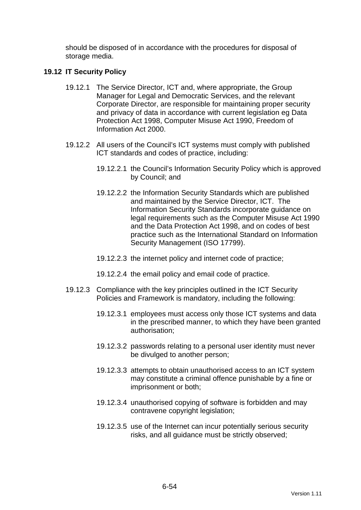should be disposed of in accordance with the procedures for disposal of storage media.

#### **19.12 IT Security Policy**

- 19.12.1 The Service Director, ICT and, where appropriate, the Group Manager for Legal and Democratic Services, and the relevant Corporate Director, are responsible for maintaining proper security and privacy of data in accordance with current legislation eg Data Protection Act 1998, Computer Misuse Act 1990, Freedom of Information Act 2000.
- 19.12.2 All users of the Council's ICT systems must comply with published ICT standards and codes of practice, including:
	- 19.12.2.1 the Council's Information Security Policy which is approved by Council; and
	- 19.12.2.2 the Information Security Standards which are published and maintained by the Service Director, ICT. The Information Security Standards incorporate guidance on legal requirements such as the Computer Misuse Act 1990 and the Data Protection Act 1998, and on codes of best practice such as the International Standard on Information Security Management (ISO 17799).
	- 19.12.2.3 the internet policy and internet code of practice;
	- 19.12.2.4 the email policy and email code of practice.
- 19.12.3 Compliance with the key principles outlined in the ICT Security Policies and Framework is mandatory, including the following:
	- 19.12.3.1 employees must access only those ICT systems and data in the prescribed manner, to which they have been granted authorisation;
	- 19.12.3.2 passwords relating to a personal user identity must never be divulged to another person;
	- 19.12.3.3 attempts to obtain unauthorised access to an ICT system may constitute a criminal offence punishable by a fine or imprisonment or both;
	- 19.12.3.4 unauthorised copying of software is forbidden and may contravene copyright legislation;
	- 19.12.3.5 use of the Internet can incur potentially serious security risks, and all guidance must be strictly observed;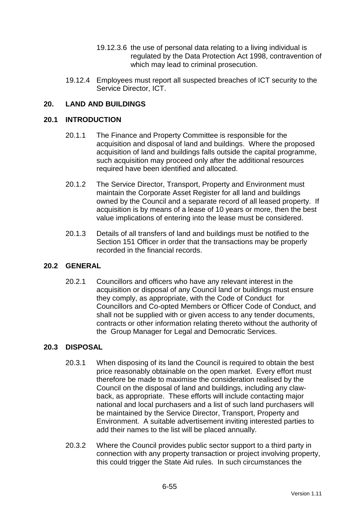- 19.12.3.6 the use of personal data relating to a living individual is regulated by the Data Protection Act 1998, contravention of which may lead to criminal prosecution.
- 19.12.4 Employees must report all suspected breaches of ICT security to the Service Director, ICT.

### **20. LAND AND BUILDINGS**

#### **20.1 INTRODUCTION**

- 20.1.1 The Finance and Property Committee is responsible for the acquisition and disposal of land and buildings. Where the proposed acquisition of land and buildings falls outside the capital programme, such acquisition may proceed only after the additional resources required have been identified and allocated.
- 20.1.2 The Service Director, Transport, Property and Environment must maintain the Corporate Asset Register for all land and buildings owned by the Council and a separate record of all leased property. If acquisition is by means of a lease of 10 years or more, then the best value implications of entering into the lease must be considered.
- 20.1.3 Details of all transfers of land and buildings must be notified to the Section 151 Officer in order that the transactions may be properly recorded in the financial records.

#### **20.2 GENERAL**

20.2.1 Councillors and officers who have any relevant interest in the acquisition or disposal of any Council land or buildings must ensure they comply, as appropriate, with the Code of Conduct for Councillors and Co-opted Members or Officer Code of Conduct, and shall not be supplied with or given access to any tender documents, contracts or other information relating thereto without the authority of the Group Manager for Legal and Democratic Services.

#### **20.3 DISPOSAL**

- 20.3.1 When disposing of its land the Council is required to obtain the best price reasonably obtainable on the open market. Every effort must therefore be made to maximise the consideration realised by the Council on the disposal of land and buildings, including any clawback, as appropriate. These efforts will include contacting major national and local purchasers and a list of such land purchasers will be maintained by the Service Director, Transport, Property and Environment. A suitable advertisement inviting interested parties to add their names to the list will be placed annually.
- 20.3.2 Where the Council provides public sector support to a third party in connection with any property transaction or project involving property, this could trigger the State Aid rules. In such circumstances the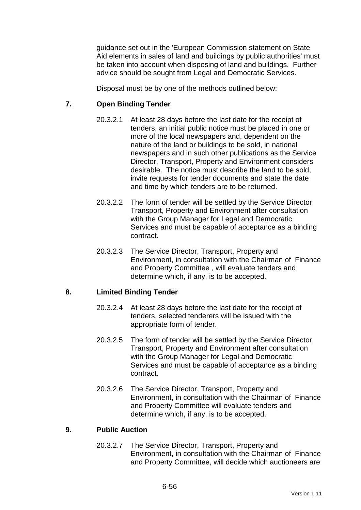guidance set out in the 'European Commission statement on State Aid elements in sales of land and buildings by public authorities' must be taken into account when disposing of land and buildings. Further advice should be sought from Legal and Democratic Services.

Disposal must be by one of the methods outlined below:

### **7. Open Binding Tender**

- 20.3.2.1 At least 28 days before the last date for the receipt of tenders, an initial public notice must be placed in one or more of the local newspapers and, dependent on the nature of the land or buildings to be sold, in national newspapers and in such other publications as the Service Director, Transport, Property and Environment considers desirable. The notice must describe the land to be sold, invite requests for tender documents and state the date and time by which tenders are to be returned.
- 20.3.2.2 The form of tender will be settled by the Service Director, Transport, Property and Environment after consultation with the Group Manager for Legal and Democratic Services and must be capable of acceptance as a binding contract.
- 20.3.2.3 The Service Director, Transport, Property and Environment, in consultation with the Chairman of Finance and Property Committee , will evaluate tenders and determine which, if any, is to be accepted.

#### **8. Limited Binding Tender**

- 20.3.2.4 At least 28 days before the last date for the receipt of tenders, selected tenderers will be issued with the appropriate form of tender.
- 20.3.2.5 The form of tender will be settled by the Service Director, Transport, Property and Environment after consultation with the Group Manager for Legal and Democratic Services and must be capable of acceptance as a binding contract.
- 20.3.2.6 The Service Director, Transport, Property and Environment, in consultation with the Chairman of Finance and Property Committee will evaluate tenders and determine which, if any, is to be accepted.

#### **9. Public Auction**

20.3.2.7 The Service Director, Transport, Property and Environment, in consultation with the Chairman of Finance and Property Committee, will decide which auctioneers are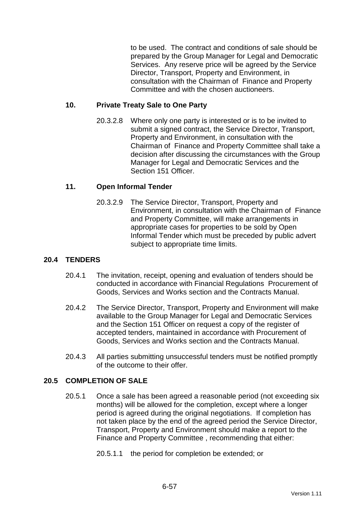to be used. The contract and conditions of sale should be prepared by the Group Manager for Legal and Democratic Services. Any reserve price will be agreed by the Service Director, Transport, Property and Environment, in consultation with the Chairman of Finance and Property Committee and with the chosen auctioneers.

#### **10. Private Treaty Sale to One Party**

20.3.2.8 Where only one party is interested or is to be invited to submit a signed contract, the Service Director, Transport, Property and Environment, in consultation with the Chairman of Finance and Property Committee shall take a decision after discussing the circumstances with the Group Manager for Legal and Democratic Services and the Section 151 Officer.

### **11. Open Informal Tender**

20.3.2.9 The Service Director, Transport, Property and Environment, in consultation with the Chairman of Finance and Property Committee, will make arrangements in appropriate cases for properties to be sold by Open Informal Tender which must be preceded by public advert subject to appropriate time limits.

### **20.4 TENDERS**

- 20.4.1 The invitation, receipt, opening and evaluation of tenders should be conducted in accordance with Financial Regulations Procurement of Goods, Services and Works section and the Contracts Manual.
- 20.4.2 The Service Director, Transport, Property and Environment will make available to the Group Manager for Legal and Democratic Services and the Section 151 Officer on request a copy of the register of accepted tenders, maintained in accordance with Procurement of Goods, Services and Works section and the Contracts Manual.
- 20.4.3 All parties submitting unsuccessful tenders must be notified promptly of the outcome to their offer.

#### **20.5 COMPLETION OF SALE**

- 20.5.1 Once a sale has been agreed a reasonable period (not exceeding six months) will be allowed for the completion, except where a longer period is agreed during the original negotiations. If completion has not taken place by the end of the agreed period the Service Director, Transport, Property and Environment should make a report to the Finance and Property Committee , recommending that either:
	- 20.5.1.1 the period for completion be extended; or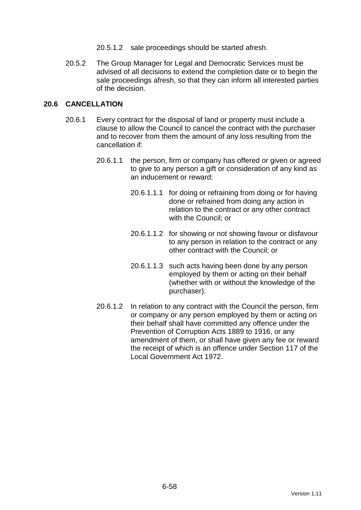- 20.5.1.2 sale proceedings should be started afresh.
- 20.5.2 The Group Manager for Legal and Democratic Services must be advised of all decisions to extend the completion date or to begin the sale proceedings afresh, so that they can inform all interested parties of the decision.

### **20.6 CANCELLATION**

- 20.6.1 Every contract for the disposal of land or property must include a clause to allow the Council to cancel the contract with the purchaser and to recover from them the amount of any loss resulting from the cancellation if:
	- 20.6.1.1 the person, firm or company has offered or given or agreed to give to any person a gift or consideration of any kind as an inducement or reward:
		- 20.6.1.1.1 for doing or refraining from doing or for having done or refrained from doing any action in relation to the contract or any other contract with the Council; or
		- 20.6.1.1.2 for showing or not showing favour or disfavour to any person in relation to the contract or any other contract with the Council; or
		- 20.6.1.1.3 such acts having been done by any person employed by them or acting on their behalf (whether with or without the knowledge of the purchaser).
	- 20.6.1.2 In relation to any contract with the Council the person, firm or company or any person employed by them or acting on their behalf shall have committed any offence under the Prevention of Corruption Acts 1889 to 1916, or any amendment of them, or shall have given any fee or reward the receipt of which is an offence under Section 117 of the Local Government Act 1972.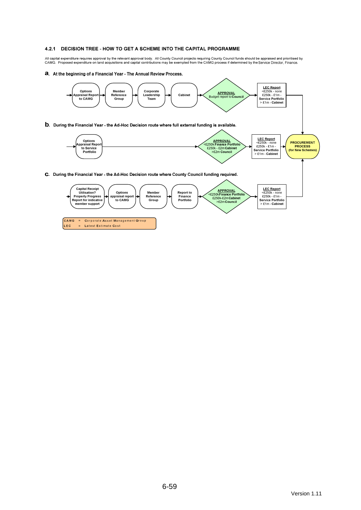#### 4.2.1 DECISION TREE - HOW TO GET A SCHEME INTO THE CAPITAL PROGRAMME

All capital expenditure requires approval by the relevant approval body. All County Council projects requiring County Council funds should be appraised and prioritised by<br>CAMG. Proposed expenditure on land acquisitions a

a. At the beginning of a Financial Year - The Annual Review Process.

LEC

= Latest Estimate Cost

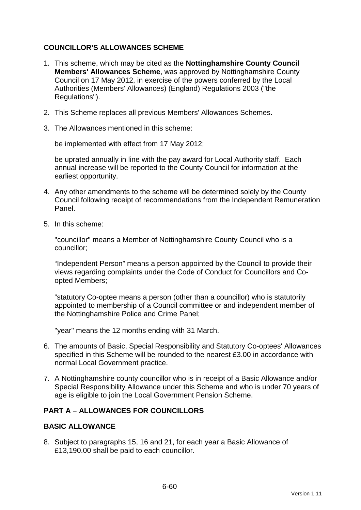### **COUNCILLOR'S ALLOWANCES SCHEME**

- 1. This scheme, which may be cited as the **Nottinghamshire County Council Members' Allowances Scheme**, was approved by Nottinghamshire County Council on 17 May 2012, in exercise of the powers conferred by the Local Authorities (Members' Allowances) (England) Regulations 2003 ("the Regulations").
- 2. This Scheme replaces all previous Members' Allowances Schemes.
- 3. The Allowances mentioned in this scheme:

be implemented with effect from 17 May 2012;

be uprated annually in line with the pay award for Local Authority staff. Each annual increase will be reported to the County Council for information at the earliest opportunity.

- 4. Any other amendments to the scheme will be determined solely by the County Council following receipt of recommendations from the Independent Remuneration Panel.
- 5. In this scheme:

"councillor" means a Member of Nottinghamshire County Council who is a councillor;

"Independent Person" means a person appointed by the Council to provide their views regarding complaints under the Code of Conduct for Councillors and Coopted Members;

"statutory Co-optee means a person (other than a councillor) who is statutorily appointed to membership of a Council committee or and independent member of the Nottinghamshire Police and Crime Panel;

"year" means the 12 months ending with 31 March.

- 6. The amounts of Basic, Special Responsibility and Statutory Co-optees' Allowances specified in this Scheme will be rounded to the nearest £3.00 in accordance with normal Local Government practice.
- 7. A Nottinghamshire county councillor who is in receipt of a Basic Allowance and/or Special Responsibility Allowance under this Scheme and who is under 70 years of age is eligible to join the Local Government Pension Scheme.

# **PART A – ALLOWANCES FOR COUNCILLORS**

#### **BASIC ALLOWANCE**

8. Subject to paragraphs 15, 16 and 21, for each year a Basic Allowance of £13,190.00 shall be paid to each councillor.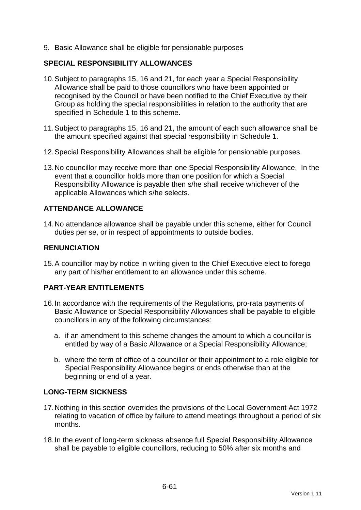9. Basic Allowance shall be eligible for pensionable purposes

#### **SPECIAL RESPONSIBILITY ALLOWANCES**

- 10. Subject to paragraphs 15, 16 and 21, for each year a Special Responsibility Allowance shall be paid to those councillors who have been appointed or recognised by the Council or have been notified to the Chief Executive by their Group as holding the special responsibilities in relation to the authority that are specified in Schedule 1 to this scheme.
- 11. Subject to paragraphs 15, 16 and 21, the amount of each such allowance shall be the amount specified against that special responsibility in Schedule 1.
- 12. Special Responsibility Allowances shall be eligible for pensionable purposes.
- 13. No councillor may receive more than one Special Responsibility Allowance. In the event that a councillor holds more than one position for which a Special Responsibility Allowance is payable then s/he shall receive whichever of the applicable Allowances which s/he selects.

# **ATTENDANCE ALLOWANCE**

14. No attendance allowance shall be payable under this scheme, either for Council duties per se, or in respect of appointments to outside bodies.

### **RENUNCIATION**

15. A councillor may by notice in writing given to the Chief Executive elect to forego any part of his/her entitlement to an allowance under this scheme.

#### **PART-YEAR ENTITLEMENTS**

- 16. In accordance with the requirements of the Regulations, pro-rata payments of Basic Allowance or Special Responsibility Allowances shall be payable to eligible councillors in any of the following circumstances:
	- a. if an amendment to this scheme changes the amount to which a councillor is entitled by way of a Basic Allowance or a Special Responsibility Allowance;
	- b. where the term of office of a councillor or their appointment to a role eligible for Special Responsibility Allowance begins or ends otherwise than at the beginning or end of a year.

#### **LONG-TERM SICKNESS**

- 17. Nothing in this section overrides the provisions of the Local Government Act 1972 relating to vacation of office by failure to attend meetings throughout a period of six months.
- 18. In the event of long-term sickness absence full Special Responsibility Allowance shall be payable to eligible councillors, reducing to 50% after six months and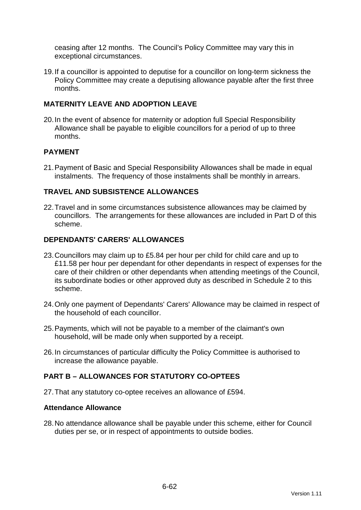ceasing after 12 months. The Council's Policy Committee may vary this in exceptional circumstances.

19. If a councillor is appointed to deputise for a councillor on long-term sickness the Policy Committee may create a deputising allowance payable after the first three months.

### **MATERNITY LEAVE AND ADOPTION LEAVE**

20. In the event of absence for maternity or adoption full Special Responsibility Allowance shall be payable to eligible councillors for a period of up to three months.

### **PAYMENT**

21. Payment of Basic and Special Responsibility Allowances shall be made in equal instalments. The frequency of those instalments shall be monthly in arrears.

### **TRAVEL AND SUBSISTENCE ALLOWANCES**

22. Travel and in some circumstances subsistence allowances may be claimed by councillors. The arrangements for these allowances are included in Part D of this scheme.

#### **DEPENDANTS' CARERS' ALLOWANCES**

- 23. Councillors may claim up to £5.84 per hour per child for child care and up to £11.58 per hour per dependant for other dependants in respect of expenses for the care of their children or other dependants when attending meetings of the Council, its subordinate bodies or other approved duty as described in Schedule 2 to this scheme.
- 24. Only one payment of Dependants' Carers' Allowance may be claimed in respect of the household of each councillor.
- 25. Payments, which will not be payable to a member of the claimant's own household, will be made only when supported by a receipt.
- 26. In circumstances of particular difficulty the Policy Committee is authorised to increase the allowance payable.

### **PART B – ALLOWANCES FOR STATUTORY CO-OPTEES**

27. That any statutory co-optee receives an allowance of £594.

#### **Attendance Allowance**

28. No attendance allowance shall be payable under this scheme, either for Council duties per se, or in respect of appointments to outside bodies.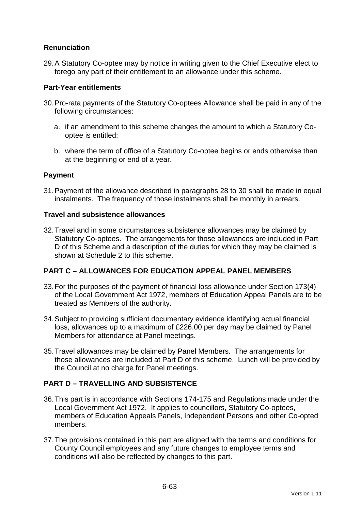# **Renunciation**

29. A Statutory Co-optee may by notice in writing given to the Chief Executive elect to forego any part of their entitlement to an allowance under this scheme.

#### **Part-Year entitlements**

- 30. Pro-rata payments of the Statutory Co-optees Allowance shall be paid in any of the following circumstances:
	- a. if an amendment to this scheme changes the amount to which a Statutory Cooptee is entitled;
	- b. where the term of office of a Statutory Co-optee begins or ends otherwise than at the beginning or end of a year.

### **Payment**

31. Payment of the allowance described in paragraphs 28 to 30 shall be made in equal instalments. The frequency of those instalments shall be monthly in arrears.

#### **Travel and subsistence allowances**

32. Travel and in some circumstances subsistence allowances may be claimed by Statutory Co-optees. The arrangements for those allowances are included in Part D of this Scheme and a description of the duties for which they may be claimed is shown at Schedule 2 to this scheme.

# **PART C – ALLOWANCES FOR EDUCATION APPEAL PANEL MEMBERS**

- 33. For the purposes of the payment of financial loss allowance under Section 173(4) of the Local Government Act 1972, members of Education Appeal Panels are to be treated as Members of the authority.
- 34. Subject to providing sufficient documentary evidence identifying actual financial loss, allowances up to a maximum of £226.00 per day may be claimed by Panel Members for attendance at Panel meetings.
- 35. Travel allowances may be claimed by Panel Members. The arrangements for those allowances are included at Part D of this scheme. Lunch will be provided by the Council at no charge for Panel meetings.

# **PART D – TRAVELLING AND SUBSISTENCE**

- 36. This part is in accordance with Sections 174-175 and Regulations made under the Local Government Act 1972. It applies to councillors, Statutory Co-optees, members of Education Appeals Panels, Independent Persons and other Co-opted members.
- 37. The provisions contained in this part are aligned with the terms and conditions for County Council employees and any future changes to employee terms and conditions will also be reflected by changes to this part.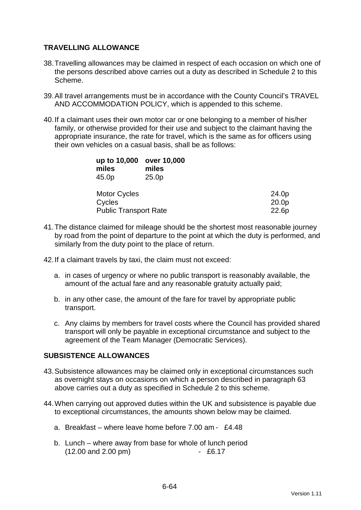### **TRAVELLING ALLOWANCE**

- 38. Travelling allowances may be claimed in respect of each occasion on which one of the persons described above carries out a duty as described in Schedule 2 to this Scheme.
- 39. All travel arrangements must be in accordance with the County Council's TRAVEL AND ACCOMMODATION POLICY, which is appended to this scheme.
- 40. If a claimant uses their own motor car or one belonging to a member of his/her family, or otherwise provided for their use and subject to the claimant having the appropriate insurance, the rate for travel, which is the same as for officers using their own vehicles on a casual basis, shall be as follows:

| up to 10,000<br>miles<br>45.0p | over 10,000<br>miles<br>25.0 <sub>p</sub> |       |
|--------------------------------|-------------------------------------------|-------|
| <b>Motor Cycles</b>            |                                           | 24.0p |
| Cycles                         |                                           | 20.0p |
| <b>Public Transport Rate</b>   |                                           | 22.6p |

- 41. The distance claimed for mileage should be the shortest most reasonable journey by road from the point of departure to the point at which the duty is performed, and similarly from the duty point to the place of return.
- 42. If a claimant travels by taxi, the claim must not exceed:
	- a. in cases of urgency or where no public transport is reasonably available, the amount of the actual fare and any reasonable gratuity actually paid;
	- b. in any other case, the amount of the fare for travel by appropriate public transport.
	- c. Any claims by members for travel costs where the Council has provided shared transport will only be payable in exceptional circumstance and subject to the agreement of the Team Manager (Democratic Services).

#### **SUBSISTENCE ALLOWANCES**

- 43. Subsistence allowances may be claimed only in exceptional circumstances such as overnight stays on occasions on which a person described in paragraph 63 above carries out a duty as specified in Schedule 2 to this scheme.
- 44. When carrying out approved duties within the UK and subsistence is payable due to exceptional circumstances, the amounts shown below may be claimed.
	- a. Breakfast where leave home before 7.00 am £4.48
	- b. Lunch where away from base for whole of lunch period (12.00 and 2.00 pm) - £6.17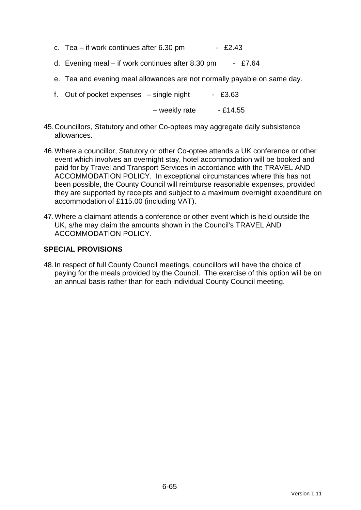- c. Tea if work continues after  $6.30 \text{ pm}$  £2.43
- d. Evening meal if work continues after 8.30 pm £7.64
- e. Tea and evening meal allowances are not normally payable on same day.
- f. Out of pocket expenses  $-$  single night  $-$  £3.63

 $-$  weekly rate  $-$  £14.55

- 45. Councillors, Statutory and other Co-optees may aggregate daily subsistence allowances.
- 46. Where a councillor, Statutory or other Co-optee attends a UK conference or other event which involves an overnight stay, hotel accommodation will be booked and paid for by Travel and Transport Services in accordance with the TRAVEL AND ACCOMMODATION POLICY. In exceptional circumstances where this has not been possible, the County Council will reimburse reasonable expenses, provided they are supported by receipts and subject to a maximum overnight expenditure on accommodation of £115.00 (including VAT).
- 47. Where a claimant attends a conference or other event which is held outside the UK, s/he may claim the amounts shown in the Council's TRAVEL AND ACCOMMODATION POLICY.

### **SPECIAL PROVISIONS**

48. In respect of full County Council meetings, councillors will have the choice of paying for the meals provided by the Council. The exercise of this option will be on an annual basis rather than for each individual County Council meeting.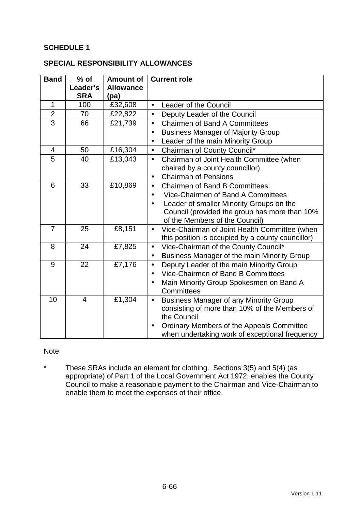### **SCHEDULE 1**

#### **SPECIAL RESPONSIBILITY ALLOWANCES**

| <b>Band</b>    | $%$ of<br>Leader's<br><b>SRA</b> | <b>Amount of</b><br><b>Allowance</b><br>(pa) | <b>Current role</b>                                                             |  |
|----------------|----------------------------------|----------------------------------------------|---------------------------------------------------------------------------------|--|
| $\mathbf{1}$   | 100                              | £32,608                                      | Leader of the Council<br>$\bullet$                                              |  |
| $\overline{2}$ | 70                               | £22,822                                      | Deputy Leader of the Council<br>$\bullet$                                       |  |
| $\overline{3}$ | 66                               | £21,739                                      | <b>Chairmen of Band A Committees</b><br>$\bullet$                               |  |
|                |                                  |                                              | <b>Business Manager of Majority Group</b><br>$\bullet$                          |  |
|                |                                  |                                              | Leader of the main Minority Group                                               |  |
| 4              | 50                               | £16,304                                      | Chairman of County Council*<br>$\bullet$                                        |  |
| 5              | 40                               | £13,043                                      | Chairman of Joint Health Committee (when<br>$\bullet$                           |  |
|                |                                  |                                              | chaired by a county councillor)                                                 |  |
|                |                                  |                                              | <b>Chairman of Pensions</b><br>$\bullet$                                        |  |
| 6              | 33                               | £10,869                                      | <b>Chairmen of Band B Committees:</b><br>$\bullet$                              |  |
|                |                                  |                                              | Vice-Chairmen of Band A Committees<br>$\bullet$                                 |  |
|                |                                  |                                              | Leader of smaller Minority Groups on the<br>$\bullet$                           |  |
|                |                                  |                                              | Council (provided the group has more than 10%<br>of the Members of the Council) |  |
| $\overline{7}$ | 25                               | £8,151                                       | Vice-Chairman of Joint Health Committee (when<br>$\bullet$                      |  |
|                |                                  |                                              | this position is occupied by a county councillor)                               |  |
| 8              | 24                               | £7,825                                       | Vice-Chairman of the County Council*<br>$\bullet$                               |  |
|                |                                  |                                              | Business Manager of the main Minority Group<br>$\bullet$                        |  |
| 9              | 22                               | £7,176                                       | Deputy Leader of the main Minority Group<br>$\bullet$                           |  |
|                |                                  |                                              | Vice-Chairmen of Band B Committees<br>$\bullet$                                 |  |
|                |                                  |                                              | Main Minority Group Spokesmen on Band A                                         |  |
|                |                                  |                                              | Committees                                                                      |  |
| 10             | $\overline{4}$                   | £1,304                                       | <b>Business Manager of any Minority Group</b><br>$\bullet$                      |  |
|                |                                  |                                              | consisting of more than 10% of the Members of<br>the Council                    |  |
|                |                                  |                                              | Ordinary Members of the Appeals Committee<br>$\bullet$                          |  |
|                |                                  |                                              | when undertaking work of exceptional frequency                                  |  |

#### Note

\* These SRAs include an element for clothing. Sections 3(5) and 5(4) (as appropriate) of Part 1 of the Local Government Act 1972, enables the County Council to make a reasonable payment to the Chairman and Vice-Chairman to enable them to meet the expenses of their office.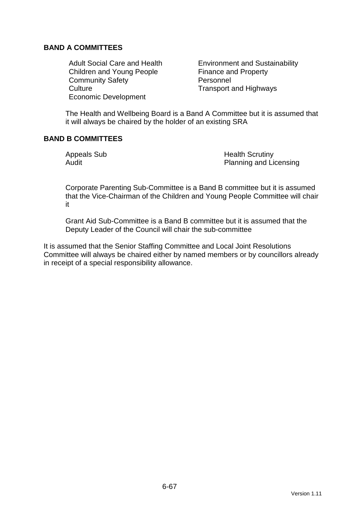### **BAND A COMMITTEES**

Children and Young People Finance and Property Community Safety **Personnel** Culture Culture Transport and Highways Economic Development

Adult Social Care and Health Environment and Sustainability

The Health and Wellbeing Board is a Band A Committee but it is assumed that it will always be chaired by the holder of an existing SRA

### **BAND B COMMITTEES**

Appeals Sub **Health Scrutiny** Audit **Audit** Planning and Licensing

Corporate Parenting Sub-Committee is a Band B committee but it is assumed that the Vice-Chairman of the Children and Young People Committee will chair it

Grant Aid Sub-Committee is a Band B committee but it is assumed that the Deputy Leader of the Council will chair the sub-committee

It is assumed that the Senior Staffing Committee and Local Joint Resolutions Committee will always be chaired either by named members or by councillors already in receipt of a special responsibility allowance.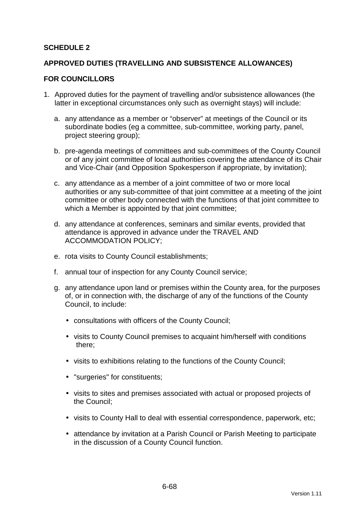### **SCHEDULE 2**

#### **APPROVED DUTIES (TRAVELLING AND SUBSISTENCE ALLOWANCES)**

#### **FOR COUNCILLORS**

- 1. Approved duties for the payment of travelling and/or subsistence allowances (the latter in exceptional circumstances only such as overnight stays) will include:
	- a. any attendance as a member or "observer" at meetings of the Council or its subordinate bodies (eg a committee, sub-committee, working party, panel, project steering group);
	- b. pre-agenda meetings of committees and sub-committees of the County Council or of any joint committee of local authorities covering the attendance of its Chair and Vice-Chair (and Opposition Spokesperson if appropriate, by invitation);
	- c. any attendance as a member of a joint committee of two or more local authorities or any sub-committee of that joint committee at a meeting of the joint committee or other body connected with the functions of that joint committee to which a Member is appointed by that joint committee;
	- d. any attendance at conferences, seminars and similar events, provided that attendance is approved in advance under the TRAVEL AND ACCOMMODATION POLICY;
	- e. rota visits to County Council establishments;
	- f. annual tour of inspection for any County Council service;
	- g. any attendance upon land or premises within the County area, for the purposes of, or in connection with, the discharge of any of the functions of the County Council, to include:
		- consultations with officers of the County Council;
		- visits to County Council premises to acquaint him/herself with conditions there;
		- visits to exhibitions relating to the functions of the County Council;
		- "surgeries" for constituents;
		- visits to sites and premises associated with actual or proposed projects of the Council;
		- visits to County Hall to deal with essential correspondence, paperwork, etc;
		- attendance by invitation at a Parish Council or Parish Meeting to participate in the discussion of a County Council function.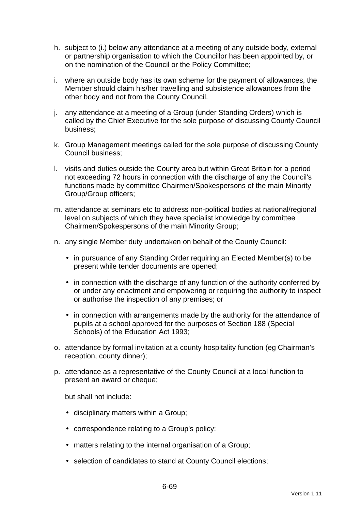- h. subject to (i.) below any attendance at a meeting of any outside body, external or partnership organisation to which the Councillor has been appointed by, or on the nomination of the Council or the Policy Committee;
- i. where an outside body has its own scheme for the payment of allowances, the Member should claim his/her travelling and subsistence allowances from the other body and not from the County Council.
- j. any attendance at a meeting of a Group (under Standing Orders) which is called by the Chief Executive for the sole purpose of discussing County Council business;
- k. Group Management meetings called for the sole purpose of discussing County Council business;
- l. visits and duties outside the County area but within Great Britain for a period not exceeding 72 hours in connection with the discharge of any the Council's functions made by committee Chairmen/Spokespersons of the main Minority Group/Group officers;
- m. attendance at seminars etc to address non-political bodies at national/regional level on subjects of which they have specialist knowledge by committee Chairmen/Spokespersons of the main Minority Group;
- n. any single Member duty undertaken on behalf of the County Council:
	- in pursuance of any Standing Order requiring an Elected Member(s) to be present while tender documents are opened;
	- in connection with the discharge of any function of the authority conferred by or under any enactment and empowering or requiring the authority to inspect or authorise the inspection of any premises; or
	- in connection with arrangements made by the authority for the attendance of pupils at a school approved for the purposes of Section 188 (Special Schools) of the Education Act 1993;
- o. attendance by formal invitation at a county hospitality function (eg Chairman's reception, county dinner);
- p. attendance as a representative of the County Council at a local function to present an award or cheque;

but shall not include:

- disciplinary matters within a Group;
- correspondence relating to a Group's policy:
- matters relating to the internal organisation of a Group;
- selection of candidates to stand at County Council elections;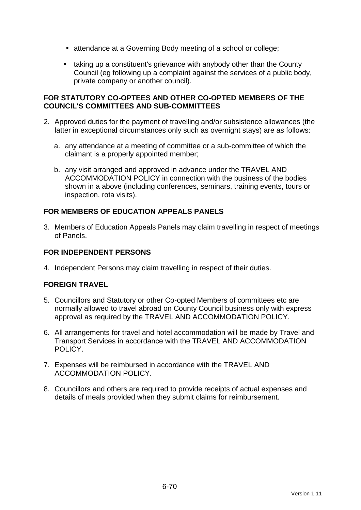- attendance at a Governing Body meeting of a school or college;
- taking up a constituent's grievance with anybody other than the County Council (eg following up a complaint against the services of a public body, private company or another council).

#### **FOR STATUTORY CO-OPTEES AND OTHER CO-OPTED MEMBERS OF THE COUNCIL'S COMMITTEES AND SUB-COMMITTEES**

- 2. Approved duties for the payment of travelling and/or subsistence allowances (the latter in exceptional circumstances only such as overnight stays) are as follows:
	- a. any attendance at a meeting of committee or a sub-committee of which the claimant is a properly appointed member;
	- b. any visit arranged and approved in advance under the TRAVEL AND ACCOMMODATION POLICY in connection with the business of the bodies shown in a above (including conferences, seminars, training events, tours or inspection, rota visits).

# **FOR MEMBERS OF EDUCATION APPEALS PANELS**

3. Members of Education Appeals Panels may claim travelling in respect of meetings of Panels.

# **FOR INDEPENDENT PERSONS**

4. Independent Persons may claim travelling in respect of their duties.

# **FOREIGN TRAVEL**

- 5. Councillors and Statutory or other Co-opted Members of committees etc are normally allowed to travel abroad on County Council business only with express approval as required by the TRAVEL AND ACCOMMODATION POLICY.
- 6. All arrangements for travel and hotel accommodation will be made by Travel and Transport Services in accordance with the TRAVEL AND ACCOMMODATION POLICY.
- 7. Expenses will be reimbursed in accordance with the TRAVEL AND ACCOMMODATION POLICY.
- 8. Councillors and others are required to provide receipts of actual expenses and details of meals provided when they submit claims for reimbursement.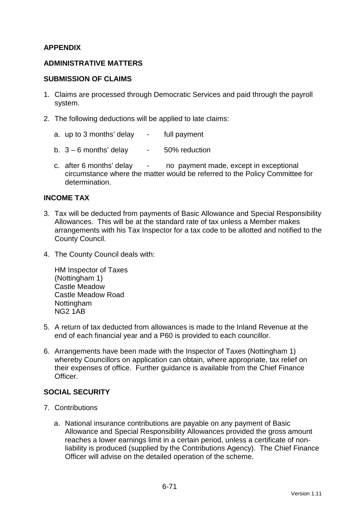### **APPENDIX**

#### **ADMINISTRATIVE MATTERS**

#### **SUBMISSION OF CLAIMS**

- 1. Claims are processed through Democratic Services and paid through the payroll system.
- 2. The following deductions will be applied to late claims:
	- a. up to 3 months' delay full payment
	- b.  $3 6$  months' delay  $-50\%$  reduction
	- c. after 6 months' delay no payment made, except in exceptional circumstance where the matter would be referred to the Policy Committee for determination.

#### **INCOME TAX**

- 3. Tax will be deducted from payments of Basic Allowance and Special Responsibility Allowances. This will be at the standard rate of tax unless a Member makes arrangements with his Tax Inspector for a tax code to be allotted and notified to the County Council.
- 4. The County Council deals with:

HM Inspector of Taxes (Nottingham 1) Castle Meadow Castle Meadow Road Nottingham NG2 1AB

- 5. A return of tax deducted from allowances is made to the Inland Revenue at the end of each financial year and a P60 is provided to each councillor.
- 6. Arrangements have been made with the Inspector of Taxes (Nottingham 1) whereby Councillors on application can obtain, where appropriate, tax relief on their expenses of office. Further guidance is available from the Chief Finance **Officer**

#### **SOCIAL SECURITY**

- 7. Contributions
	- a. National insurance contributions are payable on any payment of Basic Allowance and Special Responsibility Allowances provided the gross amount reaches a lower earnings limit in a certain period, unless a certificate of nonliability is produced (supplied by the Contributions Agency). The Chief Finance Officer will advise on the detailed operation of the scheme.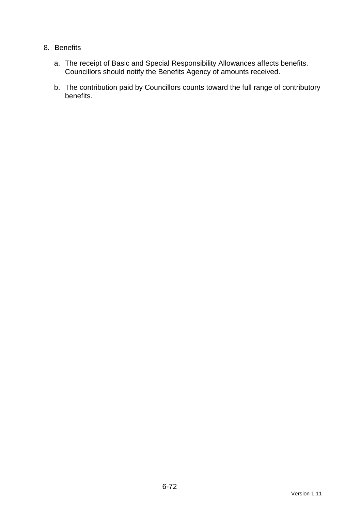### 8. Benefits

- a. The receipt of Basic and Special Responsibility Allowances affects benefits. Councillors should notify the Benefits Agency of amounts received.
- b. The contribution paid by Councillors counts toward the full range of contributory benefits.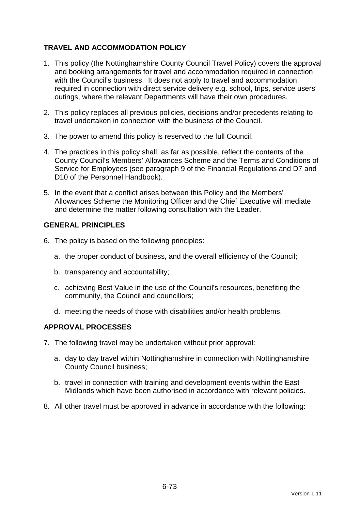# **TRAVEL AND ACCOMMODATION POLICY**

- 1. This policy (the Nottinghamshire County Council Travel Policy) covers the approval and booking arrangements for travel and accommodation required in connection with the Council's business. It does not apply to travel and accommodation required in connection with direct service delivery e.g. school, trips, service users' outings, where the relevant Departments will have their own procedures.
- 2. This policy replaces all previous policies, decisions and/or precedents relating to travel undertaken in connection with the business of the Council.
- 3. The power to amend this policy is reserved to the full Council.
- 4. The practices in this policy shall, as far as possible, reflect the contents of the County Council's Members' Allowances Scheme and the Terms and Conditions of Service for Employees (see paragraph 9 of the Financial Regulations and D7 and D10 of the Personnel Handbook).
- 5. In the event that a conflict arises between this Policy and the Members' Allowances Scheme the Monitoring Officer and the Chief Executive will mediate and determine the matter following consultation with the Leader.

#### **GENERAL PRINCIPLES**

- 6. The policy is based on the following principles:
	- a. the proper conduct of business, and the overall efficiency of the Council;
	- b. transparency and accountability;
	- c. achieving Best Value in the use of the Council's resources, benefiting the community, the Council and councillors;
	- d. meeting the needs of those with disabilities and/or health problems.

#### **APPROVAL PROCESSES**

- 7. The following travel may be undertaken without prior approval:
	- a. day to day travel within Nottinghamshire in connection with Nottinghamshire County Council business;
	- b. travel in connection with training and development events within the East Midlands which have been authorised in accordance with relevant policies.
- 8. All other travel must be approved in advance in accordance with the following: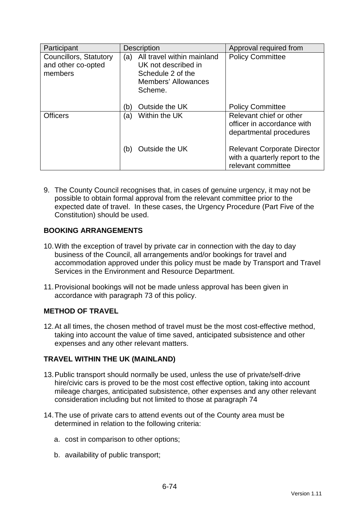| Participant                                             | <b>Description</b>                                                                                                     | Approval required from                                                                     |
|---------------------------------------------------------|------------------------------------------------------------------------------------------------------------------------|--------------------------------------------------------------------------------------------|
| Councillors, Statutory<br>and other co-opted<br>members | All travel within mainland<br>(a)<br>UK not described in<br>Schedule 2 of the<br><b>Members' Allowances</b><br>Scheme. | <b>Policy Committee</b>                                                                    |
|                                                         | Outside the UK<br>(b)                                                                                                  | <b>Policy Committee</b>                                                                    |
| <b>Officers</b>                                         | Within the UK<br>(a)                                                                                                   | Relevant chief or other<br>officer in accordance with<br>departmental procedures           |
|                                                         | Outside the UK<br>(b)                                                                                                  | <b>Relevant Corporate Director</b><br>with a quarterly report to the<br>relevant committee |

9. The County Council recognises that, in cases of genuine urgency, it may not be possible to obtain formal approval from the relevant committee prior to the expected date of travel. In these cases, the Urgency Procedure (Part Five of the Constitution) should be used.

# **BOOKING ARRANGEMENTS**

- 10. With the exception of travel by private car in connection with the day to day business of the Council, all arrangements and/or bookings for travel and accommodation approved under this policy must be made by Transport and Travel Services in the Environment and Resource Department.
- 11. Provisional bookings will not be made unless approval has been given in accordance with paragraph 73 of this policy.

# **METHOD OF TRAVEL**

12. At all times, the chosen method of travel must be the most cost-effective method, taking into account the value of time saved, anticipated subsistence and other expenses and any other relevant matters.

# **TRAVEL WITHIN THE UK (MAINLAND)**

- 13. Public transport should normally be used, unless the use of private/self-drive hire/civic cars is proved to be the most cost effective option, taking into account mileage charges, anticipated subsistence, other expenses and any other relevant consideration including but not limited to those at paragraph 74
- 14. The use of private cars to attend events out of the County area must be determined in relation to the following criteria:
	- a. cost in comparison to other options;
	- b. availability of public transport;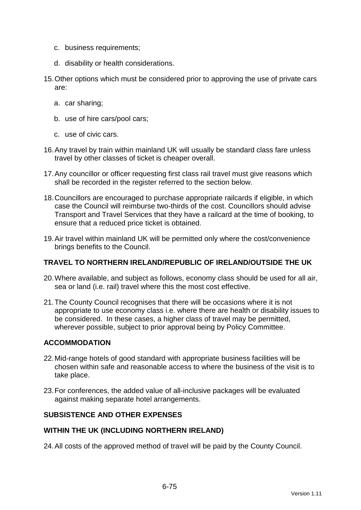- c. business requirements;
- d. disability or health considerations.
- 15. Other options which must be considered prior to approving the use of private cars are:
	- a. car sharing;
	- b. use of hire cars/pool cars;
	- c. use of civic cars.
- 16. Any travel by train within mainland UK will usually be standard class fare unless travel by other classes of ticket is cheaper overall.
- 17. Any councillor or officer requesting first class rail travel must give reasons which shall be recorded in the register referred to the section below.
- 18. Councillors are encouraged to purchase appropriate railcards if eligible, in which case the Council will reimburse two-thirds of the cost. Councillors should advise Transport and Travel Services that they have a railcard at the time of booking, to ensure that a reduced price ticket is obtained.
- 19. Air travel within mainland UK will be permitted only where the cost/convenience brings benefits to the Council.

#### **TRAVEL TO NORTHERN IRELAND/REPUBLIC OF IRELAND/OUTSIDE THE UK**

- 20. Where available, and subject as follows, economy class should be used for all air, sea or land (i.e. rail) travel where this the most cost effective.
- 21. The County Council recognises that there will be occasions where it is not appropriate to use economy class i.e. where there are health or disability issues to be considered. In these cases, a higher class of travel may be permitted, wherever possible, subject to prior approval being by Policy Committee.

### **ACCOMMODATION**

- 22. Mid-range hotels of good standard with appropriate business facilities will be chosen within safe and reasonable access to where the business of the visit is to take place.
- 23. For conferences, the added value of all-inclusive packages will be evaluated against making separate hotel arrangements.

## **SUBSISTENCE AND OTHER EXPENSES**

#### **WITHIN THE UK (INCLUDING NORTHERN IRELAND)**

24. All costs of the approved method of travel will be paid by the County Council.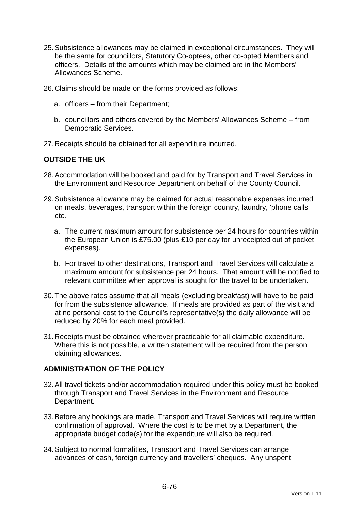- 25. Subsistence allowances may be claimed in exceptional circumstances. They will be the same for councillors, Statutory Co-optees, other co-opted Members and officers. Details of the amounts which may be claimed are in the Members' Allowances Scheme.
- 26. Claims should be made on the forms provided as follows:
	- a. officers from their Department;
	- b. councillors and others covered by the Members' Allowances Scheme from Democratic Services.
- 27. Receipts should be obtained for all expenditure incurred.

#### **OUTSIDE THE UK**

- 28. Accommodation will be booked and paid for by Transport and Travel Services in the Environment and Resource Department on behalf of the County Council.
- 29. Subsistence allowance may be claimed for actual reasonable expenses incurred on meals, beverages, transport within the foreign country, laundry, 'phone calls etc.
	- a. The current maximum amount for subsistence per 24 hours for countries within the European Union is £75.00 (plus £10 per day for unreceipted out of pocket expenses).
	- b. For travel to other destinations, Transport and Travel Services will calculate a maximum amount for subsistence per 24 hours. That amount will be notified to relevant committee when approval is sought for the travel to be undertaken.
- 30. The above rates assume that all meals (excluding breakfast) will have to be paid for from the subsistence allowance. If meals are provided as part of the visit and at no personal cost to the Council's representative(s) the daily allowance will be reduced by 20% for each meal provided.
- 31. Receipts must be obtained wherever practicable for all claimable expenditure. Where this is not possible, a written statement will be required from the person claiming allowances.

#### **ADMINISTRATION OF THE POLICY**

- 32. All travel tickets and/or accommodation required under this policy must be booked through Transport and Travel Services in the Environment and Resource Department.
- 33. Before any bookings are made, Transport and Travel Services will require written confirmation of approval. Where the cost is to be met by a Department, the appropriate budget code(s) for the expenditure will also be required.
- 34. Subject to normal formalities, Transport and Travel Services can arrange advances of cash, foreign currency and travellers' cheques. Any unspent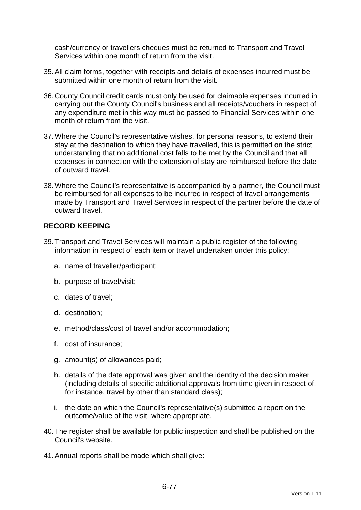cash/currency or travellers cheques must be returned to Transport and Travel Services within one month of return from the visit.

- 35. All claim forms, together with receipts and details of expenses incurred must be submitted within one month of return from the visit.
- 36. County Council credit cards must only be used for claimable expenses incurred in carrying out the County Council's business and all receipts/vouchers in respect of any expenditure met in this way must be passed to Financial Services within one month of return from the visit.
- 37. Where the Council's representative wishes, for personal reasons, to extend their stay at the destination to which they have travelled, this is permitted on the strict understanding that no additional cost falls to be met by the Council and that all expenses in connection with the extension of stay are reimbursed before the date of outward travel.
- 38. Where the Council's representative is accompanied by a partner, the Council must be reimbursed for all expenses to be incurred in respect of travel arrangements made by Transport and Travel Services in respect of the partner before the date of outward travel.

## **RECORD KEEPING**

- 39. Transport and Travel Services will maintain a public register of the following information in respect of each item or travel undertaken under this policy:
	- a. name of traveller/participant;
	- b. purpose of travel/visit;
	- c. dates of travel;
	- d. destination;
	- e. method/class/cost of travel and/or accommodation;
	- f. cost of insurance;
	- g. amount(s) of allowances paid;
	- h. details of the date approval was given and the identity of the decision maker (including details of specific additional approvals from time given in respect of, for instance, travel by other than standard class);
	- i. the date on which the Council's representative(s) submitted a report on the outcome/value of the visit, where appropriate.
- 40. The register shall be available for public inspection and shall be published on the Council's website.
- 41. Annual reports shall be made which shall give: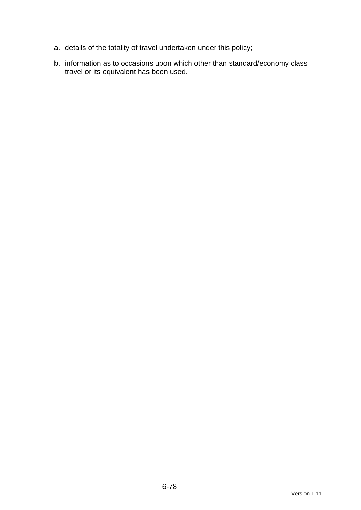- a. details of the totality of travel undertaken under this policy;
- b. information as to occasions upon which other than standard/economy class travel or its equivalent has been used.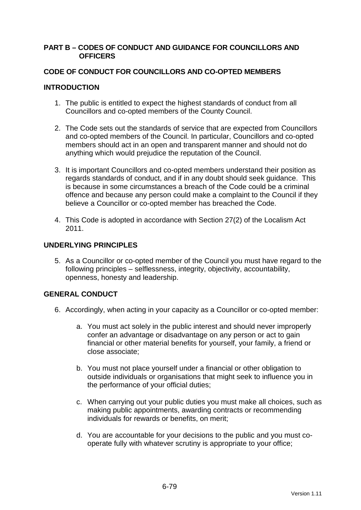#### **PART B – CODES OF CONDUCT AND GUIDANCE FOR COUNCILLORS AND OFFICERS**

### **CODE OF CONDUCT FOR COUNCILLORS AND CO-OPTED MEMBERS**

### **INTRODUCTION**

- 1. The public is entitled to expect the highest standards of conduct from all Councillors and co-opted members of the County Council.
- 2. The Code sets out the standards of service that are expected from Councillors and co-opted members of the Council. In particular, Councillors and co-opted members should act in an open and transparent manner and should not do anything which would prejudice the reputation of the Council.
- 3. It is important Councillors and co-opted members understand their position as regards standards of conduct, and if in any doubt should seek guidance. This is because in some circumstances a breach of the Code could be a criminal offence and because any person could make a complaint to the Council if they believe a Councillor or co-opted member has breached the Code.
- 4. This Code is adopted in accordance with Section 27(2) of the Localism Act 2011.

### **UNDERLYING PRINCIPLES**

5. As a Councillor or co-opted member of the Council you must have regard to the following principles – selflessness, integrity, objectivity, accountability, openness, honesty and leadership.

## **GENERAL CONDUCT**

- 6. Accordingly, when acting in your capacity as a Councillor or co-opted member:
	- a. You must act solely in the public interest and should never improperly confer an advantage or disadvantage on any person or act to gain financial or other material benefits for yourself, your family, a friend or close associate;
	- b. You must not place yourself under a financial or other obligation to outside individuals or organisations that might seek to influence you in the performance of your official duties;
	- c. When carrying out your public duties you must make all choices, such as making public appointments, awarding contracts or recommending individuals for rewards or benefits, on merit;
	- d. You are accountable for your decisions to the public and you must cooperate fully with whatever scrutiny is appropriate to your office;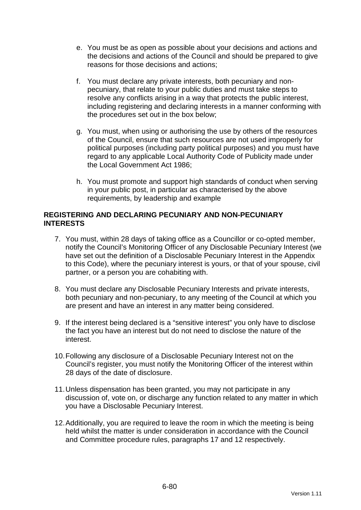- e. You must be as open as possible about your decisions and actions and the decisions and actions of the Council and should be prepared to give reasons for those decisions and actions;
- f. You must declare any private interests, both pecuniary and nonpecuniary, that relate to your public duties and must take steps to resolve any conflicts arising in a way that protects the public interest, including registering and declaring interests in a manner conforming with the procedures set out in the box below;
- g. You must, when using or authorising the use by others of the resources of the Council, ensure that such resources are not used improperly for political purposes (including party political purposes) and you must have regard to any applicable Local Authority Code of Publicity made under the Local Government Act 1986;
- h. You must promote and support high standards of conduct when serving in your public post, in particular as characterised by the above requirements, by leadership and example

### **REGISTERING AND DECLARING PECUNIARY AND NON-PECUNIARY INTERESTS**

- 7. You must, within 28 days of taking office as a Councillor or co-opted member, notify the Council's Monitoring Officer of any Disclosable Pecuniary Interest (we have set out the definition of a Disclosable Pecuniary Interest in the Appendix to this Code), where the pecuniary interest is yours, or that of your spouse, civil partner, or a person you are cohabiting with.
- 8. You must declare any Disclosable Pecuniary Interests and private interests, both pecuniary and non-pecuniary, to any meeting of the Council at which you are present and have an interest in any matter being considered.
- 9. If the interest being declared is a "sensitive interest" you only have to disclose the fact you have an interest but do not need to disclose the nature of the interest.
- 10. Following any disclosure of a Disclosable Pecuniary Interest not on the Council's register, you must notify the Monitoring Officer of the interest within 28 days of the date of disclosure.
- 11. Unless dispensation has been granted, you may not participate in any discussion of, vote on, or discharge any function related to any matter in which you have a Disclosable Pecuniary Interest.
- 12. Additionally, you are required to leave the room in which the meeting is being held whilst the matter is under consideration in accordance with the Council and Committee procedure rules, paragraphs 17 and 12 respectively.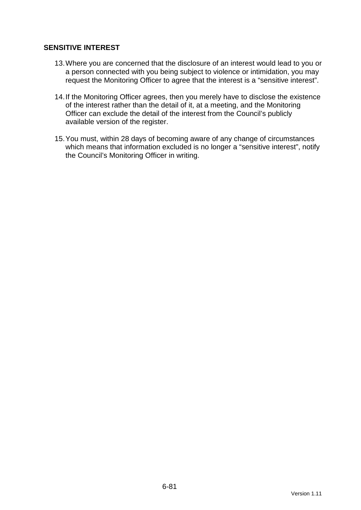## **SENSITIVE INTEREST**

- 13. Where you are concerned that the disclosure of an interest would lead to you or a person connected with you being subject to violence or intimidation, you may request the Monitoring Officer to agree that the interest is a "sensitive interest".
- 14. If the Monitoring Officer agrees, then you merely have to disclose the existence of the interest rather than the detail of it, at a meeting, and the Monitoring Officer can exclude the detail of the interest from the Council's publicly available version of the register.
- 15. You must, within 28 days of becoming aware of any change of circumstances which means that information excluded is no longer a "sensitive interest", notify the Council's Monitoring Officer in writing.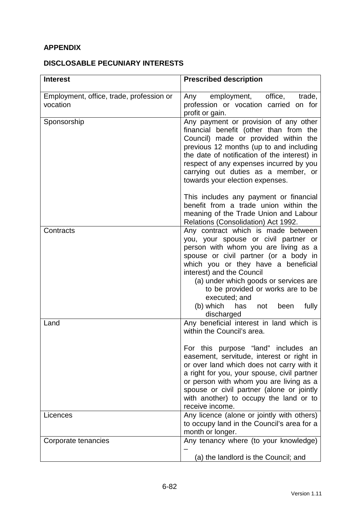# **APPENDIX**

## **DISCLOSABLE PECUNIARY INTERESTS**

| <b>Interest</b>                                      | <b>Prescribed description</b>                                                                                                                                                                                                                                                                                                                                                                               |
|------------------------------------------------------|-------------------------------------------------------------------------------------------------------------------------------------------------------------------------------------------------------------------------------------------------------------------------------------------------------------------------------------------------------------------------------------------------------------|
| Employment, office, trade, profession or<br>vocation | employment, office,<br>trade,<br>Any<br>profession or vocation carried on for<br>profit or gain.                                                                                                                                                                                                                                                                                                            |
| Sponsorship                                          | Any payment or provision of any other<br>financial benefit (other than from the<br>Council) made or provided within the<br>previous 12 months (up to and including<br>the date of notification of the interest) in<br>respect of any expenses incurred by you<br>carrying out duties as a member, or<br>towards your election expenses.                                                                     |
|                                                      | This includes any payment or financial<br>benefit from a trade union within the<br>meaning of the Trade Union and Labour<br>Relations (Consolidation) Act 1992.                                                                                                                                                                                                                                             |
| Contracts                                            | Any contract which is made between<br>you, your spouse or civil partner or<br>person with whom you are living as a<br>spouse or civil partner (or a body in<br>which you or they have a beneficial<br>interest) and the Council<br>(a) under which goods or services are<br>to be provided or works are to be<br>executed; and<br>(b) which<br>fully<br>has<br>been<br>not<br>discharged                    |
| Land                                                 | Any beneficial interest in land which is<br>within the Council's area.<br>For this purpose "land" includes an<br>easement, servitude, interest or right in<br>or over land which does not carry with it<br>a right for you, your spouse, civil partner<br>or person with whom you are living as a<br>spouse or civil partner (alone or jointly<br>with another) to occupy the land or to<br>receive income. |
| Licences                                             | Any licence (alone or jointly with others)<br>to occupy land in the Council's area for a<br>month or longer.                                                                                                                                                                                                                                                                                                |
| Corporate tenancies                                  | Any tenancy where (to your knowledge)<br>(a) the landlord is the Council; and                                                                                                                                                                                                                                                                                                                               |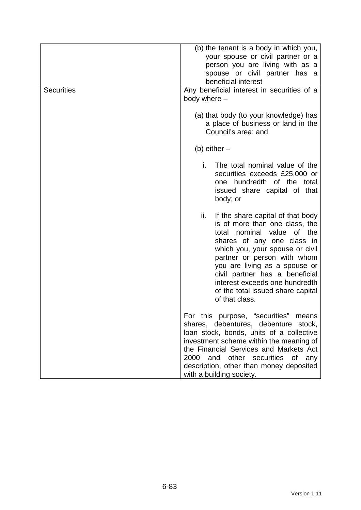| <b>Securities</b> | (b) the tenant is a body in which you,<br>your spouse or civil partner or a<br>person you are living with as a<br>spouse or civil partner has a<br>beneficial interest<br>Any beneficial interest in securities of a<br>body where -                                                                                                                                       |
|-------------------|----------------------------------------------------------------------------------------------------------------------------------------------------------------------------------------------------------------------------------------------------------------------------------------------------------------------------------------------------------------------------|
|                   | (a) that body (to your knowledge) has<br>a place of business or land in the<br>Council's area; and                                                                                                                                                                                                                                                                         |
|                   | (b) either $-$                                                                                                                                                                                                                                                                                                                                                             |
|                   | i.<br>The total nominal value of the<br>securities exceeds £25,000 or<br>one hundredth of the total<br>issued share capital of that<br>body; or                                                                                                                                                                                                                            |
|                   | ii.<br>If the share capital of that body<br>is of more than one class, the<br>nominal value<br>of the<br>total<br>shares of any one class in<br>which you, your spouse or civil<br>partner or person with whom<br>you are living as a spouse or<br>civil partner has a beneficial<br>interest exceeds one hundredth<br>of the total issued share capital<br>of that class. |
|                   | For this purpose, "securities"<br>means<br>shares, debentures, debenture stock,<br>loan stock, bonds, units of a collective<br>investment scheme within the meaning of<br>the Financial Services and Markets Act<br>2000<br>and other securities of<br>any<br>description, other than money deposited<br>with a building society.                                          |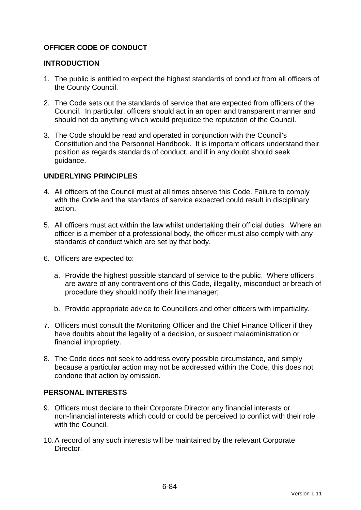## **OFFICER CODE OF CONDUCT**

### **INTRODUCTION**

- 1. The public is entitled to expect the highest standards of conduct from all officers of the County Council.
- 2. The Code sets out the standards of service that are expected from officers of the Council. In particular, officers should act in an open and transparent manner and should not do anything which would prejudice the reputation of the Council.
- 3. The Code should be read and operated in conjunction with the Council's Constitution and the Personnel Handbook. It is important officers understand their position as regards standards of conduct, and if in any doubt should seek guidance.

### **UNDERLYING PRINCIPLES**

- 4. All officers of the Council must at all times observe this Code. Failure to comply with the Code and the standards of service expected could result in disciplinary action.
- 5. All officers must act within the law whilst undertaking their official duties. Where an officer is a member of a professional body, the officer must also comply with any standards of conduct which are set by that body.
- 6. Officers are expected to:
	- a. Provide the highest possible standard of service to the public. Where officers are aware of any contraventions of this Code, illegality, misconduct or breach of procedure they should notify their line manager;
	- b. Provide appropriate advice to Councillors and other officers with impartiality.
- 7. Officers must consult the Monitoring Officer and the Chief Finance Officer if they have doubts about the legality of a decision, or suspect maladministration or financial impropriety.
- 8. The Code does not seek to address every possible circumstance, and simply because a particular action may not be addressed within the Code, this does not condone that action by omission.

#### **PERSONAL INTERESTS**

- 9. Officers must declare to their Corporate Director any financial interests or non-financial interests which could or could be perceived to conflict with their role with the Council.
- 10. A record of any such interests will be maintained by the relevant Corporate **Director**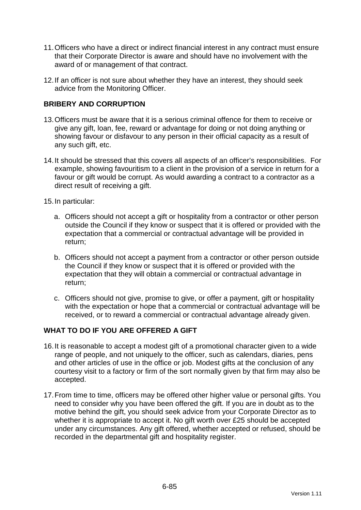- 11. Officers who have a direct or indirect financial interest in any contract must ensure that their Corporate Director is aware and should have no involvement with the award of or management of that contract.
- 12. If an officer is not sure about whether they have an interest, they should seek advice from the Monitoring Officer.

## **BRIBERY AND CORRUPTION**

- 13. Officers must be aware that it is a serious criminal offence for them to receive or give any gift, loan, fee, reward or advantage for doing or not doing anything or showing favour or disfavour to any person in their official capacity as a result of any such gift, etc.
- 14. It should be stressed that this covers all aspects of an officer's responsibilities. For example, showing favouritism to a client in the provision of a service in return for a favour or gift would be corrupt. As would awarding a contract to a contractor as a direct result of receiving a gift.
- 15. In particular:
	- a. Officers should not accept a gift or hospitality from a contractor or other person outside the Council if they know or suspect that it is offered or provided with the expectation that a commercial or contractual advantage will be provided in return;
	- b. Officers should not accept a payment from a contractor or other person outside the Council if they know or suspect that it is offered or provided with the expectation that they will obtain a commercial or contractual advantage in return;
	- c. Officers should not give, promise to give, or offer a payment, gift or hospitality with the expectation or hope that a commercial or contractual advantage will be received, or to reward a commercial or contractual advantage already given.

## **WHAT TO DO IF YOU ARE OFFERED A GIFT**

- 16. It is reasonable to accept a modest gift of a promotional character given to a wide range of people, and not uniquely to the officer, such as calendars, diaries, pens and other articles of use in the office or job. Modest gifts at the conclusion of any courtesy visit to a factory or firm of the sort normally given by that firm may also be accepted.
- 17. From time to time, officers may be offered other higher value or personal gifts. You need to consider why you have been offered the gift. If you are in doubt as to the motive behind the gift, you should seek advice from your Corporate Director as to whether it is appropriate to accept it. No gift worth over £25 should be accepted under any circumstances. Any gift offered, whether accepted or refused, should be recorded in the departmental gift and hospitality register.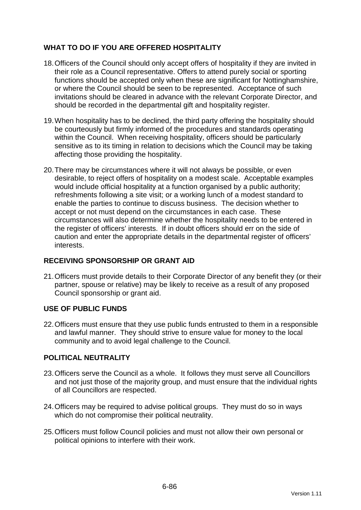## **WHAT TO DO IF YOU ARE OFFERED HOSPITALITY**

- 18. Officers of the Council should only accept offers of hospitality if they are invited in their role as a Council representative. Offers to attend purely social or sporting functions should be accepted only when these are significant for Nottinghamshire, or where the Council should be seen to be represented. Acceptance of such invitations should be cleared in advance with the relevant Corporate Director, and should be recorded in the departmental gift and hospitality register.
- 19. When hospitality has to be declined, the third party offering the hospitality should be courteously but firmly informed of the procedures and standards operating within the Council. When receiving hospitality, officers should be particularly sensitive as to its timing in relation to decisions which the Council may be taking affecting those providing the hospitality.
- 20. There may be circumstances where it will not always be possible, or even desirable, to reject offers of hospitality on a modest scale. Acceptable examples would include official hospitality at a function organised by a public authority; refreshments following a site visit; or a working lunch of a modest standard to enable the parties to continue to discuss business. The decision whether to accept or not must depend on the circumstances in each case. These circumstances will also determine whether the hospitality needs to be entered in the register of officers' interests. If in doubt officers should err on the side of caution and enter the appropriate details in the departmental register of officers' interests.

## **RECEIVING SPONSORSHIP OR GRANT AID**

21. Officers must provide details to their Corporate Director of any benefit they (or their partner, spouse or relative) may be likely to receive as a result of any proposed Council sponsorship or grant aid.

## **USE OF PUBLIC FUNDS**

22. Officers must ensure that they use public funds entrusted to them in a responsible and lawful manner. They should strive to ensure value for money to the local community and to avoid legal challenge to the Council.

## **POLITICAL NEUTRALITY**

- 23. Officers serve the Council as a whole. It follows they must serve all Councillors and not just those of the majority group, and must ensure that the individual rights of all Councillors are respected.
- 24. Officers may be required to advise political groups. They must do so in ways which do not compromise their political neutrality.
- 25. Officers must follow Council policies and must not allow their own personal or political opinions to interfere with their work.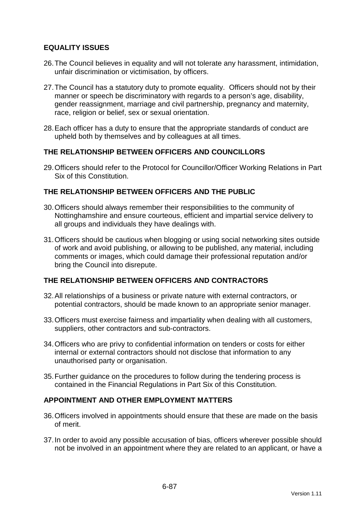## **EQUALITY ISSUES**

- 26. The Council believes in equality and will not tolerate any harassment, intimidation, unfair discrimination or victimisation, by officers.
- 27. The Council has a statutory duty to promote equality. Officers should not by their manner or speech be discriminatory with regards to a person's age, disability, gender reassignment, marriage and civil partnership, pregnancy and maternity, race, religion or belief, sex or sexual orientation.
- 28. Each officer has a duty to ensure that the appropriate standards of conduct are upheld both by themselves and by colleagues at all times.

### **THE RELATIONSHIP BETWEEN OFFICERS AND COUNCILLORS**

29. Officers should refer to the Protocol for Councillor/Officer Working Relations in Part Six of this Constitution.

## **THE RELATIONSHIP BETWEEN OFFICERS AND THE PUBLIC**

- 30. Officers should always remember their responsibilities to the community of Nottinghamshire and ensure courteous, efficient and impartial service delivery to all groups and individuals they have dealings with.
- 31. Officers should be cautious when blogging or using social networking sites outside of work and avoid publishing, or allowing to be published, any material, including comments or images, which could damage their professional reputation and/or bring the Council into disrepute.

### **THE RELATIONSHIP BETWEEN OFFICERS AND CONTRACTORS**

- 32. All relationships of a business or private nature with external contractors, or potential contractors, should be made known to an appropriate senior manager.
- 33. Officers must exercise fairness and impartiality when dealing with all customers, suppliers, other contractors and sub-contractors.
- 34. Officers who are privy to confidential information on tenders or costs for either internal or external contractors should not disclose that information to any unauthorised party or organisation.
- 35. Further guidance on the procedures to follow during the tendering process is contained in the Financial Regulations in Part Six of this Constitution.

#### **APPOINTMENT AND OTHER EMPLOYMENT MATTERS**

- 36. Officers involved in appointments should ensure that these are made on the basis of merit.
- 37. In order to avoid any possible accusation of bias, officers wherever possible should not be involved in an appointment where they are related to an applicant, or have a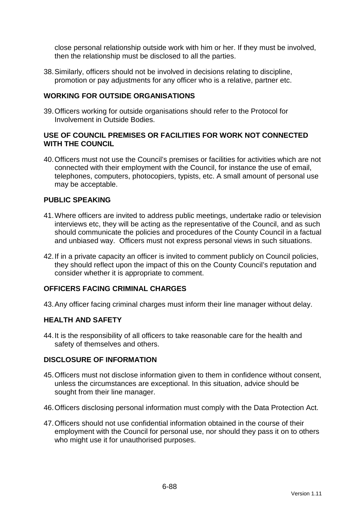close personal relationship outside work with him or her. If they must be involved, then the relationship must be disclosed to all the parties.

38. Similarly, officers should not be involved in decisions relating to discipline, promotion or pay adjustments for any officer who is a relative, partner etc.

### **WORKING FOR OUTSIDE ORGANISATIONS**

39. Officers working for outside organisations should refer to the Protocol for Involvement in Outside Bodies.

### **USE OF COUNCIL PREMISES OR FACILITIES FOR WORK NOT CONNECTED WITH THE COUNCIL**

40. Officers must not use the Council's premises or facilities for activities which are not connected with their employment with the Council, for instance the use of email, telephones, computers, photocopiers, typists, etc. A small amount of personal use may be acceptable.

### **PUBLIC SPEAKING**

- 41. Where officers are invited to address public meetings, undertake radio or television interviews etc, they will be acting as the representative of the Council, and as such should communicate the policies and procedures of the County Council in a factual and unbiased way. Officers must not express personal views in such situations.
- 42. If in a private capacity an officer is invited to comment publicly on Council policies, they should reflect upon the impact of this on the County Council's reputation and consider whether it is appropriate to comment.

### **OFFICERS FACING CRIMINAL CHARGES**

43. Any officer facing criminal charges must inform their line manager without delay.

#### **HEALTH AND SAFETY**

44. It is the responsibility of all officers to take reasonable care for the health and safety of themselves and others.

#### **DISCLOSURE OF INFORMATION**

- 45. Officers must not disclose information given to them in confidence without consent, unless the circumstances are exceptional. In this situation, advice should be sought from their line manager.
- 46. Officers disclosing personal information must comply with the Data Protection Act.
- 47. Officers should not use confidential information obtained in the course of their employment with the Council for personal use, nor should they pass it on to others who might use it for unauthorised purposes.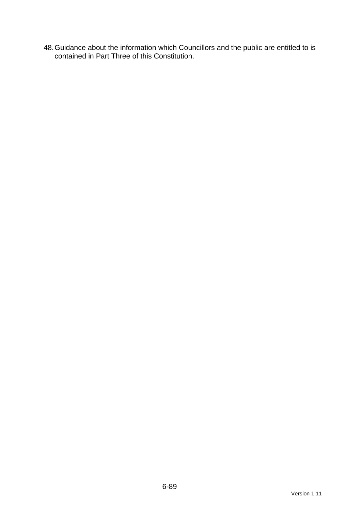48. Guidance about the information which Councillors and the public are entitled to is contained in Part Three of this Constitution.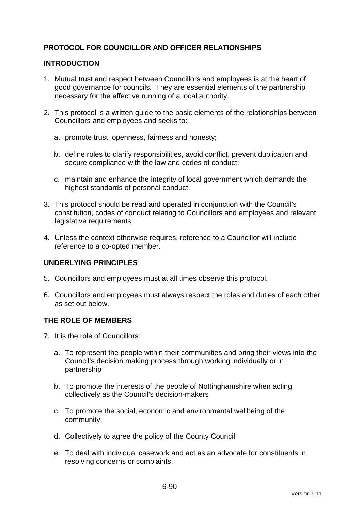## **PROTOCOL FOR COUNCILLOR AND OFFICER RELATIONSHIPS**

### **INTRODUCTION**

- 1. Mutual trust and respect between Councillors and employees is at the heart of good governance for councils. They are essential elements of the partnership necessary for the effective running of a local authority.
- 2. This protocol is a written guide to the basic elements of the relationships between Councillors and employees and seeks to:
	- a. promote trust, openness, fairness and honesty;
	- b. define roles to clarify responsibilities, avoid conflict, prevent duplication and secure compliance with the law and codes of conduct;
	- c. maintain and enhance the integrity of local government which demands the highest standards of personal conduct.
- 3. This protocol should be read and operated in conjunction with the Council's constitution, codes of conduct relating to Councillors and employees and relevant legislative requirements.
- 4. Unless the context otherwise requires, reference to a Councillor will include reference to a co-opted member.

## **UNDERLYING PRINCIPLES**

- 5. Councillors and employees must at all times observe this protocol.
- 6. Councillors and employees must always respect the roles and duties of each other as set out below.

#### **THE ROLE OF MEMBERS**

- 7. It is the role of Councillors:
	- a. To represent the people within their communities and bring their views into the Council's decision making process through working individually or in partnership
	- b. To promote the interests of the people of Nottinghamshire when acting collectively as the Council's decision-makers
	- c. To promote the social, economic and environmental wellbeing of the community.
	- d. Collectively to agree the policy of the County Council
	- e. To deal with individual casework and act as an advocate for constituents in resolving concerns or complaints.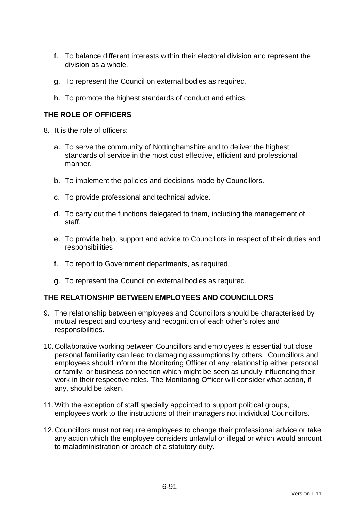- f. To balance different interests within their electoral division and represent the division as a whole.
- g. To represent the Council on external bodies as required.
- h. To promote the highest standards of conduct and ethics.

## **THE ROLE OF OFFICERS**

- 8. It is the role of officers:
	- a. To serve the community of Nottinghamshire and to deliver the highest standards of service in the most cost effective, efficient and professional manner.
	- b. To implement the policies and decisions made by Councillors.
	- c. To provide professional and technical advice.
	- d. To carry out the functions delegated to them, including the management of staff.
	- e. To provide help, support and advice to Councillors in respect of their duties and responsibilities
	- f. To report to Government departments, as required.
	- g. To represent the Council on external bodies as required.

#### **THE RELATIONSHIP BETWEEN EMPLOYEES AND COUNCILLORS**

- 9. The relationship between employees and Councillors should be characterised by mutual respect and courtesy and recognition of each other's roles and responsibilities.
- 10. Collaborative working between Councillors and employees is essential but close personal familiarity can lead to damaging assumptions by others. Councillors and employees should inform the Monitoring Officer of any relationship either personal or family, or business connection which might be seen as unduly influencing their work in their respective roles. The Monitoring Officer will consider what action, if any, should be taken.
- 11. With the exception of staff specially appointed to support political groups, employees work to the instructions of their managers not individual Councillors.
- 12. Councillors must not require employees to change their professional advice or take any action which the employee considers unlawful or illegal or which would amount to maladministration or breach of a statutory duty.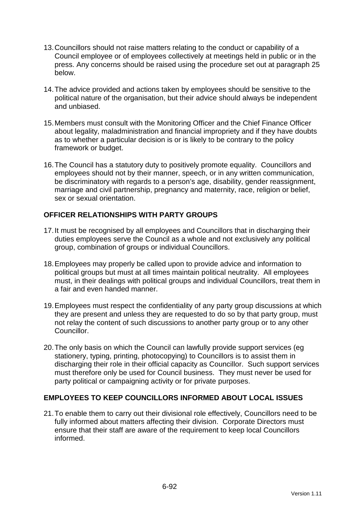- 13. Councillors should not raise matters relating to the conduct or capability of a Council employee or of employees collectively at meetings held in public or in the press. Any concerns should be raised using the procedure set out at paragraph 25 below.
- 14. The advice provided and actions taken by employees should be sensitive to the political nature of the organisation, but their advice should always be independent and unbiased.
- 15. Members must consult with the Monitoring Officer and the Chief Finance Officer about legality, maladministration and financial impropriety and if they have doubts as to whether a particular decision is or is likely to be contrary to the policy framework or budget.
- 16. The Council has a statutory duty to positively promote equality. Councillors and employees should not by their manner, speech, or in any written communication, be discriminatory with regards to a person's age, disability, gender reassignment, marriage and civil partnership, pregnancy and maternity, race, religion or belief, sex or sexual orientation.

## **OFFICER RELATIONSHIPS WITH PARTY GROUPS**

- 17. It must be recognised by all employees and Councillors that in discharging their duties employees serve the Council as a whole and not exclusively any political group, combination of groups or individual Councillors.
- 18. Employees may properly be called upon to provide advice and information to political groups but must at all times maintain political neutrality. All employees must, in their dealings with political groups and individual Councillors, treat them in a fair and even handed manner.
- 19. Employees must respect the confidentiality of any party group discussions at which they are present and unless they are requested to do so by that party group, must not relay the content of such discussions to another party group or to any other Councillor.
- 20. The only basis on which the Council can lawfully provide support services (eg stationery, typing, printing, photocopying) to Councillors is to assist them in discharging their role in their official capacity as Councillor. Such support services must therefore only be used for Council business. They must never be used for party political or campaigning activity or for private purposes.

## **EMPLOYEES TO KEEP COUNCILLORS INFORMED ABOUT LOCAL ISSUES**

21. To enable them to carry out their divisional role effectively, Councillors need to be fully informed about matters affecting their division. Corporate Directors must ensure that their staff are aware of the requirement to keep local Councillors informed.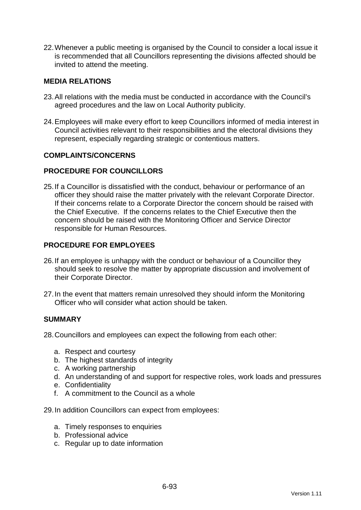22. Whenever a public meeting is organised by the Council to consider a local issue it is recommended that all Councillors representing the divisions affected should be invited to attend the meeting.

### **MEDIA RELATIONS**

- 23. All relations with the media must be conducted in accordance with the Council's agreed procedures and the law on Local Authority publicity.
- 24. Employees will make every effort to keep Councillors informed of media interest in Council activities relevant to their responsibilities and the electoral divisions they represent, especially regarding strategic or contentious matters.

#### **COMPLAINTS/CONCERNS**

### **PROCEDURE FOR COUNCILLORS**

25. If a Councillor is dissatisfied with the conduct, behaviour or performance of an officer they should raise the matter privately with the relevant Corporate Director. If their concerns relate to a Corporate Director the concern should be raised with the Chief Executive. If the concerns relates to the Chief Executive then the concern should be raised with the Monitoring Officer and Service Director responsible for Human Resources.

### **PROCEDURE FOR EMPLOYEES**

- 26. If an employee is unhappy with the conduct or behaviour of a Councillor they should seek to resolve the matter by appropriate discussion and involvement of their Corporate Director.
- 27. In the event that matters remain unresolved they should inform the Monitoring Officer who will consider what action should be taken.

#### **SUMMARY**

28. Councillors and employees can expect the following from each other:

- a. Respect and courtesy
- b. The highest standards of integrity
- c. A working partnership
- d. An understanding of and support for respective roles, work loads and pressures
- e. Confidentiality
- f. A commitment to the Council as a whole

29. In addition Councillors can expect from employees:

- a. Timely responses to enquiries
- b. Professional advice
- c. Regular up to date information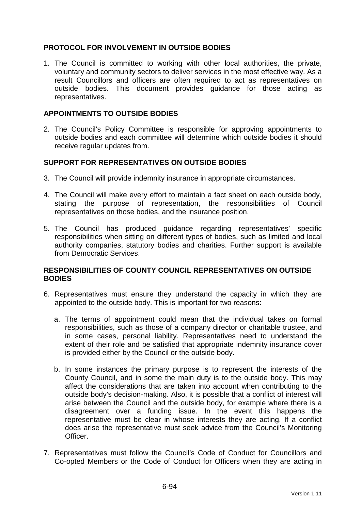## **PROTOCOL FOR INVOLVEMENT IN OUTSIDE BODIES**

1. The Council is committed to working with other local authorities, the private, voluntary and community sectors to deliver services in the most effective way. As a result Councillors and officers are often required to act as representatives on outside bodies. This document provides guidance for those acting as representatives.

### **APPOINTMENTS TO OUTSIDE BODIES**

2. The Council's Policy Committee is responsible for approving appointments to outside bodies and each committee will determine which outside bodies it should receive regular updates from.

### **SUPPORT FOR REPRESENTATIVES ON OUTSIDE BODIES**

- 3. The Council will provide indemnity insurance in appropriate circumstances.
- 4. The Council will make every effort to maintain a fact sheet on each outside body, stating the purpose of representation, the responsibilities of Council representatives on those bodies, and the insurance position.
- 5. The Council has produced guidance regarding representatives' specific responsibilities when sitting on different types of bodies, such as limited and local authority companies, statutory bodies and charities. Further support is available from Democratic Services.

### **RESPONSIBILITIES OF COUNTY COUNCIL REPRESENTATIVES ON OUTSIDE BODIES**

- 6. Representatives must ensure they understand the capacity in which they are appointed to the outside body. This is important for two reasons:
	- a. The terms of appointment could mean that the individual takes on formal responsibilities, such as those of a company director or charitable trustee, and in some cases, personal liability. Representatives need to understand the extent of their role and be satisfied that appropriate indemnity insurance cover is provided either by the Council or the outside body.
	- b. In some instances the primary purpose is to represent the interests of the County Council, and in some the main duty is to the outside body. This may affect the considerations that are taken into account when contributing to the outside body's decision-making. Also, it is possible that a conflict of interest will arise between the Council and the outside body, for example where there is a disagreement over a funding issue. In the event this happens the representative must be clear in whose interests they are acting. If a conflict does arise the representative must seek advice from the Council's Monitoring Officer.
- 7. Representatives must follow the Council's Code of Conduct for Councillors and Co-opted Members or the Code of Conduct for Officers when they are acting in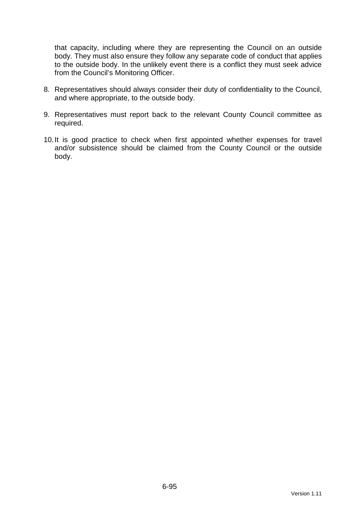that capacity, including where they are representing the Council on an outside body. They must also ensure they follow any separate code of conduct that applies to the outside body. In the unlikely event there is a conflict they must seek advice from the Council's Monitoring Officer.

- 8. Representatives should always consider their duty of confidentiality to the Council, and where appropriate, to the outside body.
- 9. Representatives must report back to the relevant County Council committee as required.
- 10. It is good practice to check when first appointed whether expenses for travel and/or subsistence should be claimed from the County Council or the outside body.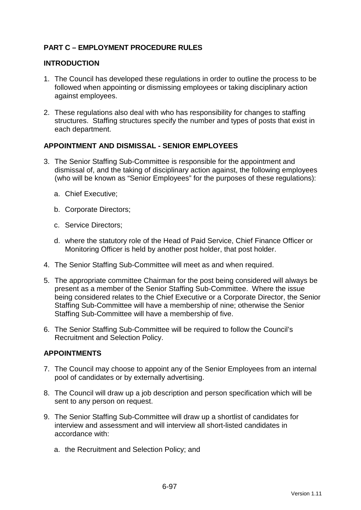## **PART C – EMPLOYMENT PROCEDURE RULES**

#### **INTRODUCTION**

- 1. The Council has developed these regulations in order to outline the process to be followed when appointing or dismissing employees or taking disciplinary action against employees.
- 2. These regulations also deal with who has responsibility for changes to staffing structures. Staffing structures specify the number and types of posts that exist in each department.

### **APPOINTMENT AND DISMISSAL - SENIOR EMPLOYEES**

- 3. The Senior Staffing Sub-Committee is responsible for the appointment and dismissal of, and the taking of disciplinary action against, the following employees (who will be known as "Senior Employees" for the purposes of these regulations):
	- a. Chief Executive;
	- b. Corporate Directors;
	- c. Service Directors;
	- d. where the statutory role of the Head of Paid Service, Chief Finance Officer or Monitoring Officer is held by another post holder, that post holder.
- 4. The Senior Staffing Sub-Committee will meet as and when required.
- 5. The appropriate committee Chairman for the post being considered will always be present as a member of the Senior Staffing Sub-Committee. Where the issue being considered relates to the Chief Executive or a Corporate Director, the Senior Staffing Sub-Committee will have a membership of nine; otherwise the Senior Staffing Sub-Committee will have a membership of five.
- 6. The Senior Staffing Sub-Committee will be required to follow the Council's Recruitment and Selection Policy.

## **APPOINTMENTS**

- 7. The Council may choose to appoint any of the Senior Employees from an internal pool of candidates or by externally advertising.
- 8. The Council will draw up a job description and person specification which will be sent to any person on request.
- 9. The Senior Staffing Sub-Committee will draw up a shortlist of candidates for interview and assessment and will interview all short-listed candidates in accordance with:
	- a. the Recruitment and Selection Policy; and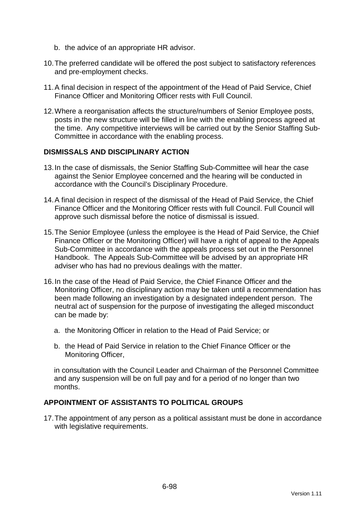- b. the advice of an appropriate HR advisor.
- 10. The preferred candidate will be offered the post subject to satisfactory references and pre-employment checks.
- 11. A final decision in respect of the appointment of the Head of Paid Service, Chief Finance Officer and Monitoring Officer rests with Full Council.
- 12. Where a reorganisation affects the structure/numbers of Senior Employee posts, posts in the new structure will be filled in line with the enabling process agreed at the time. Any competitive interviews will be carried out by the Senior Staffing Sub-Committee in accordance with the enabling process.

#### **DISMISSALS AND DISCIPLINARY ACTION**

- 13. In the case of dismissals, the Senior Staffing Sub-Committee will hear the case against the Senior Employee concerned and the hearing will be conducted in accordance with the Council's Disciplinary Procedure.
- 14. A final decision in respect of the dismissal of the Head of Paid Service, the Chief Finance Officer and the Monitoring Officer rests with full Council. Full Council will approve such dismissal before the notice of dismissal is issued.
- 15. The Senior Employee (unless the employee is the Head of Paid Service, the Chief Finance Officer or the Monitoring Officer) will have a right of appeal to the Appeals Sub-Committee in accordance with the appeals process set out in the Personnel Handbook. The Appeals Sub-Committee will be advised by an appropriate HR adviser who has had no previous dealings with the matter.
- 16. In the case of the Head of Paid Service, the Chief Finance Officer and the Monitoring Officer, no disciplinary action may be taken until a recommendation has been made following an investigation by a designated independent person. The neutral act of suspension for the purpose of investigating the alleged misconduct can be made by:
	- a. the Monitoring Officer in relation to the Head of Paid Service; or
	- b. the Head of Paid Service in relation to the Chief Finance Officer or the Monitoring Officer,

in consultation with the Council Leader and Chairman of the Personnel Committee and any suspension will be on full pay and for a period of no longer than two months.

### **APPOINTMENT OF ASSISTANTS TO POLITICAL GROUPS**

17. The appointment of any person as a political assistant must be done in accordance with legislative requirements.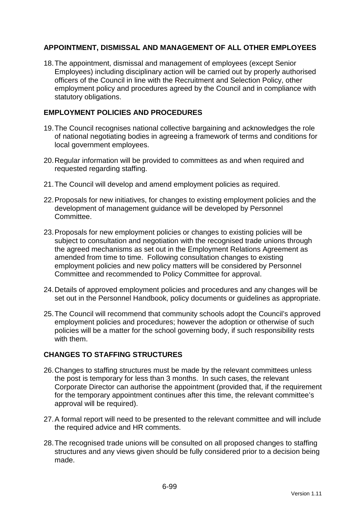## **APPOINTMENT, DISMISSAL AND MANAGEMENT OF ALL OTHER EMPLOYEES**

18. The appointment, dismissal and management of employees (except Senior Employees) including disciplinary action will be carried out by properly authorised officers of the Council in line with the Recruitment and Selection Policy, other employment policy and procedures agreed by the Council and in compliance with statutory obligations.

## **EMPLOYMENT POLICIES AND PROCEDURES**

- 19. The Council recognises national collective bargaining and acknowledges the role of national negotiating bodies in agreeing a framework of terms and conditions for local government employees.
- 20. Regular information will be provided to committees as and when required and requested regarding staffing.
- 21. The Council will develop and amend employment policies as required.
- 22. Proposals for new initiatives, for changes to existing employment policies and the development of management guidance will be developed by Personnel Committee.
- 23. Proposals for new employment policies or changes to existing policies will be subject to consultation and negotiation with the recognised trade unions through the agreed mechanisms as set out in the Employment Relations Agreement as amended from time to time. Following consultation changes to existing employment policies and new policy matters will be considered by Personnel Committee and recommended to Policy Committee for approval.
- 24. Details of approved employment policies and procedures and any changes will be set out in the Personnel Handbook, policy documents or guidelines as appropriate.
- 25. The Council will recommend that community schools adopt the Council's approved employment policies and procedures; however the adoption or otherwise of such policies will be a matter for the school governing body, if such responsibility rests with them.

## **CHANGES TO STAFFING STRUCTURES**

- 26. Changes to staffing structures must be made by the relevant committees unless the post is temporary for less than 3 months. In such cases, the relevant Corporate Director can authorise the appointment (provided that, if the requirement for the temporary appointment continues after this time, the relevant committee's approval will be required).
- 27. A formal report will need to be presented to the relevant committee and will include the required advice and HR comments.
- 28. The recognised trade unions will be consulted on all proposed changes to staffing structures and any views given should be fully considered prior to a decision being made.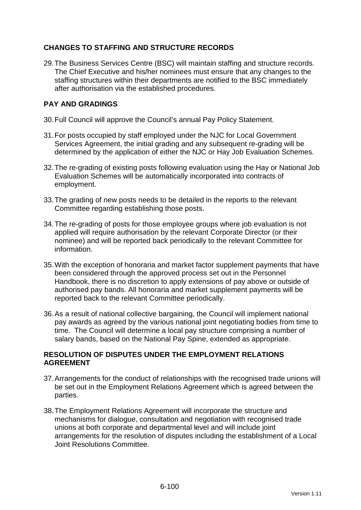## **CHANGES TO STAFFING AND STRUCTURE RECORDS**

29. The Business Services Centre (BSC) will maintain staffing and structure records. The Chief Executive and his/her nominees must ensure that any changes to the staffing structures within their departments are notified to the BSC immediately after authorisation via the established procedures.

## **PAY AND GRADINGS**

- 30. Full Council will approve the Council's annual Pay Policy Statement.
- 31. For posts occupied by staff employed under the NJC for Local Government Services Agreement, the initial grading and any subsequent re-grading will be determined by the application of either the NJC or Hay Job Evaluation Schemes.
- 32. The re-grading of existing posts following evaluation using the Hay or National Job Evaluation Schemes will be automatically incorporated into contracts of employment.
- 33. The grading of new posts needs to be detailed in the reports to the relevant Committee regarding establishing those posts.
- 34. The re-grading of posts for those employee groups where job evaluation is not applied will require authorisation by the relevant Corporate Director (or their nominee) and will be reported back periodically to the relevant Committee for information.
- 35. With the exception of honoraria and market factor supplement payments that have been considered through the approved process set out in the Personnel Handbook, there is no discretion to apply extensions of pay above or outside of authorised pay bands. All honoraria and market supplement payments will be reported back to the relevant Committee periodically.
- 36. As a result of national collective bargaining, the Council will implement national pay awards as agreed by the various national joint negotiating bodies from time to time. The Council will determine a local pay structure comprising a number of salary bands, based on the National Pay Spine, extended as appropriate.

## **RESOLUTION OF DISPUTES UNDER THE EMPLOYMENT RELATIONS AGREEMENT**

- 37. Arrangements for the conduct of relationships with the recognised trade unions will be set out in the Employment Relations Agreement which is agreed between the parties.
- 38. The Employment Relations Agreement will incorporate the structure and mechanisms for dialogue, consultation and negotiation with recognised trade unions at both corporate and departmental level and will include joint arrangements for the resolution of disputes including the establishment of a Local Joint Resolutions Committee.